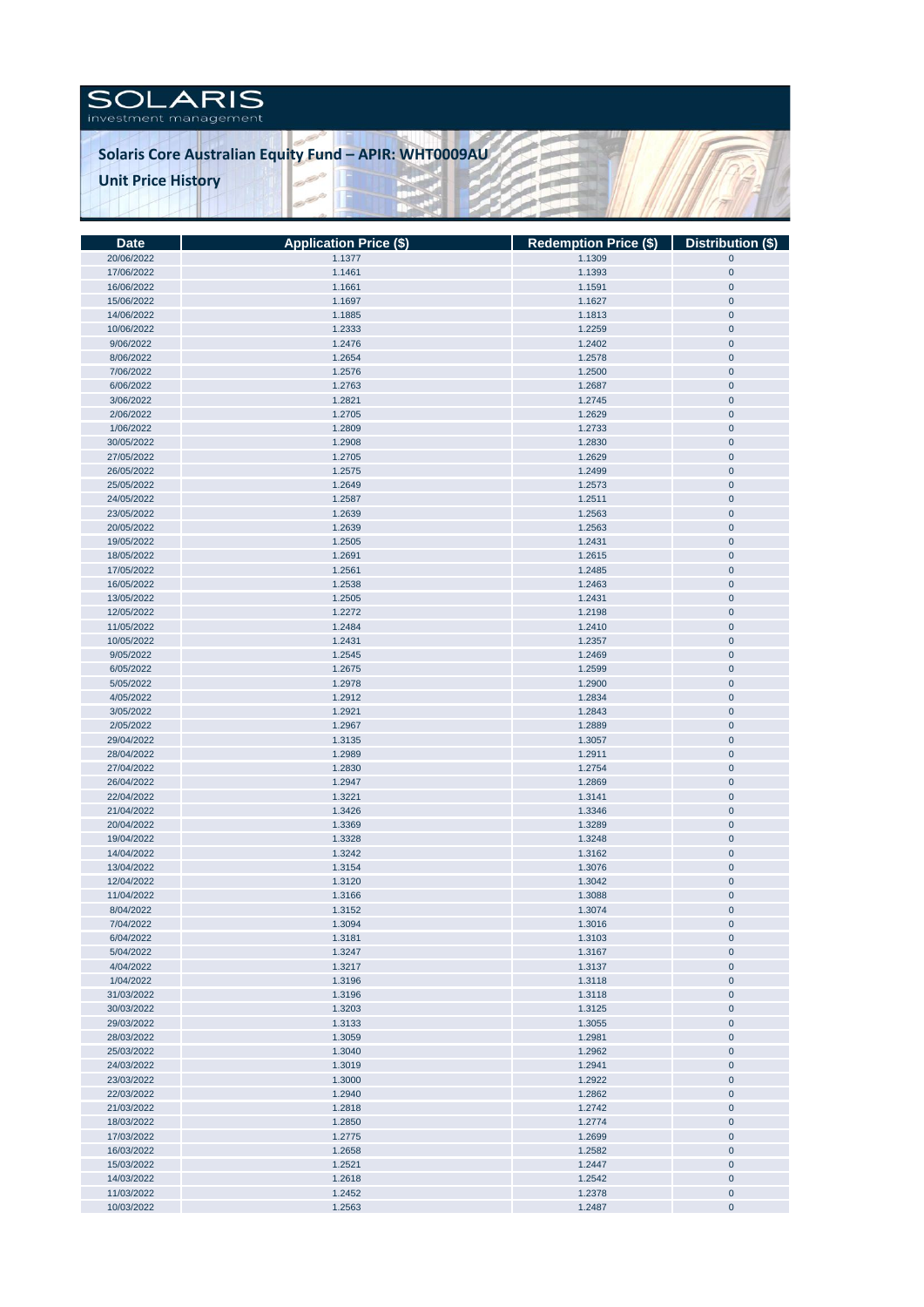## SOLARIS

## **Solaris Core Australian Equity Fund – APIR: WHT0009AU Unit Price History**

| <b>Date</b> | <b>Application Price (\$)</b> | Redemption Price (\$)   Distribution (\$) |             |
|-------------|-------------------------------|-------------------------------------------|-------------|
| 20/06/2022  | 1.1377                        | 1.1309                                    | $\pmb{0}$   |
| 17/06/2022  | 1.1461                        | 1.1393                                    | $\pmb{0}$   |
| 16/06/2022  | 1.1661                        | 1.1591                                    | $\pmb{0}$   |
| 15/06/2022  | 1.1697                        | 1.1627                                    | $\pmb{0}$   |
|             |                               |                                           |             |
| 14/06/2022  | 1.1885                        | 1.1813                                    | $\pmb{0}$   |
| 10/06/2022  | 1.2333                        | 1.2259                                    | $\pmb{0}$   |
| 9/06/2022   | 1.2476                        | 1.2402                                    | $\pmb{0}$   |
| 8/06/2022   | 1.2654                        | 1.2578                                    | $\pmb{0}$   |
| 7/06/2022   | 1.2576                        | 1.2500                                    | $\pmb{0}$   |
| 6/06/2022   | 1.2763                        | 1.2687                                    | $\pmb{0}$   |
| 3/06/2022   | 1.2821                        | 1.2745                                    | $\pmb{0}$   |
| 2/06/2022   | 1.2705                        | 1.2629                                    | $\pmb{0}$   |
| 1/06/2022   | 1.2809                        | 1.2733                                    | $\pmb{0}$   |
| 30/05/2022  | 1.2908                        | 1.2830                                    | $\pmb{0}$   |
|             |                               |                                           |             |
| 27/05/2022  | 1.2705                        | 1.2629                                    | $\pmb{0}$   |
| 26/05/2022  | 1.2575                        | 1.2499                                    | $\pmb{0}$   |
| 25/05/2022  | 1.2649                        | 1.2573                                    | $\pmb{0}$   |
| 24/05/2022  | 1.2587                        | 1.2511                                    | $\pmb{0}$   |
| 23/05/2022  | 1.2639                        | 1.2563                                    | $\pmb{0}$   |
| 20/05/2022  | 1.2639                        | 1.2563                                    | $\pmb{0}$   |
| 19/05/2022  | 1.2505                        | 1.2431                                    | $\pmb{0}$   |
| 18/05/2022  | 1.2691                        | 1.2615                                    | $\pmb{0}$   |
| 17/05/2022  | 1.2561                        | 1.2485                                    | $\pmb{0}$   |
| 16/05/2022  | 1.2538                        | 1.2463                                    | $\pmb{0}$   |
|             |                               |                                           |             |
| 13/05/2022  | 1.2505                        | 1.2431                                    | $\pmb{0}$   |
| 12/05/2022  | 1.2272                        | 1.2198                                    | $\pmb{0}$   |
| 11/05/2022  | 1.2484                        | 1.2410                                    | $\pmb{0}$   |
| 10/05/2022  | 1.2431                        | 1.2357                                    | $\pmb{0}$   |
| 9/05/2022   | 1.2545                        | 1.2469                                    | $\pmb{0}$   |
| 6/05/2022   | 1.2675                        | 1.2599                                    | $\pmb{0}$   |
| 5/05/2022   | 1.2978                        | 1.2900                                    | $\pmb{0}$   |
| 4/05/2022   | 1.2912                        | 1.2834                                    | $\pmb{0}$   |
| 3/05/2022   | 1.2921                        | 1.2843                                    | $\pmb{0}$   |
| 2/05/2022   | 1.2967                        | 1.2889                                    | $\pmb{0}$   |
|             |                               |                                           |             |
| 29/04/2022  | 1.3135                        | 1.3057                                    | $\pmb{0}$   |
| 28/04/2022  | 1.2989                        | 1.2911                                    | $\pmb{0}$   |
| 27/04/2022  | 1.2830                        | 1.2754                                    | $\pmb{0}$   |
| 26/04/2022  | 1.2947                        | 1.2869                                    | $\pmb{0}$   |
| 22/04/2022  | 1.3221                        | 1.3141                                    | $\pmb{0}$   |
| 21/04/2022  | 1.3426                        | 1.3346                                    | $\pmb{0}$   |
| 20/04/2022  | 1.3369                        | 1.3289                                    | $\pmb{0}$   |
| 19/04/2022  | 1.3328                        | 1.3248                                    | $\pmb{0}$   |
| 14/04/2022  | 1.3242                        | 1.3162                                    | $\pmb{0}$   |
| 13/04/2022  | 1.3154                        | 1.3076                                    | $\pmb{0}$   |
|             |                               |                                           |             |
| 12/04/2022  | 1.3120                        | 1.3042                                    | $\pmb{0}$   |
| 11/04/2022  | 1.3166                        | 1.3088                                    | $\pmb{0}$   |
| 8/04/2022   | 1.3152                        | 1.3074                                    | $\pmb{0}$   |
| 7/04/2022   | 1.3094                        | 1.3016                                    | $\mathbf 0$ |
| 6/04/2022   | 1.3181                        | 1.3103                                    | $\pmb{0}$   |
| 5/04/2022   | 1.3247                        | 1.3167                                    | $\pmb{0}$   |
| 4/04/2022   | 1.3217                        | 1.3137                                    | $\mathbf 0$ |
| 1/04/2022   | 1.3196                        | 1.3118                                    | $\pmb{0}$   |
| 31/03/2022  | 1.3196                        | 1.3118                                    | $\pmb{0}$   |
| 30/03/2022  | 1.3203                        | 1.3125                                    | $\pmb{0}$   |
| 29/03/2022  | 1.3133                        | 1.3055                                    | $\pmb{0}$   |
| 28/03/2022  | 1.3059                        | 1.2981                                    | $\pmb{0}$   |
|             |                               |                                           |             |
| 25/03/2022  | 1.3040                        | 1.2962                                    | $\pmb{0}$   |
| 24/03/2022  | 1.3019                        | 1.2941                                    | $\pmb{0}$   |
| 23/03/2022  | 1.3000                        | 1.2922                                    | $\pmb{0}$   |
| 22/03/2022  | 1.2940                        | 1.2862                                    | $\pmb{0}$   |
| 21/03/2022  | 1.2818                        | 1.2742                                    | $\pmb{0}$   |
| 18/03/2022  | 1.2850                        | 1.2774                                    | $\pmb{0}$   |
| 17/03/2022  | 1.2775                        | 1.2699                                    | $\pmb{0}$   |
| 16/03/2022  | 1.2658                        | 1.2582                                    | $\pmb{0}$   |
| 15/03/2022  | 1.2521                        | 1.2447                                    | $\pmb{0}$   |
| 14/03/2022  |                               | 1.2542                                    | $\pmb{0}$   |
|             | 1.2618                        |                                           |             |
| 11/03/2022  | 1.2452                        | 1.2378                                    | $\pmb{0}$   |
| 10/03/2022  | 1.2563                        | 1.2487                                    | $\pmb{0}$   |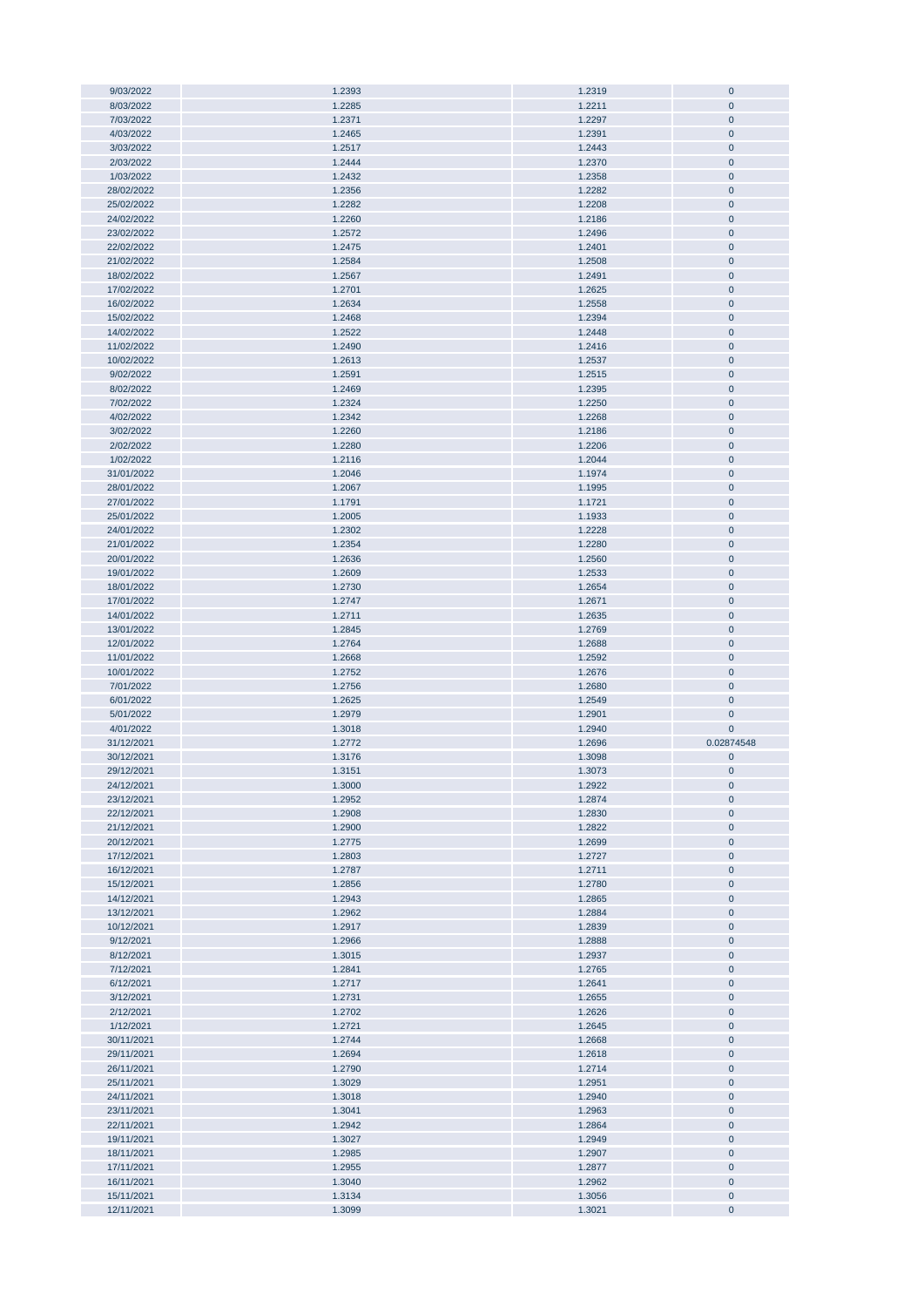| 9/03/2022                | 1.2393           | 1.2319           | $\mathbf{0}$             |
|--------------------------|------------------|------------------|--------------------------|
| 8/03/2022                | 1.2285           | 1.2211           | $\mathbf 0$              |
|                          |                  |                  |                          |
| 7/03/2022                | 1.2371           | 1.2297           | $\pmb{0}$                |
| 4/03/2022                | 1.2465           | 1.2391           | $\pmb{0}$                |
| 3/03/2022                | 1.2517           | 1.2443           | $\pmb{0}$                |
| 2/03/2022                | 1.2444           | 1.2370           | $\pmb{0}$                |
|                          |                  |                  |                          |
| 1/03/2022                | 1.2432           | 1.2358           | $\pmb{0}$                |
| 28/02/2022               | 1.2356           | 1.2282           | $\pmb{0}$                |
| 25/02/2022               | 1.2282           | 1.2208           | $\mathbf 0$              |
|                          |                  |                  |                          |
| 24/02/2022               | 1.2260           | 1.2186           | $\pmb{0}$                |
| 23/02/2022               | 1.2572           | 1.2496           | $\mathbf 0$              |
| 22/02/2022               | 1.2475           | 1.2401           | $\mathbf 0$              |
|                          |                  |                  |                          |
| 21/02/2022               | 1.2584           | 1.2508           | $\mathbf 0$              |
| 18/02/2022               | 1.2567           | 1.2491           | $\mathbf 0$              |
| 17/02/2022               | 1.2701           | 1.2625           | $\pmb{0}$                |
| 16/02/2022               | 1.2634           | 1.2558           | $\mathbf 0$              |
|                          |                  |                  |                          |
| 15/02/2022               | 1.2468           | 1.2394           | $\pmb{0}$                |
| 14/02/2022               | 1.2522           | 1.2448           | $\pmb{0}$                |
| 11/02/2022               | 1.2490           | 1.2416           | $\pmb{0}$                |
|                          |                  |                  | $\mathbf 0$              |
| 10/02/2022               | 1.2613           | 1.2537           |                          |
| 9/02/2022                | 1.2591           | 1.2515           | $\pmb{0}$                |
| 8/02/2022                | 1.2469           | 1.2395           | $\pmb{0}$                |
| 7/02/2022                | 1.2324           | 1.2250           | $\pmb{0}$                |
|                          |                  |                  |                          |
| 4/02/2022                | 1.2342           | 1.2268           | $\mathbf 0$              |
| 3/02/2022                | 1.2260           | 1.2186           | $\mathbf 0$              |
| 2/02/2022                | 1.2280           | 1.2206           | $\pmb{0}$                |
| 1/02/2022                | 1.2116           | 1.2044           | $\pmb{0}$                |
|                          |                  |                  |                          |
| 31/01/2022               | 1.2046           | 1.1974           | $\pmb{0}$                |
| 28/01/2022               | 1.2067           | 1.1995           | $\pmb{0}$                |
| 27/01/2022               | 1.1791           | 1.1721           | $\pmb{0}$                |
| 25/01/2022               | 1.2005           | 1.1933           | $\pmb{0}$                |
|                          |                  |                  |                          |
| 24/01/2022               | 1.2302           | 1.2228           | $\pmb{0}$                |
| 21/01/2022               | 1.2354           | 1.2280           | $\pmb{0}$                |
| 20/01/2022               | 1.2636           | 1.2560           | $\pmb{0}$                |
| 19/01/2022               | 1.2609           | 1.2533           | $\pmb{0}$                |
|                          |                  |                  |                          |
| 18/01/2022               | 1.2730           | 1.2654           | $\mathbf 0$              |
| 17/01/2022               | 1.2747           | 1.2671           | $\mathbf 0$              |
| 14/01/2022               | 1.2711           | 1.2635           | $\mathbf 0$              |
| 13/01/2022               | 1.2845           | 1.2769           | $\pmb{0}$                |
|                          |                  |                  |                          |
|                          |                  |                  |                          |
| 12/01/2022               | 1.2764           | 1.2688           | $\mathbf 0$              |
| 11/01/2022               | 1.2668           | 1.2592           | $\mathbf 0$              |
|                          |                  |                  |                          |
| 10/01/2022               | 1.2752           | 1.2676           | $\pmb{0}$                |
| 7/01/2022                | 1.2756           | 1.2680           | $\pmb{0}$                |
| 6/01/2022                | 1.2625           | 1.2549           | $\pmb{0}$                |
| 5/01/2022                | 1.2979           | 1.2901           | $\mathbf 0$              |
|                          |                  |                  |                          |
| 4/01/2022                | 1.3018           | 1.2940           | $\mathbf 0$              |
| 31/12/2021               | 1.2772           | 1.2696           | 0.02874548               |
| 30/12/2021               | 1.3176           | 1.3098           | $\pmb{0}$                |
| 29/12/2021               | 1.3151           | 1.3073           | $\mathbf 0$              |
|                          |                  |                  |                          |
| 24/12/2021               | 1.3000           | 1.2922           | $\pmb{0}$                |
| 23/12/2021               | 1.2952           | 1.2874           | $\pmb{0}$                |
| 22/12/2021               | 1.2908           | 1.2830           | $\bf{0}$                 |
| 21/12/2021               | 1.2900           | 1.2822           | $\pmb{0}$                |
|                          |                  |                  |                          |
| 20/12/2021               | 1.2775           | 1.2699           | $\pmb{0}$                |
| 17/12/2021               | 1.2803           | 1.2727           | $\pmb{0}$                |
| 16/12/2021               | 1.2787           | 1.2711           | $\bf{0}$                 |
| 15/12/2021               | 1.2856           | 1.2780           | $\mathbf 0$              |
|                          |                  |                  |                          |
| 14/12/2021               | 1.2943           | 1.2865           | $\pmb{0}$                |
| 13/12/2021               | 1.2962           | 1.2884           | $\mathbf 0$              |
| 10/12/2021               | 1.2917           | 1.2839           | $\mathbf{0}$             |
| 9/12/2021                | 1.2966           | 1.2888           | $\mathbf{0}$             |
| 8/12/2021                |                  |                  |                          |
|                          | 1.3015           | 1.2937           | $\bf{0}$                 |
| 7/12/2021                | 1.2841           | 1.2765           | $\mathbf{0}$             |
| 6/12/2021                | 1.2717           | 1.2641           | $\mathbf 0$              |
| 3/12/2021                | 1.2731           | 1.2655           | $\bf{0}$                 |
|                          |                  |                  |                          |
| 2/12/2021                | 1.2702           | 1.2626           | $\pmb{0}$                |
| 1/12/2021                | 1.2721           | 1.2645           | $\pmb{0}$                |
| 30/11/2021               | 1.2744           | 1.2668           | $\mathbf 0$              |
| 29/11/2021               | 1.2694           | 1.2618           | $\pmb{0}$                |
|                          |                  |                  |                          |
| 26/11/2021               | 1.2790           | 1.2714           | $\pmb{0}$                |
| 25/11/2021               | 1.3029           | 1.2951           | $\pmb{0}$                |
| 24/11/2021               | 1.3018           | 1.2940           | $\mathbf 0$              |
| 23/11/2021               | 1.3041           | 1.2963           | $\mathbf 0$              |
|                          |                  |                  |                          |
| 22/11/2021               | 1.2942           | 1.2864           | $\pmb{0}$                |
| 19/11/2021               | 1.3027           | 1.2949           | $\pmb{0}$                |
| 18/11/2021               | 1.2985           | 1.2907           | $\pmb{0}$                |
| 17/11/2021               | 1.2955           | 1.2877           | $\bf{0}$                 |
|                          |                  |                  |                          |
| 16/11/2021               | 1.3040           | 1.2962           | $\pmb{0}$                |
| 15/11/2021<br>12/11/2021 | 1.3134<br>1.3099 | 1.3056<br>1.3021 | $\pmb{0}$<br>$\mathbf 0$ |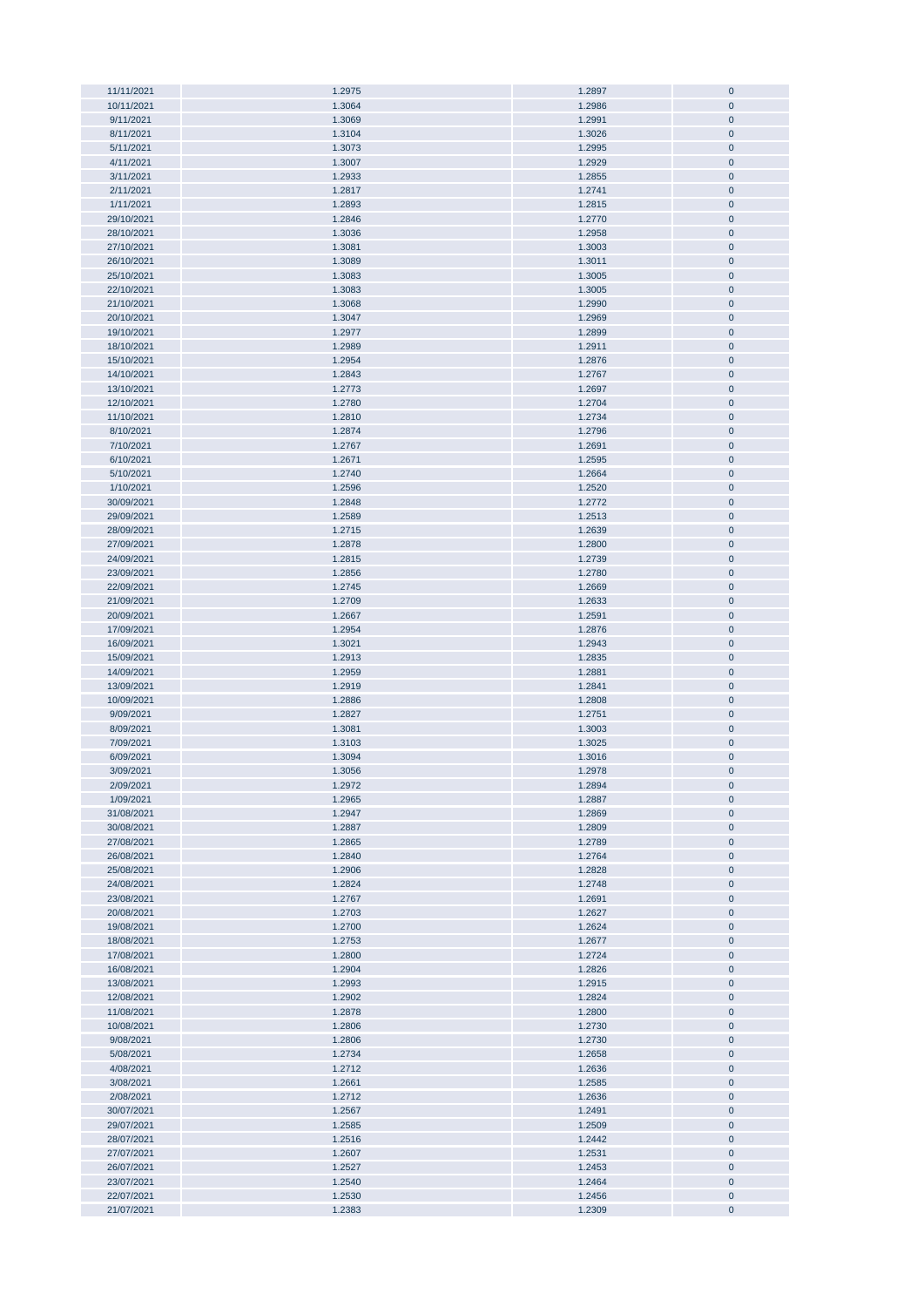| 11/11/2021 | 1.2975 | 1.2897 | $\bf{0}$    |
|------------|--------|--------|-------------|
| 10/11/2021 | 1.3064 | 1.2986 | $\pmb{0}$   |
|            |        |        |             |
| 9/11/2021  | 1.3069 | 1.2991 | $\pmb{0}$   |
| 8/11/2021  | 1.3104 | 1.3026 | $\pmb{0}$   |
| 5/11/2021  | 1.3073 | 1.2995 | $\pmb{0}$   |
| 4/11/2021  | 1.3007 | 1.2929 | $\pmb{0}$   |
|            |        |        |             |
| 3/11/2021  | 1.2933 | 1.2855 | $\pmb{0}$   |
| 2/11/2021  | 1.2817 | 1.2741 | $\pmb{0}$   |
| 1/11/2021  | 1.2893 | 1.2815 | $\pmb{0}$   |
| 29/10/2021 | 1.2846 | 1.2770 | $\pmb{0}$   |
|            |        |        |             |
| 28/10/2021 | 1.3036 | 1.2958 | $\pmb{0}$   |
| 27/10/2021 | 1.3081 | 1.3003 | $\pmb{0}$   |
| 26/10/2021 | 1.3089 | 1.3011 | $\pmb{0}$   |
| 25/10/2021 | 1.3083 | 1.3005 | $\pmb{0}$   |
|            |        |        |             |
| 22/10/2021 | 1.3083 | 1.3005 | $\pmb{0}$   |
| 21/10/2021 | 1.3068 | 1.2990 | $\pmb{0}$   |
| 20/10/2021 | 1.3047 | 1.2969 | $\pmb{0}$   |
| 19/10/2021 | 1.2977 | 1.2899 | $\pmb{0}$   |
|            |        |        |             |
| 18/10/2021 | 1.2989 | 1.2911 | $\pmb{0}$   |
| 15/10/2021 | 1.2954 | 1.2876 | $\pmb{0}$   |
| 14/10/2021 | 1.2843 | 1.2767 | $\bf{0}$    |
| 13/10/2021 | 1.2773 | 1.2697 | $\pmb{0}$   |
|            |        |        |             |
| 12/10/2021 | 1.2780 | 1.2704 | $\pmb{0}$   |
| 11/10/2021 | 1.2810 | 1.2734 | $\pmb{0}$   |
| 8/10/2021  | 1.2874 | 1.2796 | $\pmb{0}$   |
| 7/10/2021  | 1.2767 | 1.2691 | $\pmb{0}$   |
|            |        |        |             |
| 6/10/2021  | 1.2671 | 1.2595 | $\pmb{0}$   |
| 5/10/2021  | 1.2740 | 1.2664 | $\pmb{0}$   |
| 1/10/2021  | 1.2596 | 1.2520 | $\pmb{0}$   |
| 30/09/2021 | 1.2848 | 1.2772 | $\pmb{0}$   |
|            |        |        |             |
| 29/09/2021 | 1.2589 | 1.2513 | $\pmb{0}$   |
| 28/09/2021 | 1.2715 | 1.2639 | $\pmb{0}$   |
| 27/09/2021 | 1.2878 | 1.2800 | $\pmb{0}$   |
| 24/09/2021 | 1.2815 | 1.2739 | $\pmb{0}$   |
|            |        |        |             |
| 23/09/2021 | 1.2856 | 1.2780 | $\pmb{0}$   |
| 22/09/2021 | 1.2745 | 1.2669 | $\pmb{0}$   |
| 21/09/2021 | 1.2709 | 1.2633 | $\pmb{0}$   |
| 20/09/2021 | 1.2667 | 1.2591 | $\pmb{0}$   |
|            |        |        |             |
| 17/09/2021 | 1.2954 | 1.2876 | $\pmb{0}$   |
| 16/09/2021 | 1.3021 | 1.2943 | $\pmb{0}$   |
| 15/09/2021 | 1.2913 | 1.2835 | $\pmb{0}$   |
| 14/09/2021 | 1.2959 | 1.2881 | $\pmb{0}$   |
|            |        |        |             |
| 13/09/2021 | 1.2919 | 1.2841 | $\pmb{0}$   |
| 10/09/2021 | 1.2886 | 1.2808 | $\pmb{0}$   |
| 9/09/2021  | 1.2827 | 1.2751 | $\pmb{0}$   |
| 8/09/2021  | 1.3081 | 1.3003 | $\pmb{0}$   |
|            |        |        | $\pmb{0}$   |
| 7/09/2021  | 1.3103 | 1.3025 |             |
| 6/09/2021  | 1.3094 | 1.3016 | $\pmb{0}$   |
| 3/09/2021  | 1.3056 | 1.2978 | $\pmb{0}$   |
| 2/09/2021  | 1.2972 | 1.2894 | $\mathbf 0$ |
| 1/09/2021  |        |        | $\pmb{0}$   |
|            | 1.2965 | 1.2887 |             |
| 31/08/2021 | 1.2947 | 1.2869 | $\pmb{0}$   |
| 30/08/2021 | 1.2887 | 1.2809 | $\pmb{0}$   |
| 27/08/2021 | 1.2865 | 1.2789 | $\pmb{0}$   |
| 26/08/2021 | 1.2840 | 1.2764 | $\pmb{0}$   |
|            |        |        |             |
| 25/08/2021 | 1.2906 | 1.2828 | $\pmb{0}$   |
| 24/08/2021 | 1.2824 | 1.2748 | $\pmb{0}$   |
| 23/08/2021 | 1.2767 | 1.2691 | $\pmb{0}$   |
| 20/08/2021 | 1.2703 | 1.2627 | $\pmb{0}$   |
|            |        |        |             |
| 19/08/2021 | 1.2700 | 1.2624 | $\pmb{0}$   |
| 18/08/2021 | 1.2753 | 1.2677 | $\pmb{0}$   |
| 17/08/2021 | 1.2800 | 1.2724 | $\pmb{0}$   |
| 16/08/2021 | 1.2904 | 1.2826 | $\pmb{0}$   |
| 13/08/2021 | 1.2993 | 1.2915 | $\pmb{0}$   |
|            |        |        |             |
| 12/08/2021 | 1.2902 | 1.2824 | $\pmb{0}$   |
| 11/08/2021 | 1.2878 | 1.2800 | $\pmb{0}$   |
| 10/08/2021 | 1.2806 | 1.2730 | $\pmb{0}$   |
| 9/08/2021  | 1.2806 | 1.2730 | $\pmb{0}$   |
|            |        |        |             |
| 5/08/2021  | 1.2734 | 1.2658 | $\pmb{0}$   |
| 4/08/2021  | 1.2712 | 1.2636 | $\pmb{0}$   |
| 3/08/2021  | 1.2661 | 1.2585 | $\pmb{0}$   |
| 2/08/2021  | 1.2712 | 1.2636 | $\pmb{0}$   |
|            |        |        |             |
| 30/07/2021 | 1.2567 | 1.2491 | $\pmb{0}$   |
| 29/07/2021 | 1.2585 | 1.2509 | $\pmb{0}$   |
| 28/07/2021 | 1.2516 | 1.2442 | $\pmb{0}$   |
| 27/07/2021 | 1.2607 | 1.2531 | $\pmb{0}$   |
|            |        |        |             |
| 26/07/2021 | 1.2527 | 1.2453 | $\pmb{0}$   |
| 23/07/2021 | 1.2540 | 1.2464 | $\pmb{0}$   |
| 22/07/2021 | 1.2530 | 1.2456 | $\pmb{0}$   |
| 21/07/2021 | 1.2383 | 1.2309 | $\pmb{0}$   |
|            |        |        |             |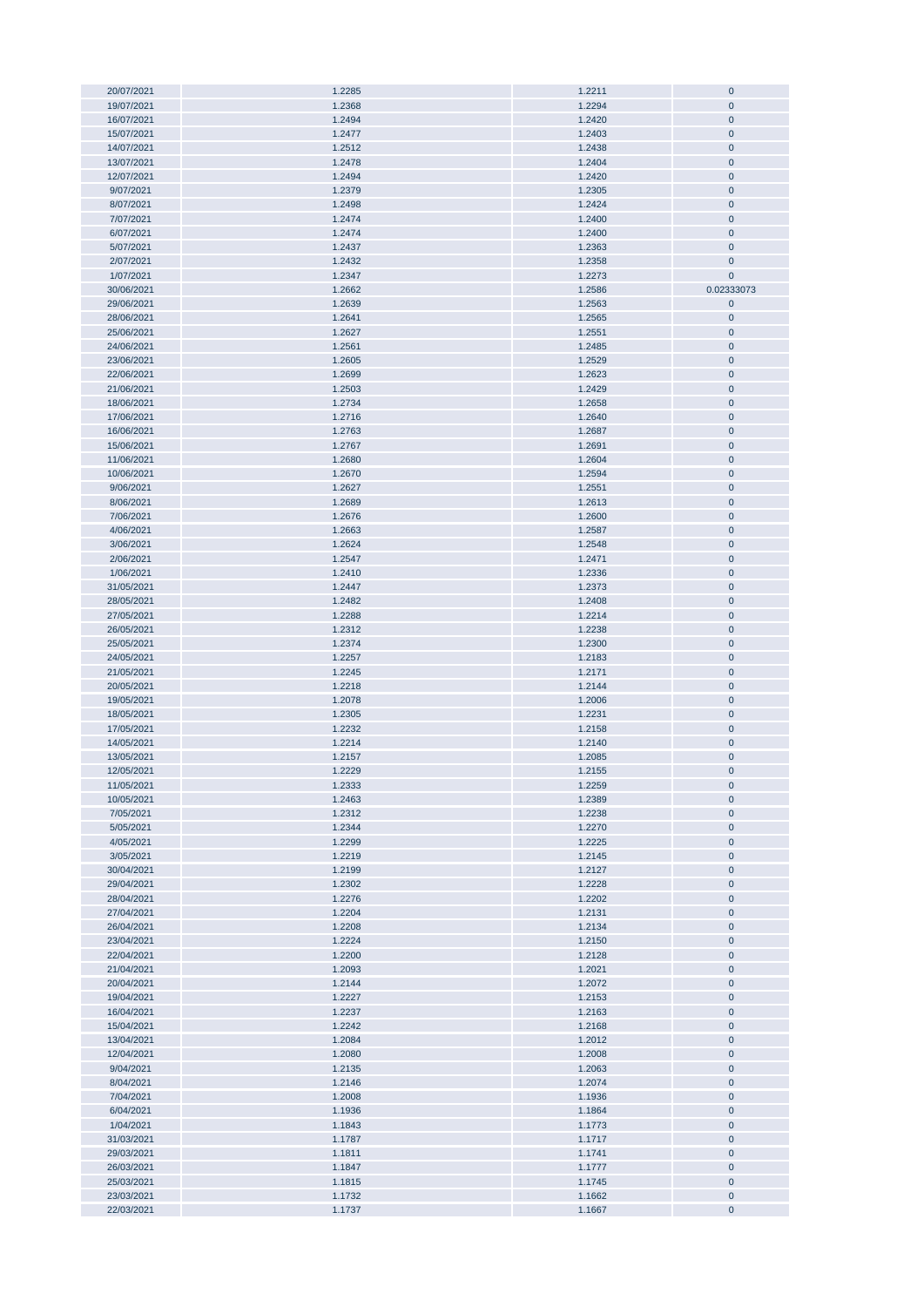| 20/07/2021 | 1.2285 | 1.2211 | $\mathbf 0$ |
|------------|--------|--------|-------------|
|            |        | 1.2294 | $\pmb{0}$   |
| 19/07/2021 | 1.2368 |        |             |
| 16/07/2021 | 1.2494 | 1.2420 | $\pmb{0}$   |
| 15/07/2021 | 1.2477 | 1.2403 | $\pmb{0}$   |
| 14/07/2021 | 1.2512 | 1.2438 | $\pmb{0}$   |
|            |        |        |             |
| 13/07/2021 | 1.2478 | 1.2404 | $\pmb{0}$   |
| 12/07/2021 | 1.2494 | 1.2420 | $\pmb{0}$   |
| 9/07/2021  | 1.2379 | 1.2305 | $\pmb{0}$   |
| 8/07/2021  | 1.2498 | 1.2424 | $\pmb{0}$   |
| 7/07/2021  |        | 1.2400 | $\pmb{0}$   |
|            | 1.2474 |        |             |
| 6/07/2021  | 1.2474 | 1.2400 | $\pmb{0}$   |
| 5/07/2021  | 1.2437 | 1.2363 | $\pmb{0}$   |
| 2/07/2021  | 1.2432 | 1.2358 | $\pmb{0}$   |
| 1/07/2021  | 1.2347 | 1.2273 | $\pmb{0}$   |
|            |        |        |             |
| 30/06/2021 | 1.2662 | 1.2586 | 0.02333073  |
| 29/06/2021 | 1.2639 | 1.2563 | $\pmb{0}$   |
| 28/06/2021 | 1.2641 | 1.2565 | $\pmb{0}$   |
| 25/06/2021 | 1.2627 | 1.2551 | $\pmb{0}$   |
|            |        |        |             |
| 24/06/2021 | 1.2561 | 1.2485 | $\pmb{0}$   |
| 23/06/2021 | 1.2605 | 1.2529 | $\pmb{0}$   |
| 22/06/2021 | 1.2699 | 1.2623 | $\pmb{0}$   |
| 21/06/2021 | 1.2503 | 1.2429 | 0           |
| 18/06/2021 | 1.2734 | 1.2658 | $\pmb{0}$   |
|            |        |        |             |
| 17/06/2021 | 1.2716 | 1.2640 | $\mathbf 0$ |
| 16/06/2021 | 1.2763 | 1.2687 | $\pmb{0}$   |
| 15/06/2021 | 1.2767 | 1.2691 | $\pmb{0}$   |
| 11/06/2021 | 1.2680 | 1.2604 | $\pmb{0}$   |
|            |        |        |             |
| 10/06/2021 | 1.2670 | 1.2594 | $\pmb{0}$   |
| 9/06/2021  | 1.2627 | 1.2551 | $\pmb{0}$   |
| 8/06/2021  | 1.2689 | 1.2613 | $\pmb{0}$   |
| 7/06/2021  | 1.2676 | 1.2600 | $\pmb{0}$   |
|            |        |        | $\mathbf 0$ |
| 4/06/2021  | 1.2663 | 1.2587 |             |
| 3/06/2021  | 1.2624 | 1.2548 | $\pmb{0}$   |
| 2/06/2021  | 1.2547 | 1.2471 | $\pmb{0}$   |
| 1/06/2021  | 1.2410 | 1.2336 | $\pmb{0}$   |
| 31/05/2021 | 1.2447 | 1.2373 | $\mathbf 0$ |
|            |        |        |             |
| 28/05/2021 | 1.2482 | 1.2408 | $\pmb{0}$   |
| 27/05/2021 | 1.2288 | 1.2214 | $\pmb{0}$   |
| 26/05/2021 | 1.2312 | 1.2238 | $\pmb{0}$   |
| 25/05/2021 | 1.2374 | 1.2300 | $\pmb{0}$   |
|            |        |        |             |
| 24/05/2021 | 1.2257 | 1.2183 | $\pmb{0}$   |
| 21/05/2021 | 1.2245 | 1.2171 | $\pmb{0}$   |
| 20/05/2021 | 1.2218 | 1.2144 | $\pmb{0}$   |
| 19/05/2021 | 1.2078 | 1.2006 | $\pmb{0}$   |
| 18/05/2021 | 1.2305 | 1.2231 | $\pmb{0}$   |
|            |        |        |             |
| 17/05/2021 | 1.2232 | 1.2158 | $\pmb{0}$   |
| 14/05/2021 | 1.2214 | 1.2140 | $\pmb{0}$   |
| 13/05/2021 | 1.2157 | 1.2085 | $\mathbf 0$ |
| 12/05/2021 | 1.2229 | 1.2155 | $\pmb{0}$   |
|            |        |        |             |
| 11/05/2021 | 1.2333 | 1.2259 | 0           |
| 10/05/2021 | 1.2463 | 1.2389 | $\pmb{0}$   |
| 7/05/2021  | 1.2312 | 1.2238 | $\pmb{0}$   |
| 5/05/2021  | 1.2344 | 1.2270 | $\pmb{0}$   |
| 4/05/2021  | 1.2299 | 1.2225 | $\pmb{0}$   |
| 3/05/2021  | 1.2219 |        | $\pmb{0}$   |
|            |        | 1.2145 |             |
| 30/04/2021 | 1.2199 | 1.2127 | $\pmb{0}$   |
| 29/04/2021 | 1.2302 | 1.2228 | $\pmb{0}$   |
| 28/04/2021 | 1.2276 | 1.2202 | $\pmb{0}$   |
| 27/04/2021 | 1.2204 | 1.2131 | $\pmb{0}$   |
|            |        |        |             |
| 26/04/2021 | 1.2208 | 1.2134 | $\pmb{0}$   |
| 23/04/2021 | 1.2224 | 1.2150 | $\pmb{0}$   |
| 22/04/2021 | 1.2200 | 1.2128 | $\pmb{0}$   |
| 21/04/2021 | 1.2093 | 1.2021 | $\pmb{0}$   |
| 20/04/2021 | 1.2144 | 1.2072 | $\pmb{0}$   |
| 19/04/2021 | 1.2227 | 1.2153 | $\pmb{0}$   |
|            |        |        |             |
| 16/04/2021 | 1.2237 | 1.2163 | $\pmb{0}$   |
| 15/04/2021 | 1.2242 | 1.2168 | $\pmb{0}$   |
| 13/04/2021 | 1.2084 | 1.2012 | $\pmb{0}$   |
| 12/04/2021 | 1.2080 | 1.2008 | $\pmb{0}$   |
|            |        |        |             |
| 9/04/2021  | 1.2135 | 1.2063 | 0           |
| 8/04/2021  | 1.2146 | 1.2074 | 0           |
| 7/04/2021  | 1.2008 | 1.1936 | 0           |
| 6/04/2021  | 1.1936 | 1.1864 | $\pmb{0}$   |
| 1/04/2021  | 1.1843 | 1.1773 | $\pmb{0}$   |
|            |        |        |             |
| 31/03/2021 | 1.1787 | 1.1717 | $\pmb{0}$   |
| 29/03/2021 | 1.1811 | 1.1741 | $\pmb{0}$   |
| 26/03/2021 | 1.1847 | 1.1777 | $\pmb{0}$   |
| 25/03/2021 | 1.1815 | 1.1745 | $\pmb{0}$   |
|            |        |        |             |
| 23/03/2021 | 1.1732 | 1.1662 | $\pmb{0}$   |
| 22/03/2021 | 1.1737 | 1.1667 | $\pmb{0}$   |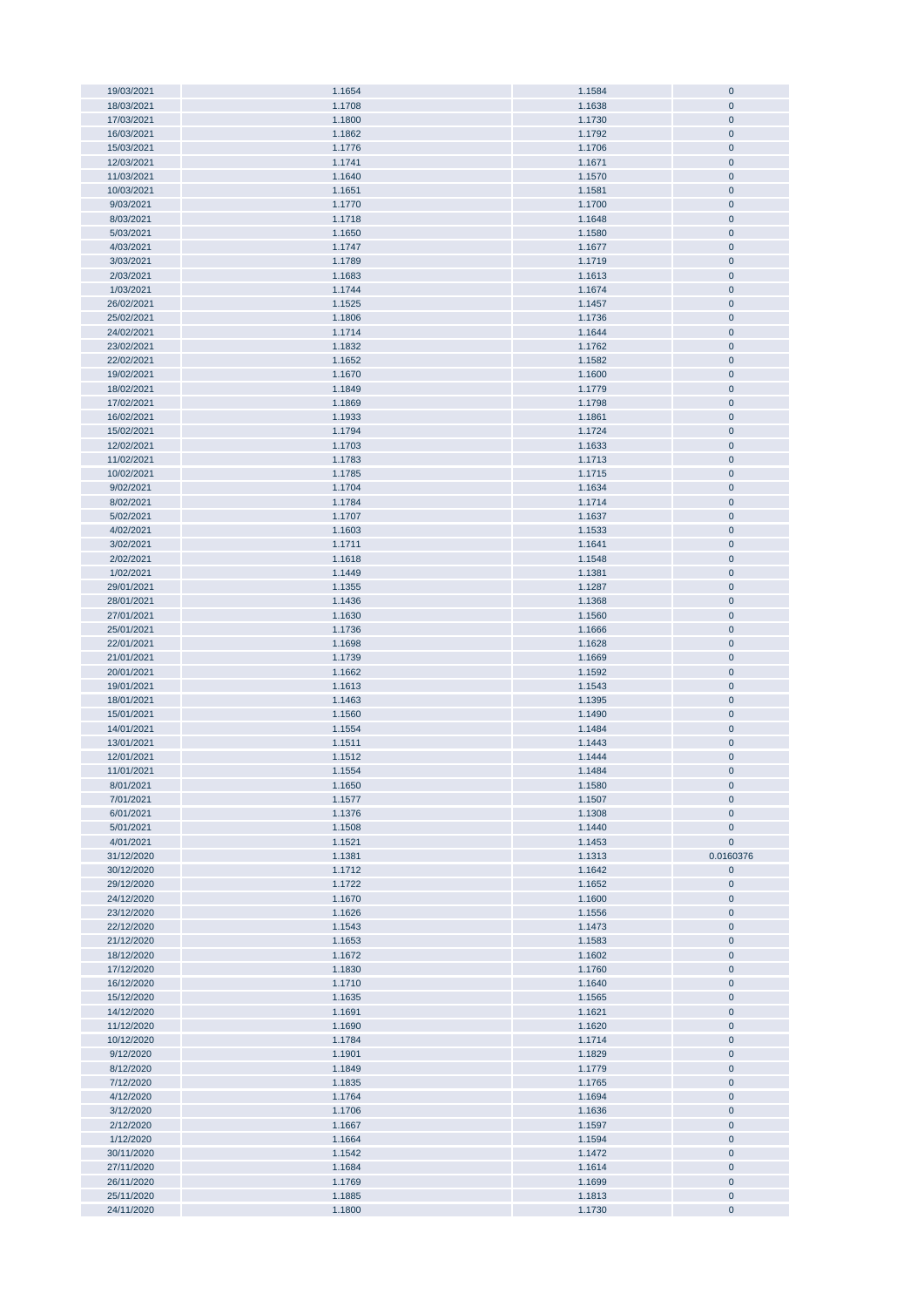| 19/03/2021<br>18/03/2021 |                  |                  |                        |
|--------------------------|------------------|------------------|------------------------|
|                          | 1.1654           | 1.1584           | $\pmb{0}$              |
|                          | 1.1708           | 1.1638           | $\mathbf 0$            |
|                          | 1.1800           | 1.1730           | $\mathbf 0$            |
| 17/03/2021               |                  |                  |                        |
| 16/03/2021               | 1.1862           | 1.1792           | $\pmb{0}$              |
| 15/03/2021               | 1.1776           | 1.1706           | $\pmb{0}$              |
|                          |                  |                  |                        |
| 12/03/2021               | 1.1741           | 1.1671           | $\pmb{0}$              |
| 11/03/2021               | 1.1640           | 1.1570           | $\pmb{0}$              |
| 10/03/2021               | 1.1651           | 1.1581           | $\pmb{0}$              |
|                          |                  |                  |                        |
| 9/03/2021                | 1.1770           | 1.1700           | $\pmb{0}$              |
| 8/03/2021                | 1.1718           | 1.1648           | $\pmb{0}$              |
| 5/03/2021                | 1.1650           | 1.1580           | $\pmb{0}$              |
|                          |                  |                  |                        |
| 4/03/2021                | 1.1747           | 1.1677           | $\pmb{0}$              |
| 3/03/2021                | 1.1789           | 1.1719           | $\pmb{0}$              |
| 2/03/2021                | 1.1683           | 1.1613           | $\pmb{0}$              |
|                          |                  |                  |                        |
| 1/03/2021                | 1.1744           | 1.1674           | $\pmb{0}$              |
| 26/02/2021               | 1.1525           | 1.1457           | $\pmb{0}$              |
| 25/02/2021               | 1.1806           | 1.1736           | $\pmb{0}$              |
|                          |                  |                  |                        |
| 24/02/2021               | 1.1714           | 1.1644           | $\pmb{0}$              |
| 23/02/2021               | 1.1832           | 1.1762           | $\pmb{0}$              |
| 22/02/2021               | 1.1652           | 1.1582           | $\pmb{0}$              |
|                          |                  |                  |                        |
| 19/02/2021               | 1.1670           | 1.1600           | $\pmb{0}$              |
| 18/02/2021               | 1.1849           | 1.1779           | $\pmb{0}$              |
|                          |                  |                  | $\pmb{0}$              |
| 17/02/2021               | 1.1869           | 1.1798           |                        |
| 16/02/2021               | 1.1933           | 1.1861           | $\mathbf 0$            |
| 15/02/2021               | 1.1794           | 1.1724           | $\pmb{0}$              |
| 12/02/2021               | 1.1703           |                  |                        |
|                          |                  | 1.1633           | $\pmb{0}$              |
| 11/02/2021               | 1.1783           | 1.1713           | $\pmb{0}$              |
| 10/02/2021               | 1.1785           | 1.1715           | $\pmb{0}$              |
|                          |                  |                  |                        |
| 9/02/2021                | 1.1704           | 1.1634           | $\pmb{0}$              |
| 8/02/2021                | 1.1784           | 1.1714           | $\pmb{0}$              |
| 5/02/2021                | 1.1707           | 1.1637           | $\pmb{0}$              |
|                          |                  |                  |                        |
| 4/02/2021                | 1.1603           | 1.1533           | $\pmb{0}$              |
| 3/02/2021                | 1.1711           | 1.1641           | $\pmb{0}$              |
| 2/02/2021                | 1.1618           | 1.1548           | $\pmb{0}$              |
|                          |                  |                  |                        |
| 1/02/2021                | 1.1449           | 1.1381           | $\pmb{0}$              |
| 29/01/2021               | 1.1355           | 1.1287           | $\pmb{0}$              |
| 28/01/2021               | 1.1436           | 1.1368           | $\pmb{0}$              |
|                          |                  |                  |                        |
| 27/01/2021               | 1.1630           | 1.1560           | $\pmb{0}$              |
| 25/01/2021               | 1.1736           | 1.1666           | $\pmb{0}$              |
| 22/01/2021               | 1.1698           | 1.1628           | $\pmb{0}$              |
|                          |                  |                  |                        |
| 21/01/2021               | 1.1739           | 1.1669           | $\pmb{0}$              |
| 20/01/2021               | 1.1662           | 1.1592           | $\bf{0}$               |
| 19/01/2021               | 1.1613           | 1.1543           | $\pmb{0}$              |
|                          |                  |                  |                        |
| 18/01/2021               | 1.1463           | 1.1395           | $\pmb{0}$              |
| 15/01/2021               | 1.1560           | 1.1490           | $\pmb{0}$              |
|                          |                  |                  |                        |
|                          |                  |                  |                        |
| 14/01/2021               | 1.1554           | 1.1484           | $\pmb{0}$              |
| 13/01/2021               | 1.1511           | 1.1443           | $\pmb{0}$              |
|                          |                  |                  |                        |
| 12/01/2021               | 1.1512           | 1.1444           | $\pmb{0}$              |
| 11/01/2021               | 1.1554           | 1.1484           | $\mathbf 0$            |
| 8/01/2021                | 1.1650           | 1.1580           | $\bf{0}$               |
|                          |                  |                  |                        |
| 7/01/2021                | 1.1577           | 1.1507           | $\bf 0$                |
| 6/01/2021                | 1.1376           | 1.1308           | $\pmb{0}$              |
| 5/01/2021                | 1.1508           | 1.1440           | $\pmb{0}$              |
|                          |                  |                  |                        |
| 4/01/2021                | 1.1521           | 1.1453           | $\pmb{0}$              |
| 31/12/2020               | 1.1381           | 1.1313           | 0.0160376              |
| 30/12/2020               | 1.1712           | 1.1642           | $\pmb{0}$              |
| 29/12/2020               |                  |                  |                        |
|                          | 1.1722           | 1.1652           | $\pmb{0}$              |
| 24/12/2020               | 1.1670           | 1.1600           | $\bf{0}$               |
| 23/12/2020               | 1.1626           | 1.1556           | $\pmb{0}$              |
|                          |                  |                  |                        |
| 22/12/2020               | 1.1543           | 1.1473           | $\bf{0}$               |
| 21/12/2020               | 1.1653           | 1.1583           | $\pmb{0}$              |
| 18/12/2020               | 1.1672           | 1.1602           | $\pmb{0}$              |
|                          |                  |                  |                        |
| 17/12/2020               | 1.1830           | 1.1760           | $\pmb{0}$              |
| 16/12/2020               | 1.1710           | 1.1640           | $\pmb{0}$              |
| 15/12/2020               | 1.1635           | 1.1565           | $\pmb{0}$              |
| 14/12/2020               | 1.1691           | 1.1621           | $\bf{0}$               |
|                          |                  |                  |                        |
| 11/12/2020               | 1.1690           | 1.1620           | $\bf{0}$               |
| 10/12/2020               | 1.1784           | 1.1714           | $\pmb{0}$              |
| 9/12/2020                | 1.1901           |                  | $\pmb{0}$              |
|                          |                  | 1.1829           |                        |
| 8/12/2020                | 1.1849           | 1.1779           | $\pmb{0}$              |
| 7/12/2020                | 1.1835           | 1.1765           | $\bf{0}$               |
|                          |                  |                  |                        |
| 4/12/2020                | 1.1764           | 1.1694           | $\pmb{0}$              |
| 3/12/2020                | 1.1706           | 1.1636           | $\pmb{0}$              |
| 2/12/2020                | 1.1667           | 1.1597           | $\pmb{0}$              |
|                          |                  |                  |                        |
| 1/12/2020                | 1.1664           | 1.1594           | $\pmb{0}$              |
| 30/11/2020               | 1.1542           | 1.1472           | $\pmb{0}$              |
| 27/11/2020               | 1.1684           | 1.1614           | $\pmb{0}$              |
|                          |                  |                  |                        |
| 26/11/2020               | 1.1769           | 1.1699           | $\pmb{0}$              |
| 25/11/2020<br>24/11/2020 | 1.1885<br>1.1800 | 1.1813<br>1.1730 | $\pmb{0}$<br>$\pmb{0}$ |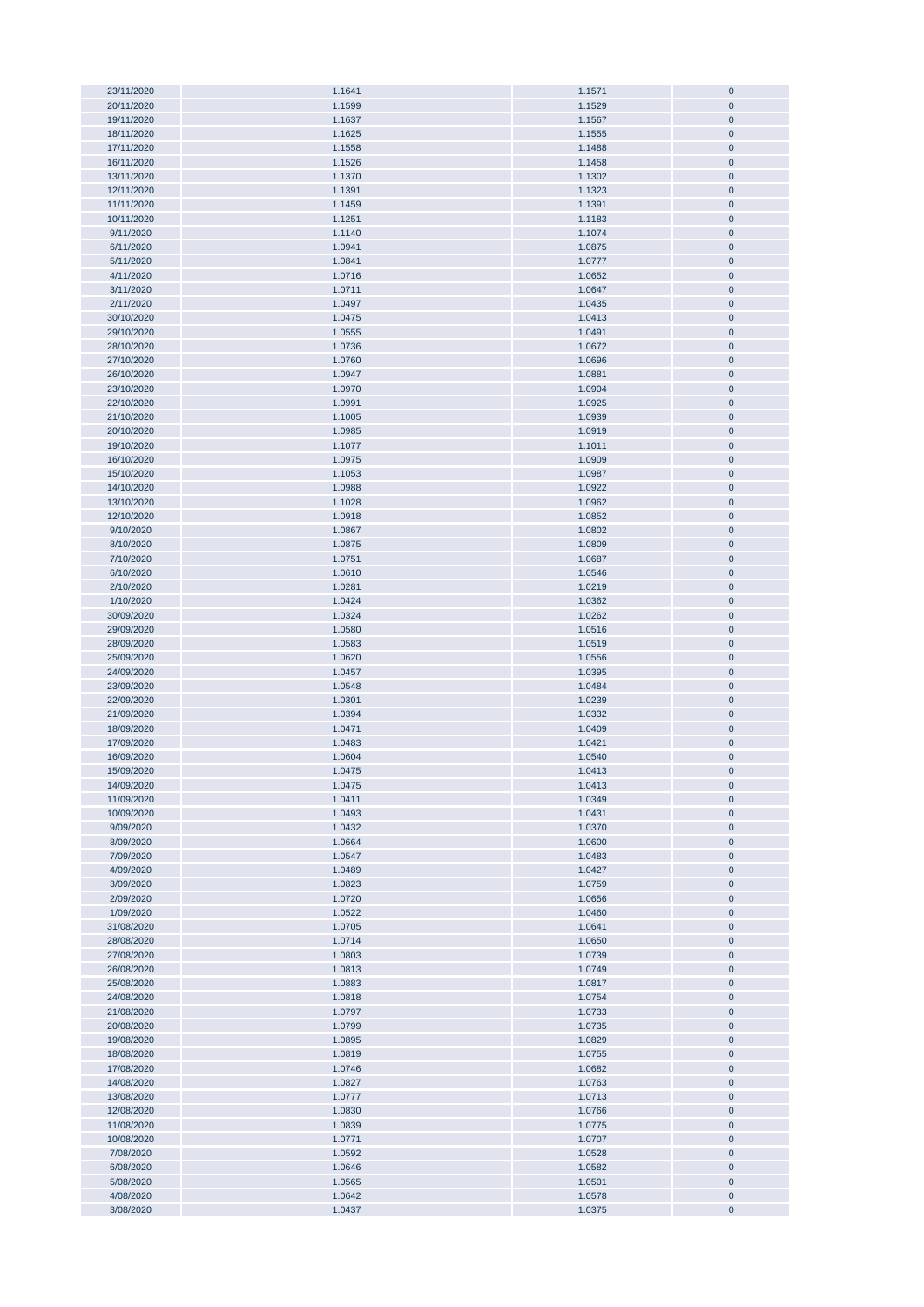| 23/11/2020 | 1.1641 | 1.1571 | $\bf{0}$     |
|------------|--------|--------|--------------|
|            |        |        |              |
| 20/11/2020 | 1.1599 | 1.1529 | $\pmb{0}$    |
| 19/11/2020 | 1.1637 | 1.1567 | $\pmb{0}$    |
| 18/11/2020 | 1.1625 | 1.1555 | $\pmb{0}$    |
|            |        |        |              |
| 17/11/2020 | 1.1558 | 1.1488 | $\pmb{0}$    |
| 16/11/2020 | 1.1526 | 1.1458 | $\bf{0}$     |
| 13/11/2020 | 1.1370 | 1.1302 | $\pmb{0}$    |
|            |        |        |              |
| 12/11/2020 | 1.1391 | 1.1323 | $\bf{0}$     |
| 11/11/2020 | 1.1459 | 1.1391 | $\pmb{0}$    |
| 10/11/2020 | 1.1251 | 1.1183 | $\bf{0}$     |
|            |        |        |              |
| 9/11/2020  | 1.1140 | 1.1074 | $\pmb{0}$    |
| 6/11/2020  | 1.0941 | 1.0875 | $\pmb{0}$    |
| 5/11/2020  | 1.0841 | 1.0777 | $\pmb{0}$    |
|            |        |        |              |
| 4/11/2020  | 1.0716 | 1.0652 | $\pmb{0}$    |
| 3/11/2020  | 1.0711 | 1.0647 | $\pmb{0}$    |
|            |        |        |              |
| 2/11/2020  | 1.0497 | 1.0435 | $\pmb{0}$    |
| 30/10/2020 | 1.0475 | 1.0413 | $\pmb{0}$    |
| 29/10/2020 | 1.0555 | 1.0491 | $\pmb{0}$    |
|            |        |        |              |
| 28/10/2020 | 1.0736 | 1.0672 | $\pmb{0}$    |
| 27/10/2020 | 1.0760 | 1.0696 | $\pmb{0}$    |
| 26/10/2020 | 1.0947 | 1.0881 | $\pmb{0}$    |
|            |        |        |              |
| 23/10/2020 | 1.0970 | 1.0904 | $\pmb{0}$    |
| 22/10/2020 | 1.0991 | 1.0925 | $\pmb{0}$    |
| 21/10/2020 | 1.1005 | 1.0939 | $\pmb{0}$    |
|            |        |        |              |
| 20/10/2020 | 1.0985 | 1.0919 | $\pmb{0}$    |
| 19/10/2020 | 1.1077 | 1.1011 | $\pmb{0}$    |
|            |        |        |              |
| 16/10/2020 | 1.0975 | 1.0909 | $\pmb{0}$    |
| 15/10/2020 | 1.1053 | 1.0987 | $\pmb{0}$    |
| 14/10/2020 | 1.0988 | 1.0922 | $\pmb{0}$    |
|            |        |        |              |
| 13/10/2020 | 1.1028 | 1.0962 | $\bf{0}$     |
| 12/10/2020 | 1.0918 | 1.0852 | $\bf{0}$     |
| 9/10/2020  | 1.0867 | 1.0802 | $\pmb{0}$    |
|            |        |        |              |
| 8/10/2020  | 1.0875 | 1.0809 | $\pmb{0}$    |
| 7/10/2020  | 1.0751 | 1.0687 | $\pmb{0}$    |
| 6/10/2020  | 1.0610 | 1.0546 | $\bf{0}$     |
|            |        |        |              |
| 2/10/2020  | 1.0281 | 1.0219 | $\pmb{0}$    |
| 1/10/2020  | 1.0424 | 1.0362 | $\pmb{0}$    |
|            |        |        |              |
| 30/09/2020 | 1.0324 | 1.0262 | $\pmb{0}$    |
| 29/09/2020 | 1.0580 | 1.0516 | $\pmb{0}$    |
| 28/09/2020 | 1.0583 | 1.0519 | $\pmb{0}$    |
|            |        |        |              |
| 25/09/2020 | 1.0620 | 1.0556 | $\pmb{0}$    |
| 24/09/2020 | 1.0457 | 1.0395 | $\pmb{0}$    |
| 23/09/2020 | 1.0548 | 1.0484 | $\pmb{0}$    |
|            |        |        |              |
| 22/09/2020 | 1.0301 | 1.0239 | $\pmb{0}$    |
| 21/09/2020 | 1.0394 | 1.0332 | $\pmb{0}$    |
| 18/09/2020 | 1.0471 | 1.0409 | $\pmb{0}$    |
|            |        |        |              |
| 17/09/2020 | 1.0483 | 1.0421 | $\pmb{0}$    |
| 16/09/2020 | 1.0604 | 1.0540 | $\pmb{0}$    |
| 15/09/2020 | 1.0475 | 1.0413 | $\mathbf{0}$ |
|            |        |        |              |
| 14/09/2020 | 1.0475 | 1.0413 | U            |
| 11/09/2020 | 1.0411 | 1.0349 | $\pmb{0}$    |
|            |        |        |              |
| 10/09/2020 | 1.0493 | 1.0431 | $\pmb{0}$    |
| 9/09/2020  | 1.0432 | 1.0370 | $\pmb{0}$    |
| 8/09/2020  | 1.0664 | 1.0600 | $\bf{0}$     |
|            |        |        |              |
| 7/09/2020  | 1.0547 | 1.0483 | $\pmb{0}$    |
| 4/09/2020  | 1.0489 | 1.0427 | $\pmb{0}$    |
| 3/09/2020  | 1.0823 | 1.0759 | $\pmb{0}$    |
|            |        | 1.0656 |              |
| 2/09/2020  | 1.0720 |        | $\pmb{0}$    |
| 1/09/2020  | 1.0522 | 1.0460 | $\pmb{0}$    |
| 31/08/2020 | 1.0705 | 1.0641 | $\pmb{0}$    |
|            |        |        |              |
| 28/08/2020 | 1.0714 | 1.0650 | $\pmb{0}$    |
| 27/08/2020 | 1.0803 | 1.0739 | $\pmb{0}$    |
| 26/08/2020 | 1.0813 | 1.0749 | $\pmb{0}$    |
| 25/08/2020 | 1.0883 | 1.0817 | $\pmb{0}$    |
|            |        |        |              |
| 24/08/2020 | 1.0818 | 1.0754 | $\pmb{0}$    |
| 21/08/2020 | 1.0797 | 1.0733 | $\pmb{0}$    |
| 20/08/2020 | 1.0799 |        | $\pmb{0}$    |
|            |        | 1.0735 |              |
| 19/08/2020 | 1.0895 | 1.0829 | $\pmb{0}$    |
| 18/08/2020 | 1.0819 | 1.0755 | $\pmb{0}$    |
|            |        |        |              |
| 17/08/2020 | 1.0746 | 1.0682 | $\pmb{0}$    |
| 14/08/2020 | 1.0827 | 1.0763 | $\pmb{0}$    |
| 13/08/2020 | 1.0777 | 1.0713 | $\pmb{0}$    |
|            |        |        |              |
| 12/08/2020 | 1.0830 | 1.0766 | $\pmb{0}$    |
| 11/08/2020 | 1.0839 | 1.0775 | $\pmb{0}$    |
| 10/08/2020 | 1.0771 | 1.0707 | $\pmb{0}$    |
|            |        |        |              |
| 7/08/2020  | 1.0592 | 1.0528 | $\pmb{0}$    |
| 6/08/2020  | 1.0646 | 1.0582 | $\pmb{0}$    |
| 5/08/2020  | 1.0565 | 1.0501 | $\pmb{0}$    |
|            |        |        |              |
| 4/08/2020  | 1.0642 | 1.0578 | $\pmb{0}$    |
| 3/08/2020  | 1.0437 | 1.0375 | $\pmb{0}$    |
|            |        |        |              |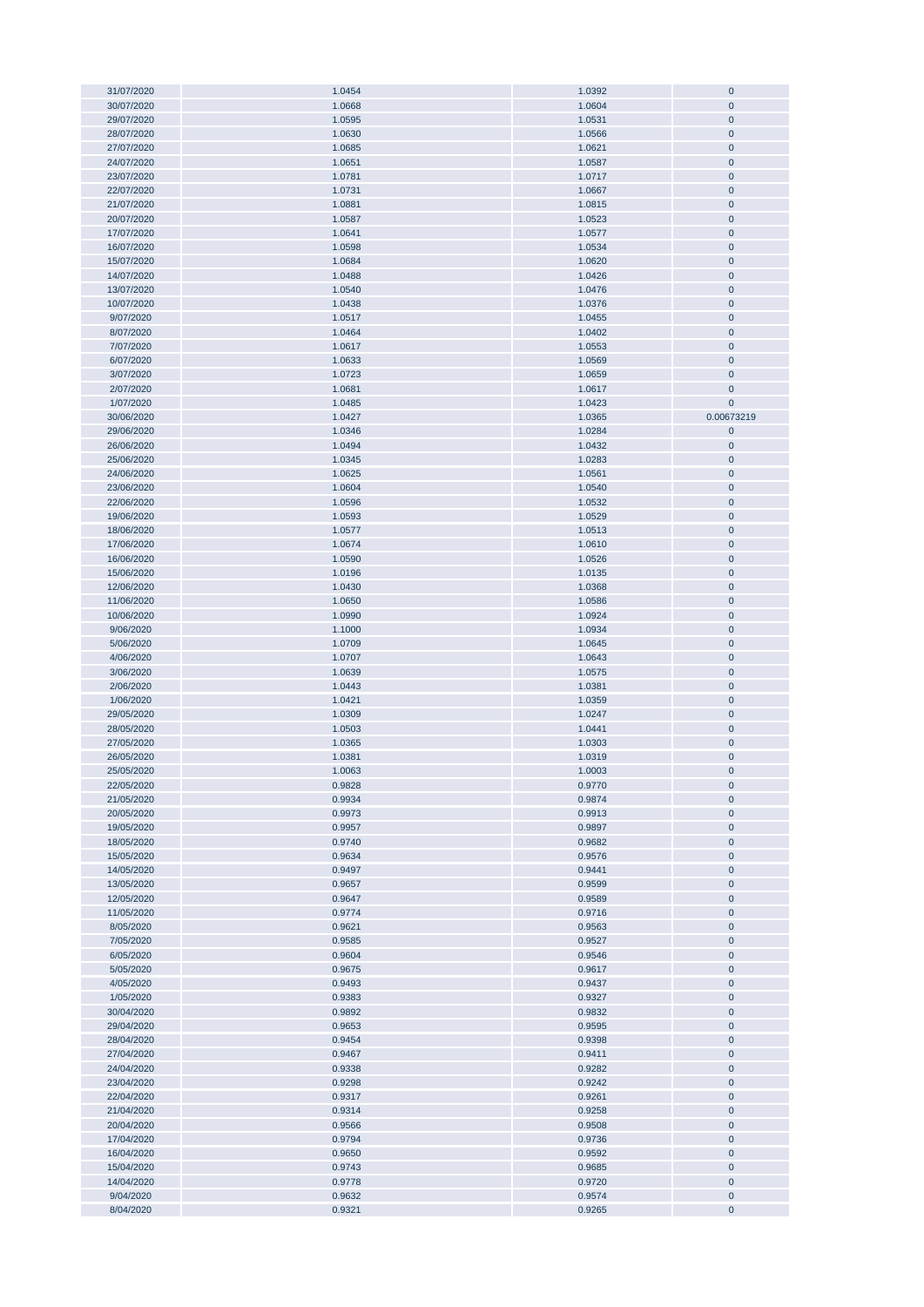| 31/07/2020 | 1.0454 | 1.0392 | $\mathbf 0$    |
|------------|--------|--------|----------------|
|            |        |        |                |
| 30/07/2020 | 1.0668 | 1.0604 | $\pmb{0}$      |
| 29/07/2020 | 1.0595 | 1.0531 | $\mathbf{0}$   |
| 28/07/2020 | 1.0630 |        |                |
|            |        | 1.0566 | $\pmb{0}$      |
| 27/07/2020 | 1.0685 | 1.0621 | $\pmb{0}$      |
| 24/07/2020 | 1.0651 | 1.0587 | $\pmb{0}$      |
| 23/07/2020 | 1.0781 | 1.0717 | $\pmb{0}$      |
|            |        |        |                |
| 22/07/2020 | 1.0731 | 1.0667 | $\pmb{0}$      |
| 21/07/2020 | 1.0881 | 1.0815 | $\pmb{0}$      |
|            |        |        |                |
| 20/07/2020 | 1.0587 | 1.0523 | $\pmb{0}$      |
| 17/07/2020 | 1.0641 | 1.0577 | $\pmb{0}$      |
| 16/07/2020 | 1.0598 | 1.0534 | $\pmb{0}$      |
|            |        |        |                |
| 15/07/2020 | 1.0684 | 1.0620 | $\pmb{0}$      |
| 14/07/2020 | 1.0488 | 1.0426 | $\pmb{0}$      |
| 13/07/2020 | 1.0540 | 1.0476 | $\pmb{0}$      |
|            |        |        |                |
| 10/07/2020 | 1.0438 | 1.0376 | $\pmb{0}$      |
| 9/07/2020  | 1.0517 | 1.0455 | $\pmb{0}$      |
| 8/07/2020  | 1.0464 | 1.0402 | $\pmb{0}$      |
|            |        |        |                |
| 7/07/2020  | 1.0617 | 1.0553 | $\pmb{0}$      |
| 6/07/2020  | 1.0633 | 1.0569 | $\pmb{0}$      |
| 3/07/2020  | 1.0723 | 1.0659 | $\mathbf 0$    |
|            |        |        |                |
| 2/07/2020  | 1.0681 | 1.0617 | $\pmb{0}$      |
| 1/07/2020  | 1.0485 | 1.0423 | $\mathbf 0$    |
| 30/06/2020 | 1.0427 | 1.0365 | 0.00673219     |
|            |        |        |                |
| 29/06/2020 | 1.0346 | 1.0284 | $\pmb{0}$      |
| 26/06/2020 | 1.0494 | 1.0432 | $\overline{0}$ |
| 25/06/2020 | 1.0345 | 1.0283 | $\pmb{0}$      |
|            |        |        |                |
| 24/06/2020 | 1.0625 | 1.0561 | $\pmb{0}$      |
| 23/06/2020 | 1.0604 | 1.0540 | $\pmb{0}$      |
| 22/06/2020 | 1.0596 | 1.0532 | $\pmb{0}$      |
|            |        |        |                |
| 19/06/2020 | 1.0593 | 1.0529 | $\pmb{0}$      |
| 18/06/2020 | 1.0577 | 1.0513 | $\pmb{0}$      |
| 17/06/2020 | 1.0674 | 1.0610 | $\pmb{0}$      |
|            |        |        |                |
| 16/06/2020 | 1.0590 | 1.0526 | $\pmb{0}$      |
| 15/06/2020 | 1.0196 | 1.0135 | $\pmb{0}$      |
| 12/06/2020 | 1.0430 | 1.0368 | $\pmb{0}$      |
|            |        |        |                |
| 11/06/2020 | 1.0650 | 1.0586 | $\pmb{0}$      |
| 10/06/2020 | 1.0990 | 1.0924 | $\pmb{0}$      |
| 9/06/2020  | 1.1000 | 1.0934 | $\pmb{0}$      |
|            |        |        |                |
| 5/06/2020  | 1.0709 | 1.0645 | $\pmb{0}$      |
| 4/06/2020  | 1.0707 | 1.0643 | $\pmb{0}$      |
| 3/06/2020  | 1.0639 | 1.0575 | $\pmb{0}$      |
|            |        |        |                |
| 2/06/2020  | 1.0443 | 1.0381 | $\pmb{0}$      |
| 1/06/2020  | 1.0421 | 1.0359 | $\pmb{0}$      |
| 29/05/2020 | 1.0309 | 1.0247 | $\overline{0}$ |
|            |        |        |                |
| 28/05/2020 | 1.0503 | 1.0441 | $\pmb{0}$      |
| 27/05/2020 | 1.0365 | 1.0303 | $\pmb{0}$      |
| 26/05/2020 | 1.0381 | 1.0319 | $\pmb{0}$      |
|            |        |        |                |
| 25/05/2020 | 1.0063 | 1.0003 | $\mathbf 0$    |
| 22/05/2020 | 0.9828 | 0.9770 | $\mathbf 0$    |
| 21/05/2020 | 0.9934 | 0.9874 | $\pmb{0}$      |
|            |        |        |                |
| 20/05/2020 | 0.9973 | 0.9913 | $\pmb{0}$      |
| 19/05/2020 | 0.9957 | 0.9897 | $\pmb{0}$      |
| 18/05/2020 | 0.9740 | 0.9682 | $\pmb{0}$      |
|            |        |        |                |
| 15/05/2020 | 0.9634 | 0.9576 | $\pmb{0}$      |
| 14/05/2020 | 0.9497 | 0.9441 | $\pmb{0}$      |
| 13/05/2020 | 0.9657 | 0.9599 | $\pmb{0}$      |
| 12/05/2020 | 0.9647 | 0.9589 | $\pmb{0}$      |
|            |        |        |                |
| 11/05/2020 | 0.9774 | 0.9716 | $\pmb{0}$      |
| 8/05/2020  | 0.9621 | 0.9563 | $\pmb{0}$      |
| 7/05/2020  | 0.9585 | 0.9527 | $\pmb{0}$      |
|            |        |        |                |
| 6/05/2020  | 0.9604 | 0.9546 | $\pmb{0}$      |
| 5/05/2020  | 0.9675 | 0.9617 | $\pmb{0}$      |
| 4/05/2020  | 0.9493 | 0.9437 | $\pmb{0}$      |
|            |        |        |                |
| 1/05/2020  | 0.9383 | 0.9327 | $\pmb{0}$      |
| 30/04/2020 | 0.9892 | 0.9832 | $\pmb{0}$      |
| 29/04/2020 | 0.9653 | 0.9595 | $\pmb{0}$      |
| 28/04/2020 | 0.9454 | 0.9398 | $\pmb{0}$      |
|            |        |        |                |
| 27/04/2020 | 0.9467 | 0.9411 | $\bf{0}$       |
| 24/04/2020 | 0.9338 | 0.9282 | $\pmb{0}$      |
| 23/04/2020 | 0.9298 | 0.9242 |                |
|            |        |        | $\bf{0}$       |
| 22/04/2020 | 0.9317 | 0.9261 | $\pmb{0}$      |
| 21/04/2020 | 0.9314 | 0.9258 | $\pmb{0}$      |
|            | 0.9566 | 0.9508 | $\pmb{0}$      |
| 20/04/2020 |        |        |                |
| 17/04/2020 | 0.9794 | 0.9736 | $\pmb{0}$      |
| 16/04/2020 | 0.9650 | 0.9592 | $\pmb{0}$      |
| 15/04/2020 | 0.9743 | 0.9685 | $\pmb{0}$      |
|            |        |        |                |
| 14/04/2020 | 0.9778 | 0.9720 | $\pmb{0}$      |
| 9/04/2020  | 0.9632 | 0.9574 | $\pmb{0}$      |
| 8/04/2020  | 0.9321 | 0.9265 | $\pmb{0}$      |
|            |        |        |                |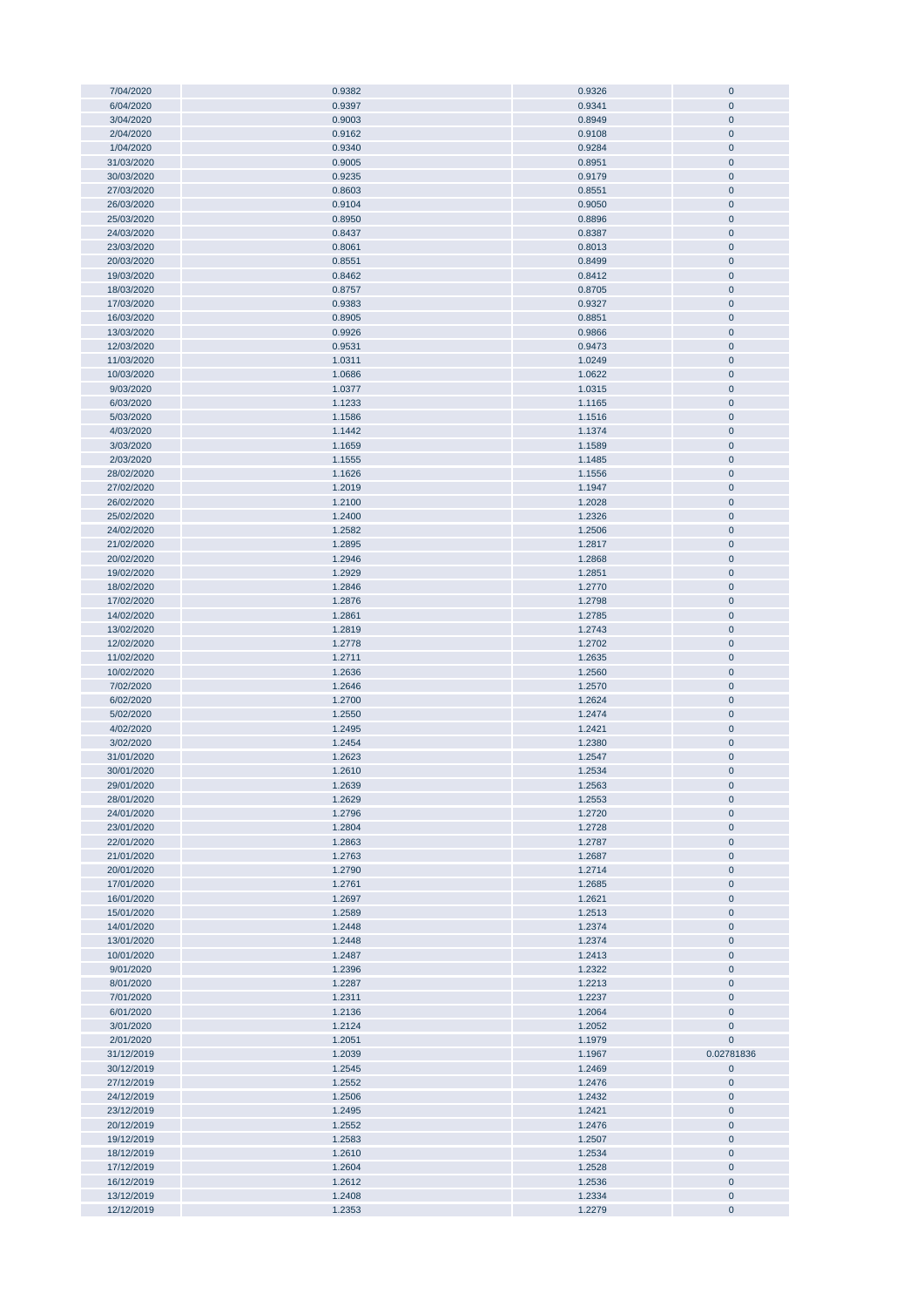| 7/04/2020  | 0.9382 | 0.9326           | $\mathbf 0$    |
|------------|--------|------------------|----------------|
|            |        |                  |                |
| 6/04/2020  | 0.9397 | 0.9341           | $\mathbf 0$    |
| 3/04/2020  | 0.9003 | 0.8949           | $\pmb{0}$      |
| 2/04/2020  | 0.9162 | 0.9108           | $\pmb{0}$      |
|            |        |                  |                |
| 1/04/2020  | 0.9340 | 0.9284           | $\pmb{0}$      |
| 31/03/2020 | 0.9005 | 0.8951           | $\pmb{0}$      |
| 30/03/2020 | 0.9235 | 0.9179           | $\pmb{0}$      |
|            |        |                  |                |
| 27/03/2020 | 0.8603 | 0.8551           | $\pmb{0}$      |
| 26/03/2020 | 0.9104 | 0.9050           | $\pmb{0}$      |
|            |        |                  |                |
| 25/03/2020 | 0.8950 | 0.8896           | $\pmb{0}$      |
| 24/03/2020 | 0.8437 | 0.8387           | $\mathbf 0$    |
| 23/03/2020 | 0.8061 | 0.8013           | $\pmb{0}$      |
|            |        |                  |                |
| 20/03/2020 | 0.8551 | 0.8499           | $\pmb{0}$      |
| 19/03/2020 | 0.8462 | 0.8412           | $\pmb{0}$      |
|            |        |                  |                |
| 18/03/2020 | 0.8757 | 0.8705           | $\pmb{0}$      |
| 17/03/2020 | 0.9383 | 0.9327           | $\pmb{0}$      |
| 16/03/2020 | 0.8905 | 0.8851           | $\pmb{0}$      |
|            |        |                  |                |
| 13/03/2020 | 0.9926 | 0.9866           | $\pmb{0}$      |
| 12/03/2020 | 0.9531 | 0.9473           | $\pmb{0}$      |
|            |        |                  |                |
| 11/03/2020 | 1.0311 | 1.0249           | $\pmb{0}$      |
| 10/03/2020 | 1.0686 | 1.0622           | $\mathbf{0}$   |
| 9/03/2020  | 1.0377 | 1.0315           | $\pmb{0}$      |
|            |        |                  |                |
| 6/03/2020  | 1.1233 | 1.1165           | $\mathbf{0}$   |
| 5/03/2020  | 1.1586 | 1.1516           | $\mathbf{0}$   |
| 4/03/2020  |        | 1.1374           | $\mathbf{0}$   |
|            | 1.1442 |                  |                |
| 3/03/2020  | 1.1659 | 1.1589           | $\pmb{0}$      |
| 2/03/2020  | 1.1555 | 1.1485           | $\pmb{0}$      |
|            |        |                  |                |
| 28/02/2020 | 1.1626 | 1.1556           | $\pmb{0}$      |
| 27/02/2020 | 1.2019 | 1.1947           | $\overline{0}$ |
| 26/02/2020 | 1.2100 | 1.2028           | $\pmb{0}$      |
|            |        |                  |                |
| 25/02/2020 | 1.2400 | 1.2326           | $\pmb{0}$      |
| 24/02/2020 | 1.2582 | 1.2506           | $\pmb{0}$      |
|            |        |                  |                |
| 21/02/2020 | 1.2895 | 1.2817           | $\pmb{0}$      |
| 20/02/2020 | 1.2946 | 1.2868           | $\pmb{0}$      |
| 19/02/2020 | 1.2929 | 1.2851           | $\pmb{0}$      |
|            |        |                  |                |
| 18/02/2020 | 1.2846 | 1.2770           | $\mathbf{0}$   |
| 17/02/2020 | 1.2876 | 1.2798           | $\pmb{0}$      |
| 14/02/2020 |        |                  |                |
|            | 1.2861 | 1.2785           | $\pmb{0}$      |
| 13/02/2020 | 1.2819 | 1.2743           | $\pmb{0}$      |
| 12/02/2020 | 1.2778 | 1.2702           | $\pmb{0}$      |
|            |        |                  |                |
| 11/02/2020 | 1.2711 | 1.2635           | $\pmb{0}$      |
| 10/02/2020 | 1.2636 | 1.2560           | $\pmb{0}$      |
|            |        |                  |                |
| 7/02/2020  | 1.2646 | 1.2570           | $\pmb{0}$      |
| 6/02/2020  | 1.2700 | 1.2624           | $\pmb{0}$      |
| 5/02/2020  | 1.2550 | 1.2474           | $\pmb{0}$      |
|            |        |                  |                |
| 4/02/2020  | 1.2495 | 1.2421           | $\pmb{0}$      |
| 3/02/2020  | 1.2454 | 1.2380           | $\pmb{0}$      |
| 31/01/2020 | 1.2623 | 1.2547           | $\mathbf{0}$   |
|            |        |                  |                |
| 30/01/2020 | 1.2610 | 1.2534           | $\mathbf 0$    |
| 29/01/2020 | 1.2639 | 1.2563           | $\mathbf{0}$   |
|            |        |                  |                |
| 28/01/2020 | 1.2629 | 1.2553           | $\pmb{0}$      |
| 24/01/2020 | 1.2796 | 1.2720           | $\bf{0}$       |
| 23/01/2020 | 1.2804 | 1.2728           | $\pmb{0}$      |
|            |        |                  |                |
| 22/01/2020 | 1.2863 | 1.2787           | $\pmb{0}$      |
| 21/01/2020 | 1.2763 | 1.2687           | $\pmb{0}$      |
| 20/01/2020 | 1.2790 | 1.2714           | $\pmb{0}$      |
|            |        |                  |                |
| 17/01/2020 | 1.2761 | 1.2685           | $\pmb{0}$      |
| 16/01/2020 | 1.2697 | 1.2621           | $\pmb{0}$      |
|            | 1.2589 |                  |                |
| 15/01/2020 |        |                  |                |
| 14/01/2020 |        | 1.2513           | $\pmb{0}$      |
|            | 1.2448 | 1.2374           | $\pmb{0}$      |
|            |        |                  |                |
| 13/01/2020 | 1.2448 | 1.2374           | $\pmb{0}$      |
| 10/01/2020 | 1.2487 | 1.2413           | $\pmb{0}$      |
| 9/01/2020  | 1.2396 | 1.2322           | $\pmb{0}$      |
|            |        |                  |                |
| 8/01/2020  | 1.2287 | 1.2213           | $\bf{0}$       |
| 7/01/2020  | 1.2311 | 1.2237           | $\pmb{0}$      |
| 6/01/2020  |        |                  |                |
|            | 1.2136 | 1.2064           | $\pmb{0}$      |
| 3/01/2020  | 1.2124 | 1.2052           | $\bf{0}$       |
| 2/01/2020  | 1.2051 | 1.1979           | 0              |
|            |        |                  |                |
| 31/12/2019 | 1.2039 | 1.1967           | 0.02781836     |
| 30/12/2019 | 1.2545 | 1.2469           | 0              |
| 27/12/2019 | 1.2552 | 1.2476           | $\bf{0}$       |
|            |        |                  |                |
| 24/12/2019 | 1.2506 | 1.2432           | $\pmb{0}$      |
| 23/12/2019 | 1.2495 | 1.2421           | $\pmb{0}$      |
| 20/12/2019 | 1.2552 |                  |                |
|            |        | 1.2476           | 0              |
| 19/12/2019 | 1.2583 | 1.2507           | $\pmb{0}$      |
| 18/12/2019 | 1.2610 | 1.2534           | $\bf{0}$       |
|            |        |                  |                |
| 17/12/2019 | 1.2604 | 1.2528           | $\pmb{0}$      |
| 16/12/2019 | 1.2612 | 1.2536           | $\pmb{0}$      |
| 13/12/2019 | 1.2408 |                  | $\pmb{0}$      |
| 12/12/2019 | 1.2353 | 1.2334<br>1.2279 | $\pmb{0}$      |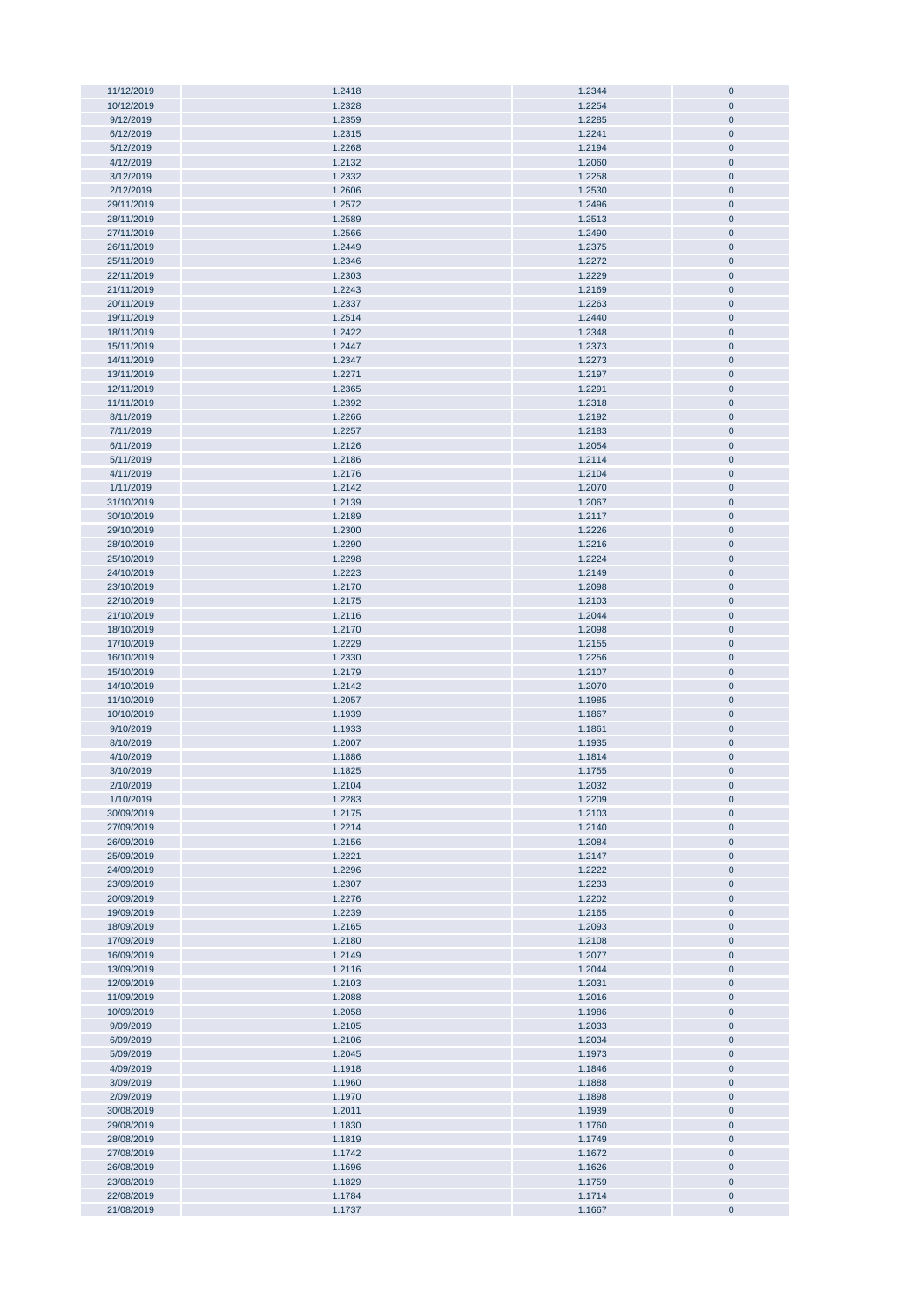| 11/12/2019<br>10/12/2019<br>9/12/2019 |                  |                  |                        |
|---------------------------------------|------------------|------------------|------------------------|
|                                       | 1.2418           | 1.2344           | $\pmb{0}$              |
|                                       | 1.2328           | 1.2254           | $\pmb{0}$              |
|                                       |                  |                  |                        |
|                                       | 1.2359           | 1.2285           | $\pmb{0}$              |
| 6/12/2019                             | 1.2315           | 1.2241           | $\pmb{0}$              |
| 5/12/2019                             | 1.2268           | 1.2194           | $\pmb{0}$              |
|                                       |                  |                  |                        |
| 4/12/2019                             | 1.2132           | 1.2060           | $\pmb{0}$              |
| 3/12/2019                             | 1.2332           | 1.2258           | $\pmb{0}$              |
|                                       |                  |                  |                        |
| 2/12/2019                             | 1.2606           | 1.2530           | $\pmb{0}$              |
| 29/11/2019                            | 1.2572           | 1.2496           | $\pmb{0}$              |
|                                       |                  |                  |                        |
| 28/11/2019                            | 1.2589           | 1.2513           | $\pmb{0}$              |
| 27/11/2019                            | 1.2566           | 1.2490           | $\pmb{0}$              |
|                                       |                  |                  |                        |
| 26/11/2019                            | 1.2449           | 1.2375           | $\pmb{0}$              |
| 25/11/2019                            | 1.2346           | 1.2272           | $\pmb{0}$              |
|                                       |                  | 1.2229           |                        |
| 22/11/2019                            | 1.2303           |                  | $\pmb{0}$              |
| 21/11/2019                            | 1.2243           | 1.2169           | $\pmb{0}$              |
| 20/11/2019                            | 1.2337           | 1.2263           | $\pmb{0}$              |
|                                       |                  |                  |                        |
| 19/11/2019                            | 1.2514           | 1.2440           | $\pmb{0}$              |
| 18/11/2019                            | 1.2422           | 1.2348           | $\pmb{0}$              |
|                                       |                  |                  |                        |
| 15/11/2019                            | 1.2447           | 1.2373           | $\pmb{0}$              |
| 14/11/2019                            | 1.2347           | 1.2273           | $\pmb{0}$              |
| 13/11/2019                            | 1.2271           | 1.2197           | $\pmb{0}$              |
|                                       |                  |                  |                        |
| 12/11/2019                            | 1.2365           | 1.2291           | $\pmb{0}$              |
| 11/11/2019                            | 1.2392           | 1.2318           | $\pmb{0}$              |
|                                       |                  |                  |                        |
| 8/11/2019                             | 1.2266           | 1.2192           | $\pmb{0}$              |
| 7/11/2019                             | 1.2257           | 1.2183           | $\pmb{0}$              |
|                                       |                  |                  |                        |
| 6/11/2019                             | 1.2126           | 1.2054           | $\pmb{0}$              |
| 5/11/2019                             | 1.2186           | 1.2114           | $\pmb{0}$              |
| 4/11/2019                             | 1.2176           | 1.2104           | $\pmb{0}$              |
|                                       |                  |                  |                        |
| 1/11/2019                             | 1.2142           | 1.2070           | $\pmb{0}$              |
| 31/10/2019                            | 1.2139           | 1.2067           | $\pmb{0}$              |
|                                       |                  |                  |                        |
| 30/10/2019                            | 1.2189           | 1.2117           | $\pmb{0}$              |
| 29/10/2019                            | 1.2300           | 1.2226           | $\pmb{0}$              |
| 28/10/2019                            | 1.2290           |                  | $\pmb{0}$              |
|                                       |                  | 1.2216           |                        |
| 25/10/2019                            | 1.2298           | 1.2224           | $\pmb{0}$              |
| 24/10/2019                            | 1.2223           | 1.2149           | $\pmb{0}$              |
| 23/10/2019                            | 1.2170           | 1.2098           | $\pmb{0}$              |
|                                       |                  |                  |                        |
| 22/10/2019                            | 1.2175           | 1.2103           | $\pmb{0}$              |
| 21/10/2019                            | 1.2116           | 1.2044           | $\pmb{0}$              |
| 18/10/2019                            | 1.2170           | 1.2098           | $\pmb{0}$              |
|                                       |                  |                  |                        |
| 17/10/2019                            | 1.2229           | 1.2155           | $\pmb{0}$              |
| 16/10/2019                            | 1.2330           | 1.2256           | $\pmb{0}$              |
| 15/10/2019                            |                  |                  | $\pmb{0}$              |
|                                       | 1.2179           | 1.2107           |                        |
| 14/10/2019                            | 1.2142           | 1.2070           | $\pmb{0}$              |
| 11/10/2019                            | 1.2057           | 1.1985           | $\pmb{0}$              |
|                                       |                  |                  |                        |
| 10/10/2019                            | 1.1939           | 1.1867           | $\pmb{0}$              |
| 9/10/2019                             | 1.1933           | 1.1861           | $\pmb{0}$              |
| 8/10/2019                             | 1.2007           | 1.1935           |                        |
|                                       |                  |                  |                        |
|                                       |                  |                  | $\pmb{0}$              |
| 4/10/2019                             | 1.1886           | 1.1814           | $\mathbf 0$            |
| 3/10/2019                             | 1.1825           | 1.1755           | $\mathbf 0$            |
|                                       |                  |                  |                        |
| 2/10/2019                             | 1.2104           | 1.2032           | $\pmb{0}$              |
| 1/10/2019                             | 1.2283           | 1.2209           | $\pmb{0}$              |
| 30/09/2019                            | 1.2175           | 1.2103           | $\mathbf 0$            |
|                                       |                  |                  |                        |
| 27/09/2019                            | 1.2214           | 1.2140           | $\pmb{0}$              |
| 26/09/2019                            | 1.2156           | 1.2084           | $\mathbf 0$            |
|                                       | 1.2221           |                  |                        |
| 25/09/2019                            |                  | 1.2147           | $\pmb{0}$              |
| 24/09/2019                            | 1.2296           | 1.2222           | $\mathbf 0$            |
| 23/09/2019                            | 1.2307           | 1.2233           | $\pmb{0}$              |
|                                       |                  |                  |                        |
| 20/09/2019                            | 1.2276           | 1.2202           | $\pmb{0}$              |
| 19/09/2019                            | 1.2239           | 1.2165           | $\pmb{0}$              |
| 18/09/2019                            |                  |                  |                        |
|                                       | 1.2165           | 1.2093           | $\pmb{0}$              |
| 17/09/2019                            | 1.2180           | 1.2108           | $\pmb{0}$              |
| 16/09/2019                            | 1.2149           | 1.2077           | $\pmb{0}$              |
|                                       |                  | 1.2044           |                        |
| 13/09/2019                            | 1.2116           |                  | $\pmb{0}$              |
| 12/09/2019                            | 1.2103           | 1.2031           | $\pmb{0}$              |
| 11/09/2019                            | 1.2088           | 1.2016           | $\pmb{0}$              |
|                                       |                  |                  |                        |
| 10/09/2019                            | 1.2058           | 1.1986           | $\pmb{0}$              |
| 9/09/2019                             | 1.2105           | 1.2033           | $\pmb{0}$              |
| 6/09/2019                             | 1.2106           | 1.2034           | $\pmb{0}$              |
|                                       |                  |                  |                        |
| 5/09/2019                             | 1.2045           | 1.1973           | $\pmb{0}$              |
| 4/09/2019                             | 1.1918           | 1.1846           | $\pmb{0}$              |
| 3/09/2019                             | 1.1960           | 1.1888           | $\pmb{0}$              |
|                                       |                  |                  |                        |
| 2/09/2019                             | 1.1970           | 1.1898           | $\pmb{0}$              |
| 30/08/2019                            | 1.2011           | 1.1939           | $\pmb{0}$              |
| 29/08/2019                            | 1.1830           | 1.1760           | $\pmb{0}$              |
|                                       |                  |                  |                        |
| 28/08/2019                            | 1.1819           | 1.1749           | $\pmb{0}$              |
| 27/08/2019                            | 1.1742           | 1.1672           | $\pmb{0}$              |
| 26/08/2019                            | 1.1696           | 1.1626           | $\pmb{0}$              |
|                                       |                  |                  |                        |
| 23/08/2019                            | 1.1829           | 1.1759           | $\pmb{0}$              |
| 22/08/2019<br>21/08/2019              | 1.1784<br>1.1737 | 1.1714<br>1.1667 | $\pmb{0}$<br>$\pmb{0}$ |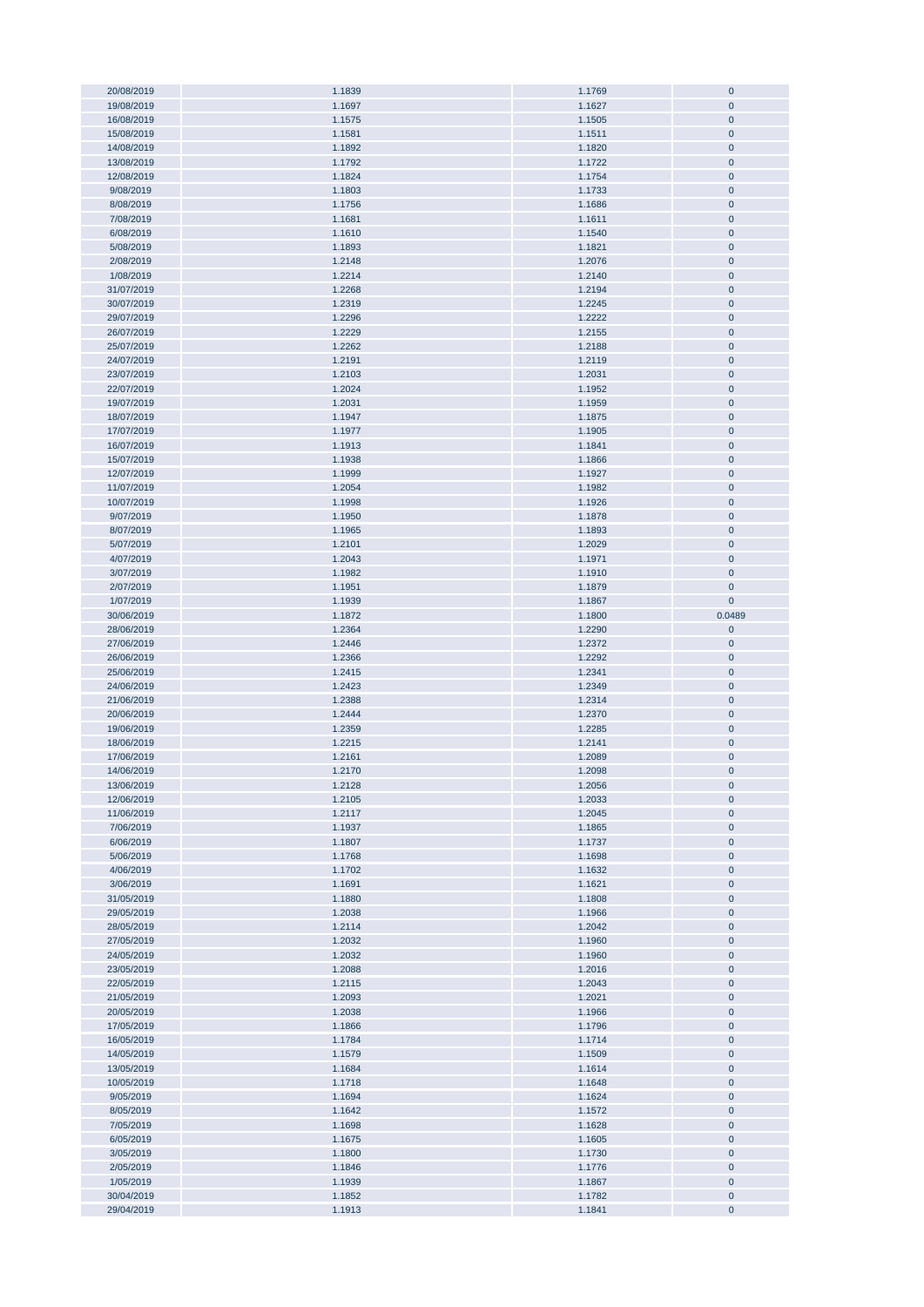| 20/08/2019 | 1.1839 | 1.1769 | $\bf{0}$    |
|------------|--------|--------|-------------|
|            |        |        |             |
| 19/08/2019 | 1.1697 | 1.1627 | $\pmb{0}$   |
| 16/08/2019 | 1.1575 | 1.1505 | $\pmb{0}$   |
| 15/08/2019 | 1.1581 | 1.1511 | $\pmb{0}$   |
|            |        |        |             |
| 14/08/2019 | 1.1892 | 1.1820 | $\pmb{0}$   |
| 13/08/2019 | 1.1792 | 1.1722 | $\mathbf 0$ |
| 12/08/2019 | 1.1824 | 1.1754 | $\pmb{0}$   |
|            |        |        |             |
| 9/08/2019  | 1.1803 | 1.1733 | $\mathbf 0$ |
| 8/08/2019  | 1.1756 | 1.1686 | $\pmb{0}$   |
| 7/08/2019  | 1.1681 | 1.1611 | $\pmb{0}$   |
|            |        |        |             |
| 6/08/2019  | 1.1610 | 1.1540 | $\pmb{0}$   |
| 5/08/2019  | 1.1893 | 1.1821 | $\pmb{0}$   |
|            |        |        |             |
| 2/08/2019  | 1.2148 | 1.2076 | $\pmb{0}$   |
| 1/08/2019  | 1.2214 | 1.2140 | $\pmb{0}$   |
| 31/07/2019 | 1.2268 | 1.2194 | $\pmb{0}$   |
|            |        |        |             |
| 30/07/2019 | 1.2319 | 1.2245 | $\pmb{0}$   |
| 29/07/2019 | 1.2296 | 1.2222 | $\pmb{0}$   |
| 26/07/2019 | 1.2229 | 1.2155 | $\pmb{0}$   |
|            |        |        |             |
| 25/07/2019 | 1.2262 | 1.2188 | $\pmb{0}$   |
| 24/07/2019 | 1.2191 | 1.2119 | $\pmb{0}$   |
| 23/07/2019 | 1.2103 | 1.2031 | $\pmb{0}$   |
|            |        |        |             |
| 22/07/2019 | 1.2024 | 1.1952 | $\pmb{0}$   |
| 19/07/2019 | 1.2031 | 1.1959 | $\pmb{0}$   |
| 18/07/2019 | 1.1947 | 1.1875 | $\pmb{0}$   |
|            |        |        |             |
| 17/07/2019 | 1.1977 | 1.1905 | $\pmb{0}$   |
| 16/07/2019 | 1.1913 | 1.1841 | $\pmb{0}$   |
|            |        |        |             |
| 15/07/2019 | 1.1938 | 1.1866 | $\pmb{0}$   |
| 12/07/2019 | 1.1999 | 1.1927 | $\pmb{0}$   |
| 11/07/2019 | 1.2054 | 1.1982 | $\pmb{0}$   |
|            |        |        |             |
| 10/07/2019 | 1.1998 | 1.1926 | $\pmb{0}$   |
| 9/07/2019  | 1.1950 | 1.1878 | $\mathbf 0$ |
| 8/07/2019  | 1.1965 | 1.1893 | $\pmb{0}$   |
|            |        |        |             |
| 5/07/2019  | 1.2101 | 1.2029 | $\pmb{0}$   |
| 4/07/2019  | 1.2043 | 1.1971 | $\pmb{0}$   |
| 3/07/2019  | 1.1982 | 1.1910 | $\pmb{0}$   |
|            |        |        |             |
| 2/07/2019  | 1.1951 | 1.1879 | $\pmb{0}$   |
| 1/07/2019  | 1.1939 | 1.1867 | $\pmb{0}$   |
| 30/06/2019 | 1.1872 | 1.1800 | 0.0489      |
|            |        |        |             |
| 28/06/2019 | 1.2364 | 1.2290 | $\pmb{0}$   |
| 27/06/2019 | 1.2446 | 1.2372 | $\pmb{0}$   |
|            |        |        |             |
|            |        |        |             |
| 26/06/2019 | 1.2366 | 1.2292 | $\pmb{0}$   |
| 25/06/2019 | 1.2415 | 1.2341 | $\pmb{0}$   |
| 24/06/2019 | 1.2423 | 1.2349 | $\pmb{0}$   |
|            |        |        |             |
| 21/06/2019 | 1.2388 | 1.2314 | $\pmb{0}$   |
| 20/06/2019 | 1.2444 | 1.2370 | $\pmb{0}$   |
| 19/06/2019 | 1.2359 | 1.2285 | $\pmb{0}$   |
|            |        |        |             |
| 18/06/2019 | 1.2215 | 1.2141 | $\pmb{0}$   |
| 17/06/2019 | 1.2161 | 1.2089 | $\pmb{0}$   |
| 14/06/2019 | 1.2170 | 1.2098 | $\pmb{0}$   |
|            |        |        |             |
| 13/06/2019 | 1.2128 | 1.2056 | U           |
| 12/06/2019 | 1.2105 | 1.2033 | $\pmb{0}$   |
| 11/06/2019 | 1.2117 | 1.2045 | $\pmb{0}$   |
|            |        |        |             |
| 7/06/2019  | 1.1937 | 1.1865 | $\pmb{0}$   |
| 6/06/2019  | 1.1807 | 1.1737 | $\pmb{0}$   |
| 5/06/2019  | 1.1768 | 1.1698 | $\pmb{0}$   |
|            |        |        |             |
| 4/06/2019  | 1.1702 | 1.1632 | $\pmb{0}$   |
| 3/06/2019  | 1.1691 | 1.1621 | $\pmb{0}$   |
| 31/05/2019 | 1.1880 | 1.1808 | 0           |
|            | 1.2038 |        | $\pmb{0}$   |
| 29/05/2019 |        | 1.1966 |             |
| 28/05/2019 | 1.2114 | 1.2042 | $\pmb{0}$   |
| 27/05/2019 | 1.2032 | 1.1960 | $\pmb{0}$   |
| 24/05/2019 | 1.2032 | 1.1960 | $\pmb{0}$   |
|            |        |        |             |
| 23/05/2019 | 1.2088 | 1.2016 | $\pmb{0}$   |
| 22/05/2019 | 1.2115 | 1.2043 | $\pmb{0}$   |
| 21/05/2019 | 1.2093 | 1.2021 | $\pmb{0}$   |
|            |        |        |             |
| 20/05/2019 | 1.2038 | 1.1966 | $\pmb{0}$   |
| 17/05/2019 | 1.1866 | 1.1796 | $\pmb{0}$   |
| 16/05/2019 | 1.1784 | 1.1714 | $\pmb{0}$   |
|            |        |        |             |
| 14/05/2019 | 1.1579 | 1.1509 | $\pmb{0}$   |
| 13/05/2019 | 1.1684 | 1.1614 | $\pmb{0}$   |
| 10/05/2019 | 1.1718 | 1.1648 | $\pmb{0}$   |
|            |        |        |             |
| 9/05/2019  | 1.1694 | 1.1624 | $\pmb{0}$   |
| 8/05/2019  | 1.1642 | 1.1572 | $\pmb{0}$   |
| 7/05/2019  | 1.1698 | 1.1628 | $\pmb{0}$   |
|            |        |        |             |
| 6/05/2019  | 1.1675 | 1.1605 | $\pmb{0}$   |
| 3/05/2019  | 1.1800 | 1.1730 | $\pmb{0}$   |
| 2/05/2019  | 1.1846 | 1.1776 | $\pmb{0}$   |
| 1/05/2019  | 1.1939 | 1.1867 | $\pmb{0}$   |
|            |        |        |             |
| 30/04/2019 | 1.1852 | 1.1782 | $\pmb{0}$   |
| 29/04/2019 | 1.1913 | 1.1841 | $\pmb{0}$   |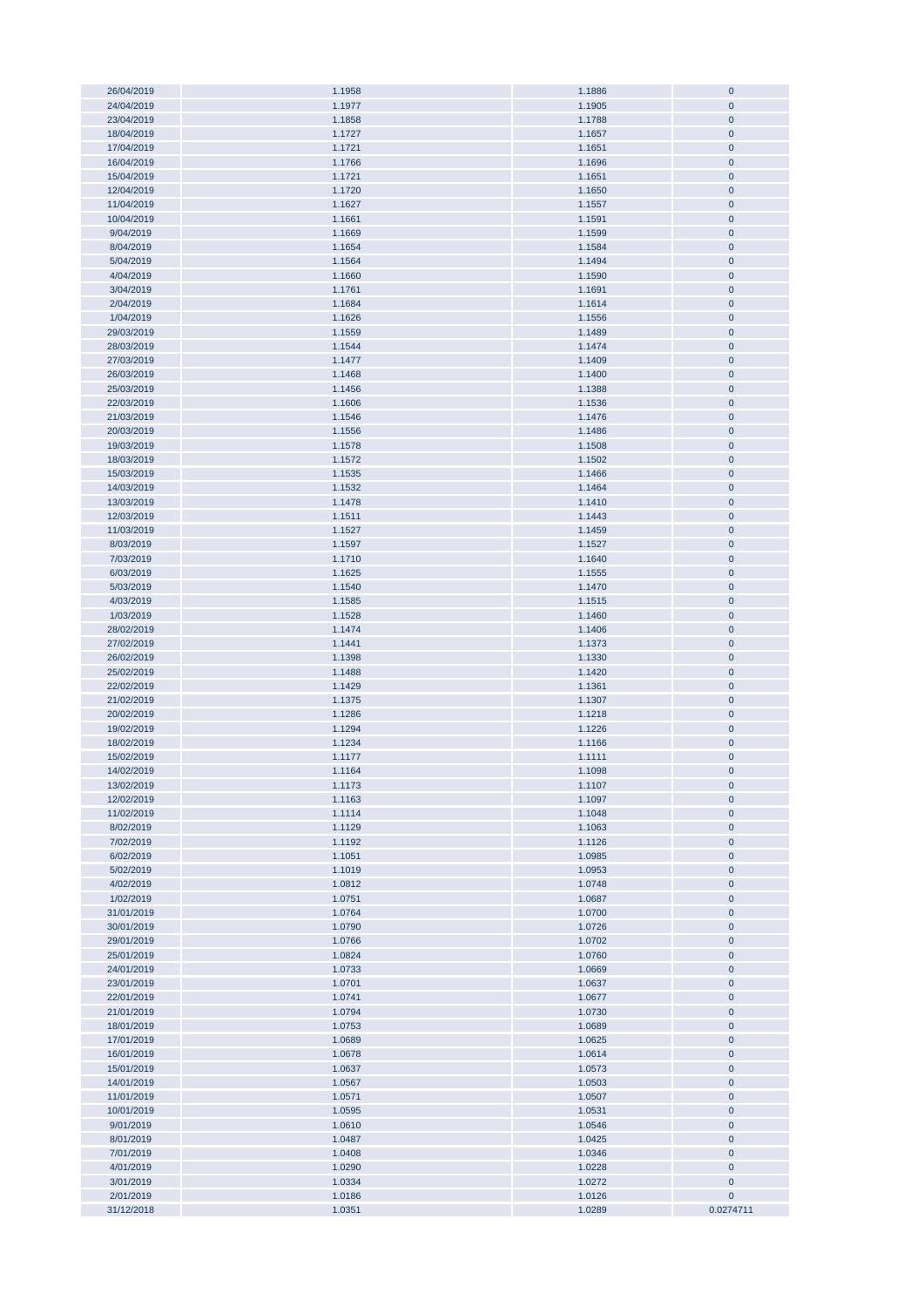| 26/04/2019 | 1.1958 | 1.1886 | $\bf{0}$     |
|------------|--------|--------|--------------|
|            |        |        |              |
| 24/04/2019 | 1.1977 | 1.1905 | $\pmb{0}$    |
| 23/04/2019 | 1.1858 | 1.1788 | $\pmb{0}$    |
| 18/04/2019 | 1.1727 | 1.1657 | $\pmb{0}$    |
|            |        |        |              |
| 17/04/2019 | 1.1721 | 1.1651 | $\pmb{0}$    |
| 16/04/2019 | 1.1766 | 1.1696 | $\pmb{0}$    |
| 15/04/2019 | 1.1721 | 1.1651 | $\pmb{0}$    |
|            |        |        |              |
| 12/04/2019 | 1.1720 | 1.1650 | $\pmb{0}$    |
| 11/04/2019 | 1.1627 | 1.1557 | $\pmb{0}$    |
| 10/04/2019 |        |        | $\pmb{0}$    |
|            | 1.1661 | 1.1591 |              |
| 9/04/2019  | 1.1669 | 1.1599 | $\pmb{0}$    |
| 8/04/2019  | 1.1654 | 1.1584 | $\pmb{0}$    |
|            |        |        |              |
| 5/04/2019  | 1.1564 | 1.1494 | $\pmb{0}$    |
| 4/04/2019  | 1.1660 | 1.1590 | $\pmb{0}$    |
| 3/04/2019  | 1.1761 | 1.1691 | $\pmb{0}$    |
|            |        |        |              |
| 2/04/2019  | 1.1684 | 1.1614 | $\pmb{0}$    |
| 1/04/2019  | 1.1626 | 1.1556 | $\pmb{0}$    |
| 29/03/2019 | 1.1559 | 1.1489 | $\pmb{0}$    |
|            |        |        |              |
| 28/03/2019 | 1.1544 | 1.1474 | $\pmb{0}$    |
| 27/03/2019 | 1.1477 | 1.1409 | $\pmb{0}$    |
|            |        |        |              |
| 26/03/2019 | 1.1468 | 1.1400 | $\bf{0}$     |
| 25/03/2019 | 1.1456 | 1.1388 | $\pmb{0}$    |
| 22/03/2019 | 1.1606 | 1.1536 | $\pmb{0}$    |
|            |        |        |              |
| 21/03/2019 | 1.1546 | 1.1476 | $\pmb{0}$    |
| 20/03/2019 | 1.1556 | 1.1486 | $\pmb{0}$    |
| 19/03/2019 | 1.1578 | 1.1508 | $\pmb{0}$    |
|            |        |        |              |
| 18/03/2019 | 1.1572 | 1.1502 | $\pmb{0}$    |
| 15/03/2019 | 1.1535 | 1.1466 | $\pmb{0}$    |
| 14/03/2019 | 1.1532 | 1.1464 | $\pmb{0}$    |
|            |        |        |              |
| 13/03/2019 | 1.1478 | 1.1410 | $\pmb{0}$    |
| 12/03/2019 | 1.1511 | 1.1443 | $\pmb{0}$    |
|            |        |        |              |
| 11/03/2019 | 1.1527 | 1.1459 | $\pmb{0}$    |
| 8/03/2019  | 1.1597 | 1.1527 | $\pmb{0}$    |
| 7/03/2019  | 1.1710 | 1.1640 | $\pmb{0}$    |
|            |        |        |              |
| 6/03/2019  | 1.1625 | 1.1555 | $\pmb{0}$    |
| 5/03/2019  | 1.1540 | 1.1470 | $\pmb{0}$    |
| 4/03/2019  | 1.1585 | 1.1515 | $\pmb{0}$    |
|            |        |        |              |
| 1/03/2019  | 1.1528 | 1.1460 | $\pmb{0}$    |
| 28/02/2019 | 1.1474 | 1.1406 | $\pmb{0}$    |
| 27/02/2019 | 1.1441 | 1.1373 | $\pmb{0}$    |
|            |        |        |              |
| 26/02/2019 | 1.1398 | 1.1330 | $\pmb{0}$    |
| 25/02/2019 | 1.1488 | 1.1420 | $\pmb{0}$    |
|            |        |        |              |
| 22/02/2019 | 1.1429 | 1.1361 | $\pmb{0}$    |
| 21/02/2019 | 1.1375 | 1.1307 | $\pmb{0}$    |
| 20/02/2019 | 1.1286 | 1.1218 | $\pmb{0}$    |
|            |        |        |              |
| 19/02/2019 | 1.1294 | 1.1226 | $\pmb{0}$    |
| 18/02/2019 | 1.1234 | 1.1166 | $\pmb{0}$    |
| 15/02/2019 | 1.1177 | 1.1111 | $\pmb{0}$    |
|            |        |        |              |
| 14/02/2019 | 1.1164 | 1.1098 | $\mathbf{0}$ |
| 13/02/2019 | 1.1173 | 1.1107 | $\mathbf 0$  |
| 12/02/2019 | 1.1163 | 1.1097 | $\pmb{0}$    |
|            |        |        |              |
| 11/02/2019 | 1.1114 | 1.1048 | $\pmb{0}$    |
| 8/02/2019  | 1.1129 | 1.1063 | $\pmb{0}$    |
|            |        |        |              |
| 7/02/2019  | 1.1192 | 1.1126 | $\pmb{0}$    |
| 6/02/2019  | 1.1051 | 1.0985 | $\pmb{0}$    |
| 5/02/2019  | 1.1019 | 1.0953 | $\pmb{0}$    |
| 4/02/2019  | 1.0812 | 1.0748 | $\pmb{0}$    |
|            |        |        |              |
| 1/02/2019  | 1.0751 | 1.0687 | $\pmb{0}$    |
| 31/01/2019 | 1.0764 | 1.0700 | $\pmb{0}$    |
| 30/01/2019 | 1.0790 | 1.0726 | $\pmb{0}$    |
|            |        |        |              |
| 29/01/2019 | 1.0766 | 1.0702 | $\pmb{0}$    |
| 25/01/2019 | 1.0824 | 1.0760 | $\pmb{0}$    |
|            |        | 1.0669 |              |
| 24/01/2019 | 1.0733 |        | $\pmb{0}$    |
| 23/01/2019 | 1.0701 | 1.0637 | $\pmb{0}$    |
| 22/01/2019 | 1.0741 | 1.0677 | $\pmb{0}$    |
|            |        |        |              |
| 21/01/2019 | 1.0794 | 1.0730 | $\pmb{0}$    |
| 18/01/2019 | 1.0753 | 1.0689 | $\pmb{0}$    |
| 17/01/2019 | 1.0689 | 1.0625 | $\pmb{0}$    |
|            |        |        |              |
| 16/01/2019 | 1.0678 | 1.0614 | $\bf{0}$     |
| 15/01/2019 | 1.0637 | 1.0573 | $\pmb{0}$    |
| 14/01/2019 | 1.0567 | 1.0503 | $\bf{0}$     |
|            |        |        |              |
| 11/01/2019 | 1.0571 | 1.0507 | $\pmb{0}$    |
| 10/01/2019 | 1.0595 | 1.0531 | $\pmb{0}$    |
| 9/01/2019  | 1.0610 | 1.0546 | $\pmb{0}$    |
|            |        |        |              |
| 8/01/2019  | 1.0487 | 1.0425 | $\pmb{0}$    |
| 7/01/2019  | 1.0408 | 1.0346 | $\pmb{0}$    |
| 4/01/2019  | 1.0290 | 1.0228 | $\pmb{0}$    |
|            |        |        |              |
| 3/01/2019  | 1.0334 | 1.0272 | $\pmb{0}$    |
| 2/01/2019  | 1.0186 | 1.0126 | $\pmb{0}$    |
| 31/12/2018 | 1.0351 | 1.0289 | 0.0274711    |
|            |        |        |              |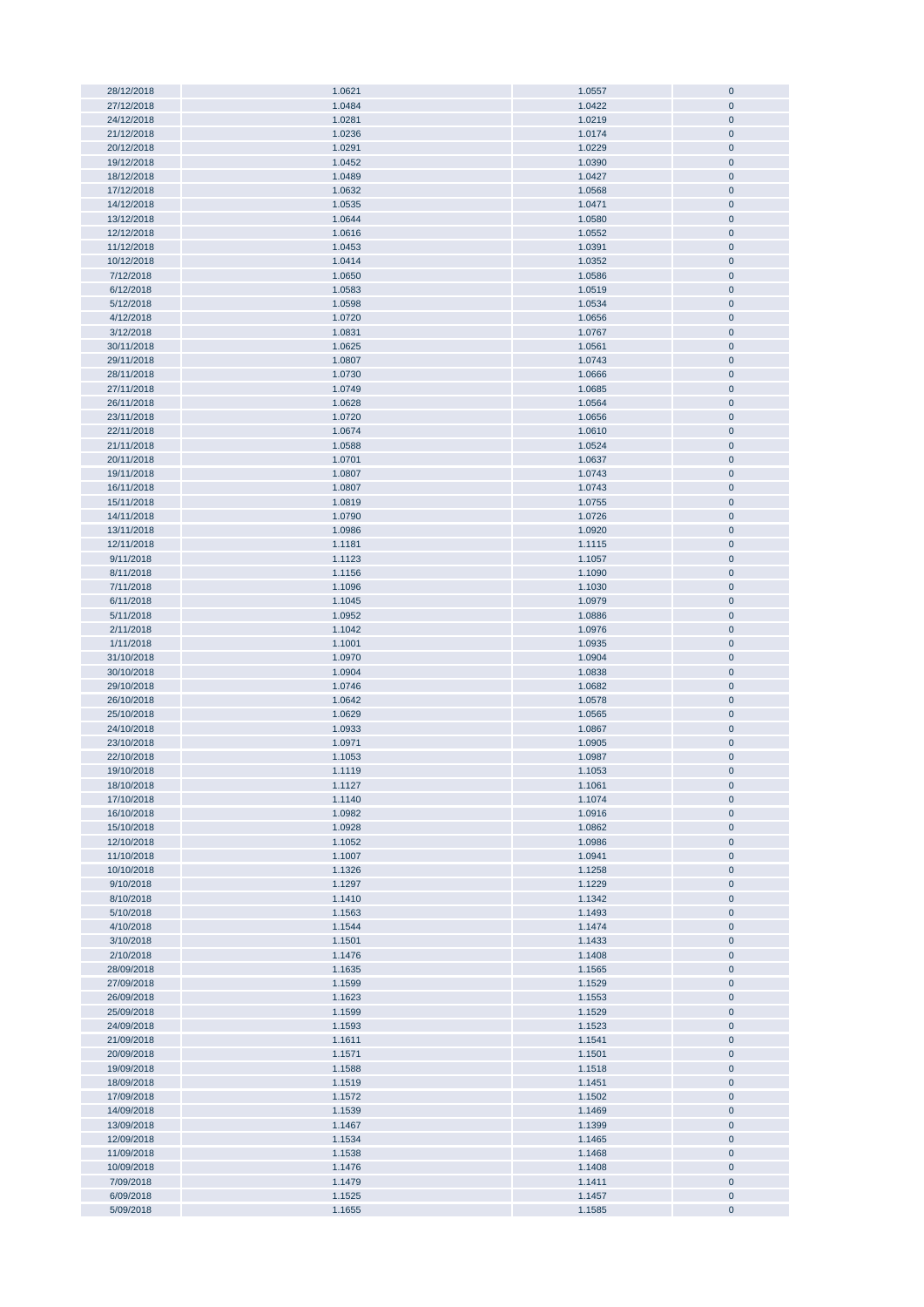| 28/12/2018 | 1.0621 | 1.0557 | $\bf{0}$     |
|------------|--------|--------|--------------|
|            |        |        |              |
| 27/12/2018 | 1.0484 | 1.0422 | $\pmb{0}$    |
| 24/12/2018 | 1.0281 | 1.0219 | $\mathbf 0$  |
| 21/12/2018 | 1.0236 | 1.0174 | $\pmb{0}$    |
|            |        |        |              |
| 20/12/2018 | 1.0291 | 1.0229 | $\pmb{0}$    |
| 19/12/2018 | 1.0452 | 1.0390 | $\pmb{0}$    |
| 18/12/2018 | 1.0489 | 1.0427 | $\pmb{0}$    |
|            |        |        |              |
| 17/12/2018 | 1.0632 | 1.0568 | $\pmb{0}$    |
| 14/12/2018 | 1.0535 | 1.0471 | $\pmb{0}$    |
| 13/12/2018 | 1.0644 | 1.0580 | $\pmb{0}$    |
|            |        |        |              |
| 12/12/2018 | 1.0616 | 1.0552 | $\pmb{0}$    |
| 11/12/2018 | 1.0453 | 1.0391 | $\pmb{0}$    |
| 10/12/2018 | 1.0414 | 1.0352 | $\pmb{0}$    |
|            |        |        |              |
| 7/12/2018  | 1.0650 | 1.0586 | $\pmb{0}$    |
| 6/12/2018  | 1.0583 | 1.0519 | $\pmb{0}$    |
| 5/12/2018  | 1.0598 | 1.0534 | $\pmb{0}$    |
|            |        |        |              |
| 4/12/2018  | 1.0720 | 1.0656 | $\pmb{0}$    |
| 3/12/2018  | 1.0831 | 1.0767 | $\pmb{0}$    |
| 30/11/2018 | 1.0625 | 1.0561 | $\pmb{0}$    |
|            |        |        |              |
| 29/11/2018 | 1.0807 | 1.0743 | $\pmb{0}$    |
| 28/11/2018 | 1.0730 | 1.0666 | $\mathbf 0$  |
| 27/11/2018 | 1.0749 | 1.0685 | $\pmb{0}$    |
| 26/11/2018 | 1.0628 | 1.0564 | $\pmb{0}$    |
|            |        |        |              |
| 23/11/2018 | 1.0720 | 1.0656 | $\pmb{0}$    |
| 22/11/2018 | 1.0674 | 1.0610 | $\pmb{0}$    |
| 21/11/2018 | 1.0588 | 1.0524 | $\pmb{0}$    |
|            |        |        |              |
| 20/11/2018 | 1.0701 | 1.0637 | $\pmb{0}$    |
| 19/11/2018 | 1.0807 | 1.0743 | $\pmb{0}$    |
| 16/11/2018 | 1.0807 | 1.0743 | $\pmb{0}$    |
|            |        |        |              |
| 15/11/2018 | 1.0819 | 1.0755 | $\pmb{0}$    |
| 14/11/2018 | 1.0790 | 1.0726 | $\pmb{0}$    |
| 13/11/2018 | 1.0986 | 1.0920 | $\pmb{0}$    |
|            |        |        |              |
| 12/11/2018 | 1.1181 | 1.1115 | $\pmb{0}$    |
| 9/11/2018  | 1.1123 | 1.1057 | $\pmb{0}$    |
| 8/11/2018  | 1.1156 | 1.1090 | $\pmb{0}$    |
| 7/11/2018  | 1.1096 | 1.1030 | $\pmb{0}$    |
|            |        |        |              |
| 6/11/2018  | 1.1045 | 1.0979 | $\pmb{0}$    |
| 5/11/2018  | 1.0952 | 1.0886 | $\pmb{0}$    |
| 2/11/2018  | 1.1042 | 1.0976 | $\pmb{0}$    |
|            |        |        |              |
| 1/11/2018  | 1.1001 | 1.0935 | $\pmb{0}$    |
| 31/10/2018 | 1.0970 | 1.0904 | $\pmb{0}$    |
| 30/10/2018 | 1.0904 | 1.0838 | $\pmb{0}$    |
| 29/10/2018 | 1.0746 | 1.0682 | $\pmb{0}$    |
|            |        |        |              |
| 26/10/2018 | 1.0642 | 1.0578 | $\pmb{0}$    |
| 25/10/2018 | 1.0629 | 1.0565 | $\pmb{0}$    |
| 24/10/2018 | 1.0933 | 1.0867 | $\pmb{0}$    |
|            |        |        |              |
| 23/10/2018 | 1.0971 | 1.0905 | $\pmb{0}$    |
| 22/10/2018 | 1.1053 | 1.0987 | $\pmb{0}$    |
| 19/10/2018 | 1.1119 | 1.1053 | $\mathbf{0}$ |
|            |        |        |              |
| 18/10/2018 | 1.1127 | 1.1061 | $\mathbf 0$  |
| 17/10/2018 | 1.1140 | 1.1074 | $\pmb{0}$    |
| 16/10/2018 | 1.0982 | 1.0916 | $\pmb{0}$    |
| 15/10/2018 | 1.0928 | 1.0862 | $\pmb{0}$    |
|            |        |        |              |
| 12/10/2018 | 1.1052 | 1.0986 | $\pmb{0}$    |
| 11/10/2018 | 1.1007 | 1.0941 | $\pmb{0}$    |
| 10/10/2018 | 1.1326 | 1.1258 | $\pmb{0}$    |
|            |        |        |              |
| 9/10/2018  | 1.1297 | 1.1229 | $\pmb{0}$    |
| 8/10/2018  | 1.1410 | 1.1342 | $\pmb{0}$    |
| 5/10/2018  | 1.1563 | 1.1493 | $\pmb{0}$    |
| 4/10/2018  | 1.1544 | 1.1474 | $\pmb{0}$    |
|            |        |        |              |
| 3/10/2018  | 1.1501 | 1.1433 | $\pmb{0}$    |
| 2/10/2018  | 1.1476 | 1.1408 | $\pmb{0}$    |
| 28/09/2018 | 1.1635 | 1.1565 | $\pmb{0}$    |
|            |        |        |              |
| 27/09/2018 | 1.1599 | 1.1529 | $\pmb{0}$    |
| 26/09/2018 | 1.1623 | 1.1553 | $\pmb{0}$    |
| 25/09/2018 | 1.1599 | 1.1529 | $\pmb{0}$    |
| 24/09/2018 | 1.1593 | 1.1523 | $\pmb{0}$    |
|            |        |        |              |
| 21/09/2018 | 1.1611 | 1.1541 | $\pmb{0}$    |
| 20/09/2018 | 1.1571 | 1.1501 | $\bf{0}$     |
| 19/09/2018 | 1.1588 | 1.1518 | $\pmb{0}$    |
| 18/09/2018 | 1.1519 |        |              |
|            |        | 1.1451 | $\pmb{0}$    |
| 17/09/2018 | 1.1572 | 1.1502 | $\pmb{0}$    |
| 14/09/2018 | 1.1539 | 1.1469 | $\pmb{0}$    |
| 13/09/2018 | 1.1467 | 1.1399 | $\pmb{0}$    |
|            |        |        |              |
| 12/09/2018 | 1.1534 | 1.1465 | $\pmb{0}$    |
| 11/09/2018 | 1.1538 | 1.1468 | $\pmb{0}$    |
| 10/09/2018 | 1.1476 | 1.1408 | $\pmb{0}$    |
|            |        |        |              |
| 7/09/2018  | 1.1479 | 1.1411 | $\pmb{0}$    |
| 6/09/2018  | 1.1525 | 1.1457 | $\pmb{0}$    |
| 5/09/2018  | 1.1655 | 1.1585 | $\pmb{0}$    |
|            |        |        |              |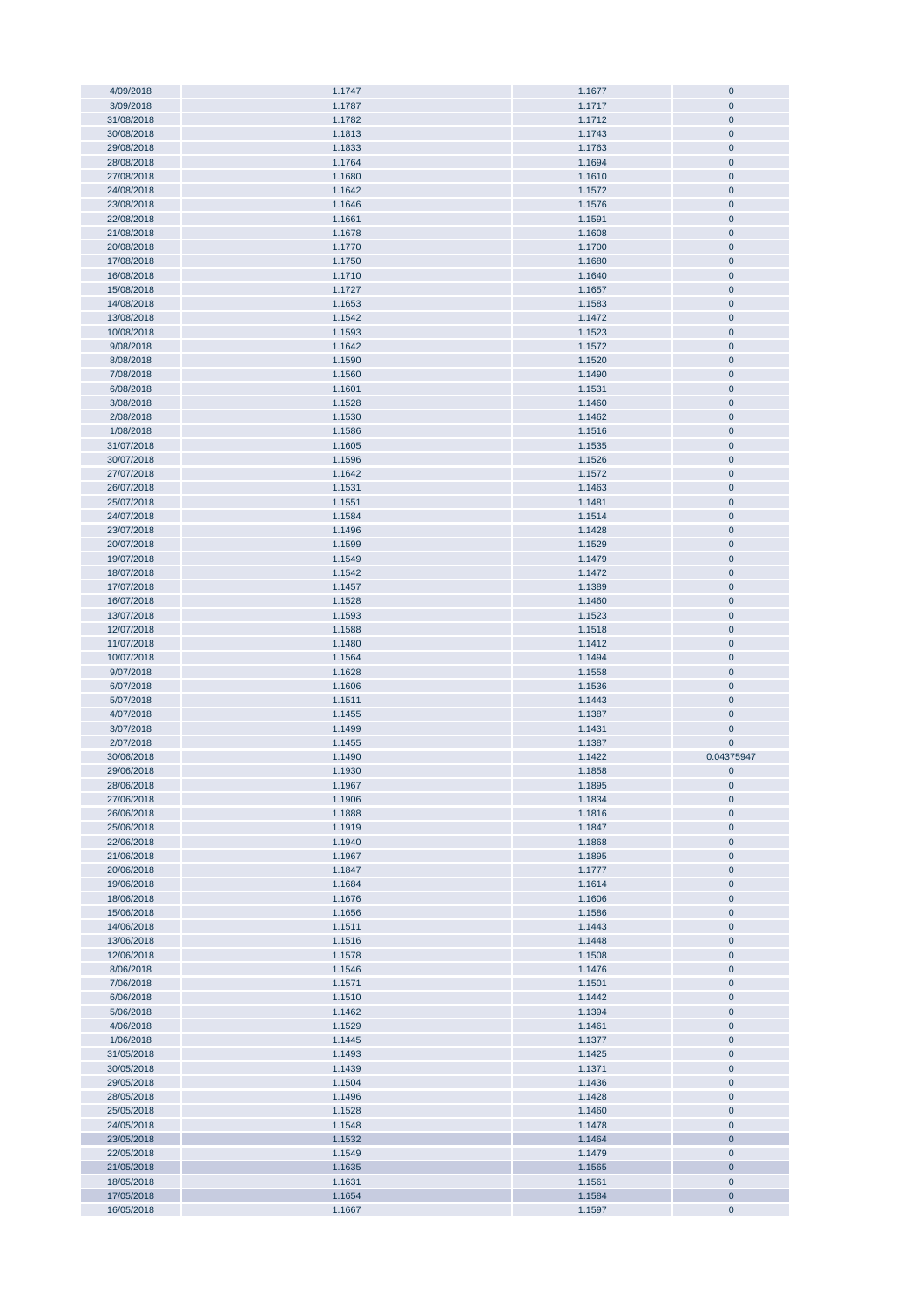| 4/09/2018<br>3/09/2018   |                  |                  |                        |
|--------------------------|------------------|------------------|------------------------|
|                          | 1.1747           | 1.1677           | $\pmb{0}$              |
|                          | 1.1787           | 1.1717           | $\mathbf 0$            |
| 31/08/2018               | 1.1782           | 1.1712           | $\mathbf 0$            |
| 30/08/2018               | 1.1813           | 1.1743           | $\pmb{0}$              |
|                          |                  |                  |                        |
| 29/08/2018               | 1.1833           | 1.1763           | $\pmb{0}$              |
| 28/08/2018               | 1.1764           | 1.1694           | $\pmb{0}$              |
| 27/08/2018               | 1.1680           | 1.1610           | $\pmb{0}$              |
| 24/08/2018               | 1.1642           | 1.1572           | $\pmb{0}$              |
|                          |                  |                  |                        |
| 23/08/2018               | 1.1646           | 1.1576           | $\pmb{0}$              |
| 22/08/2018               | 1.1661           | 1.1591           | $\pmb{0}$              |
| 21/08/2018               | 1.1678           | 1.1608           | $\pmb{0}$              |
|                          |                  |                  |                        |
| 20/08/2018               | 1.1770           | 1.1700           | $\pmb{0}$              |
| 17/08/2018               | 1.1750           | 1.1680           | $\pmb{0}$              |
| 16/08/2018               | 1.1710           | 1.1640           | $\pmb{0}$              |
| 15/08/2018               | 1.1727           | 1.1657           | $\pmb{0}$              |
|                          |                  |                  |                        |
| 14/08/2018               | 1.1653           | 1.1583           | $\pmb{0}$              |
| 13/08/2018               | 1.1542           | 1.1472           | $\pmb{0}$              |
| 10/08/2018               | 1.1593           | 1.1523           | $\pmb{0}$              |
| 9/08/2018                | 1.1642           | 1.1572           | $\pmb{0}$              |
|                          |                  |                  |                        |
| 8/08/2018                | 1.1590           | 1.1520           | $\mathbf 0$            |
| 7/08/2018                | 1.1560           | 1.1490           | $\pmb{0}$              |
| 6/08/2018                | 1.1601           | 1.1531           | $\pmb{0}$              |
|                          |                  |                  |                        |
| 3/08/2018                | 1.1528           | 1.1460           | $\overline{0}$         |
| 2/08/2018                | 1.1530           | 1.1462           | $\pmb{0}$              |
| 1/08/2018                | 1.1586           | 1.1516           | $\pmb{0}$              |
| 31/07/2018               | 1.1605           | 1.1535           | $\pmb{0}$              |
|                          |                  |                  |                        |
| 30/07/2018               | 1.1596           | 1.1526           | $\pmb{0}$              |
| 27/07/2018               | 1.1642           | 1.1572           | $\pmb{0}$              |
| 26/07/2018               | 1.1531           | 1.1463           | $\pmb{0}$              |
| 25/07/2018               | 1.1551           | 1.1481           | $\pmb{0}$              |
|                          |                  |                  |                        |
| 24/07/2018               | 1.1584           | 1.1514           | $\pmb{0}$              |
| 23/07/2018               | 1.1496           | 1.1428           | $\pmb{0}$              |
| 20/07/2018               | 1.1599           | 1.1529           | $\pmb{0}$              |
|                          |                  |                  |                        |
| 19/07/2018               | 1.1549           | 1.1479           | $\pmb{0}$              |
| 18/07/2018               | 1.1542           | 1.1472           | $\pmb{0}$              |
| 17/07/2018               | 1.1457           | 1.1389           | $\pmb{0}$              |
| 16/07/2018               | 1.1528           | 1.1460           | $\pmb{0}$              |
|                          |                  |                  |                        |
| 13/07/2018               | 1.1593           | 1.1523           | $\pmb{0}$              |
| 12/07/2018               | 1.1588           | 1.1518           | $\pmb{0}$              |
|                          |                  |                  |                        |
|                          |                  |                  |                        |
| 11/07/2018               | 1.1480           | 1.1412           | $\pmb{0}$              |
| 10/07/2018               | 1.1564           | 1.1494           | $\pmb{0}$              |
| 9/07/2018                | 1.1628           | 1.1558           | $\overline{0}$         |
| 6/07/2018                | 1.1606           | 1.1536           | $\pmb{0}$              |
|                          |                  |                  |                        |
| 5/07/2018                | 1.1511           | 1.1443           | $\overline{0}$         |
| 4/07/2018                | 1.1455           | 1.1387           | $\pmb{0}$              |
| 3/07/2018                | 1.1499           | 1.1431           | $\mathbf 0$            |
| 2/07/2018                | 1.1455           | 1.1387           | $\pmb{0}$              |
|                          |                  |                  |                        |
| 30/06/2018               | 1.1490           | 1.1422           | 0.04375947             |
| 29/06/2018               | 1.1930           | 1.1858           | $\pmb{0}$              |
| 28/06/2018               | 1.1967           | 1.1895           | $\bf{0}$               |
| 27/06/2018               | 1.1906           |                  | $\pmb{0}$              |
|                          |                  | 1.1834           |                        |
| 26/06/2018               | 1.1888           | 1.1816           | $\pmb{0}$              |
| 25/06/2018               | 1.1919           | 1.1847           | $\pmb{0}$              |
| 22/06/2018               | 1.1940           | 1.1868           | $\pmb{0}$              |
| 21/06/2018               | 1.1967           | 1.1895           | $\pmb{0}$              |
|                          |                  |                  |                        |
| 20/06/2018               | 1.1847           | 1.1777           | $\pmb{0}$              |
| 19/06/2018               | 1.1684           | 1.1614           | $\pmb{0}$              |
| 18/06/2018               | 1.1676           | 1.1606           | $\pmb{0}$              |
| 15/06/2018               | 1.1656           | 1.1586           | $\pmb{0}$              |
|                          |                  |                  |                        |
| 14/06/2018               | 1.1511           | 1.1443           | $\pmb{0}$              |
| 13/06/2018               | 1.1516           | 1.1448           | $\pmb{0}$              |
| 12/06/2018               | 1.1578           | 1.1508           | $\pmb{0}$              |
| 8/06/2018                | 1.1546           | 1.1476           | $\pmb{0}$              |
|                          |                  |                  |                        |
| 7/06/2018                | 1.1571           | 1.1501           | $\pmb{0}$              |
| 6/06/2018                | 1.1510           | 1.1442           | $\pmb{0}$              |
| 5/06/2018                | 1.1462           | 1.1394           | $\bf{0}$               |
| 4/06/2018                | 1.1529           | 1.1461           | $\bf{0}$               |
|                          |                  |                  |                        |
| 1/06/2018                | 1.1445           | 1.1377           | $\pmb{0}$              |
| 31/05/2018               | 1.1493           | 1.1425           | $\pmb{0}$              |
| 30/05/2018               | 1.1439           | 1.1371           | $\pmb{0}$              |
|                          |                  |                  |                        |
| 29/05/2018               | 1.1504           | 1.1436           | $\overline{0}$         |
| 28/05/2018               | 1.1496           | 1.1428           | $\pmb{0}$              |
| 25/05/2018               | 1.1528           | 1.1460           | $\pmb{0}$              |
| 24/05/2018               | 1.1548           | 1.1478           | $\pmb{0}$              |
|                          |                  |                  |                        |
| 23/05/2018               | 1.1532           | 1.1464           | $\mathbf 0$            |
| 22/05/2018               | 1.1549           | 1.1479           | $\pmb{0}$              |
| 21/05/2018               | 1.1635           | 1.1565           | $\mathbf 0$            |
| 18/05/2018               | 1.1631           | 1.1561           |                        |
|                          |                  |                  | $\pmb{0}$              |
| 17/05/2018<br>16/05/2018 | 1.1654<br>1.1667 | 1.1584<br>1.1597 | $\pmb{0}$<br>$\pmb{0}$ |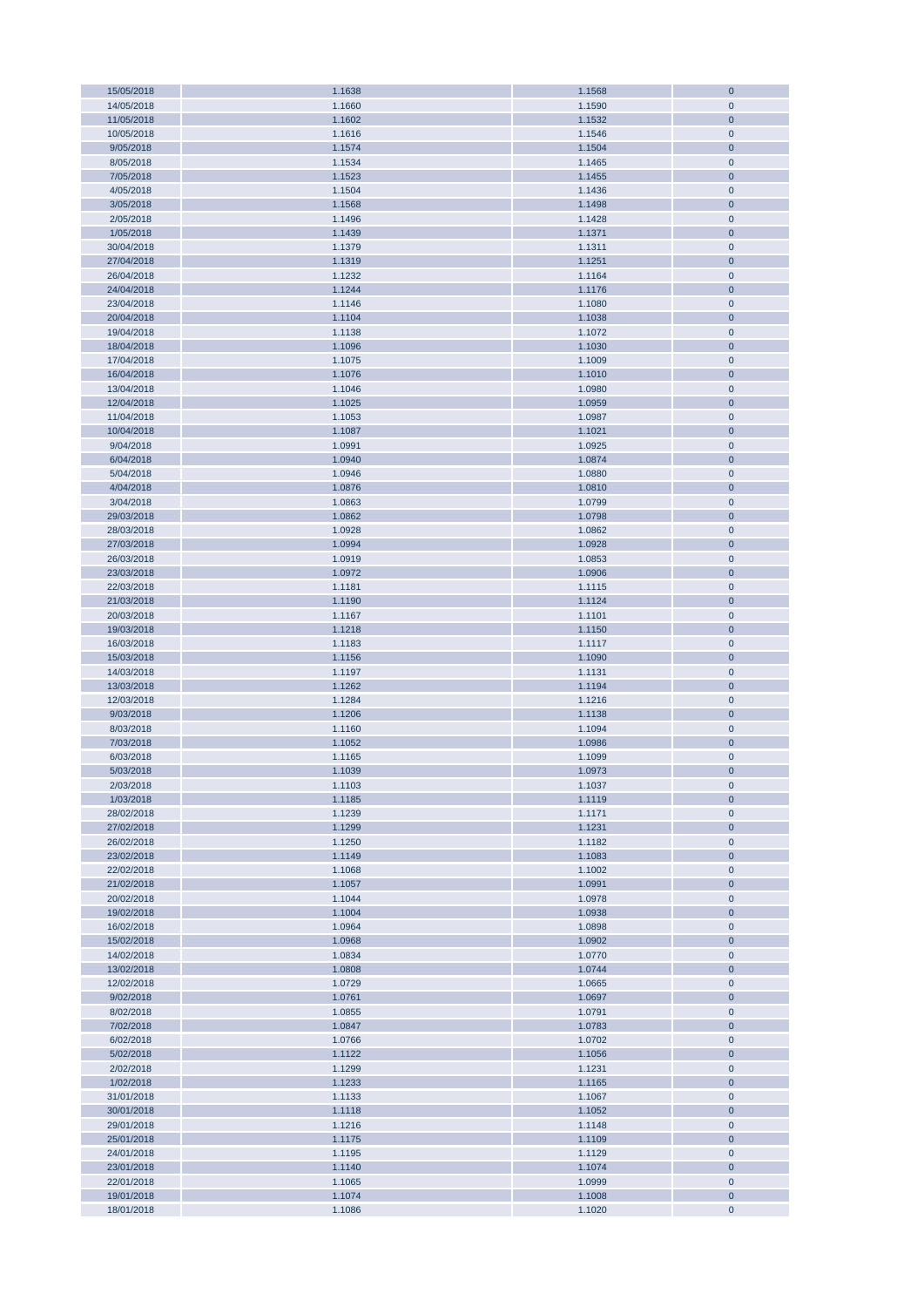| 15/05/2018 | 1.1638 | 1.1568 | $\mathbf{0}$   |
|------------|--------|--------|----------------|
| 14/05/2018 | 1.1660 | 1.1590 | $\mathbf 0$    |
| 11/05/2018 | 1.1602 | 1.1532 | $\mathbf{0}$   |
| 10/05/2018 | 1.1616 | 1.1546 | $\pmb{0}$      |
|            |        |        |                |
| 9/05/2018  | 1.1574 | 1.1504 | $\bf 0$        |
| 8/05/2018  | 1.1534 | 1.1465 | $\pmb{0}$      |
| 7/05/2018  | 1.1523 | 1.1455 | $\pmb{0}$      |
| 4/05/2018  | 1.1504 | 1.1436 | $\pmb{0}$      |
| 3/05/2018  | 1.1568 | 1.1498 | $\pmb{0}$      |
|            |        |        |                |
| 2/05/2018  | 1.1496 | 1.1428 | $\pmb{0}$      |
| 1/05/2018  | 1.1439 | 1.1371 | $\pmb{0}$      |
| 30/04/2018 | 1.1379 | 1.1311 | $\pmb{0}$      |
| 27/04/2018 | 1.1319 | 1.1251 | $\pmb{0}$      |
|            |        |        |                |
| 26/04/2018 | 1.1232 | 1.1164 | $\pmb{0}$      |
| 24/04/2018 | 1.1244 | 1.1176 | $\pmb{0}$      |
| 23/04/2018 | 1.1146 | 1.1080 | $\pmb{0}$      |
| 20/04/2018 | 1.1104 | 1.1038 | $\pmb{0}$      |
| 19/04/2018 |        |        |                |
|            | 1.1138 | 1.1072 | $\pmb{0}$      |
| 18/04/2018 | 1.1096 | 1.1030 | $\pmb{0}$      |
| 17/04/2018 | 1.1075 | 1.1009 | $\pmb{0}$      |
| 16/04/2018 | 1.1076 | 1.1010 | $\pmb{0}$      |
| 13/04/2018 | 1.1046 | 1.0980 | $\pmb{0}$      |
|            |        |        |                |
| 12/04/2018 | 1.1025 | 1.0959 | $\bf 0$        |
| 11/04/2018 | 1.1053 | 1.0987 | $\pmb{0}$      |
| 10/04/2018 | 1.1087 | 1.1021 | $\bf 0$        |
| 9/04/2018  | 1.0991 | 1.0925 | $\pmb{0}$      |
|            |        |        |                |
| 6/04/2018  | 1.0940 | 1.0874 | $\mathbf{0}$   |
| 5/04/2018  | 1.0946 | 1.0880 | $\pmb{0}$      |
| 4/04/2018  | 1.0876 | 1.0810 | $\pmb{0}$      |
| 3/04/2018  | 1.0863 | 1.0799 | $\pmb{0}$      |
| 29/03/2018 | 1.0862 | 1.0798 | $\pmb{0}$      |
|            |        |        |                |
| 28/03/2018 | 1.0928 | 1.0862 | $\pmb{0}$      |
| 27/03/2018 | 1.0994 | 1.0928 | $\pmb{0}$      |
| 26/03/2018 | 1.0919 | 1.0853 | $\pmb{0}$      |
| 23/03/2018 | 1.0972 | 1.0906 | $\pmb{0}$      |
|            |        |        |                |
| 22/03/2018 | 1.1181 | 1.1115 | $\pmb{0}$      |
| 21/03/2018 | 1.1190 | 1.1124 | $\pmb{0}$      |
| 20/03/2018 | 1.1167 | 1.1101 | $\pmb{0}$      |
| 19/03/2018 | 1.1218 | 1.1150 | $\pmb{0}$      |
| 16/03/2018 | 1.1183 | 1.1117 | $\pmb{0}$      |
|            |        |        |                |
| 15/03/2018 | 1.1156 | 1.1090 | $\pmb{0}$      |
| 14/03/2018 | 1.1197 | 1.1131 | $\pmb{0}$      |
| 13/03/2018 | 1.1262 | 1.1194 | $\pmb{0}$      |
| 12/03/2018 | 1.1284 | 1.1216 | $\pmb{0}$      |
|            |        |        |                |
| 9/03/2018  | 1.1206 | 1.1138 | $\pmb{0}$      |
| 8/03/2018  | 1.1160 | 1.1094 | $\pmb{0}$      |
| 7/03/2018  | 1.1052 | 1.0986 | $\mathbf 0$    |
| 6/03/2018  | 1.1165 | 1.1099 | $\mathbf 0$    |
|            |        |        |                |
| 5/03/2018  | 1.1039 | 1.0973 | $\overline{0}$ |
| 2/03/2018  | 1.1103 | 1.1037 | $\pmb{0}$      |
| 1/03/2018  | 1.1185 | 1.1119 | $\bf 0$        |
| 28/02/2018 | 1.1239 | 1.1171 | $\pmb{0}$      |
| 27/02/2018 | 1.1299 | 1.1231 | $\pmb{0}$      |
|            |        |        |                |
| 26/02/2018 | 1.1250 | 1.1182 | $\pmb{0}$      |
| 23/02/2018 | 1.1149 | 1.1083 | $\pmb{0}$      |
| 22/02/2018 | 1.1068 | 1.1002 | $\pmb{0}$      |
| 21/02/2018 | 1.1057 | 1.0991 | $\pmb{0}$      |
| 20/02/2018 | 1.1044 | 1.0978 | $\pmb{0}$      |
|            |        |        |                |
| 19/02/2018 | 1.1004 | 1.0938 | $\pmb{0}$      |
| 16/02/2018 | 1.0964 | 1.0898 | $\pmb{0}$      |
| 15/02/2018 | 1.0968 | 1.0902 | $\pmb{0}$      |
| 14/02/2018 | 1.0834 | 1.0770 | $\pmb{0}$      |
|            |        |        |                |
| 13/02/2018 | 1.0808 | 1.0744 | $\pmb{0}$      |
| 12/02/2018 | 1.0729 | 1.0665 | $\pmb{0}$      |
| 9/02/2018  | 1.0761 | 1.0697 | $\pmb{0}$      |
| 8/02/2018  | 1.0855 | 1.0791 | $\pmb{0}$      |
| 7/02/2018  | 1.0847 | 1.0783 | $\pmb{0}$      |
|            |        |        |                |
| 6/02/2018  | 1.0766 | 1.0702 | $\pmb{0}$      |
| 5/02/2018  | 1.1122 | 1.1056 | $\bf 0$        |
| 2/02/2018  | 1.1299 | 1.1231 | $\pmb{0}$      |
| 1/02/2018  | 1.1233 | 1.1165 | $\bf 0$        |
| 31/01/2018 | 1.1133 | 1.1067 | $\pmb{0}$      |
|            |        |        |                |
| 30/01/2018 | 1.1118 | 1.1052 | $\bf 0$        |
| 29/01/2018 | 1.1216 | 1.1148 | $\pmb{0}$      |
| 25/01/2018 | 1.1175 | 1.1109 | $\bf 0$        |
| 24/01/2018 | 1.1195 | 1.1129 | $\pmb{0}$      |
|            |        |        |                |
| 23/01/2018 | 1.1140 | 1.1074 | $\pmb{0}$      |
| 22/01/2018 | 1.1065 | 1.0999 | $\pmb{0}$      |
| 19/01/2018 | 1.1074 | 1.1008 | $\pmb{0}$      |
| 18/01/2018 | 1.1086 | 1.1020 | $\pmb{0}$      |
|            |        |        |                |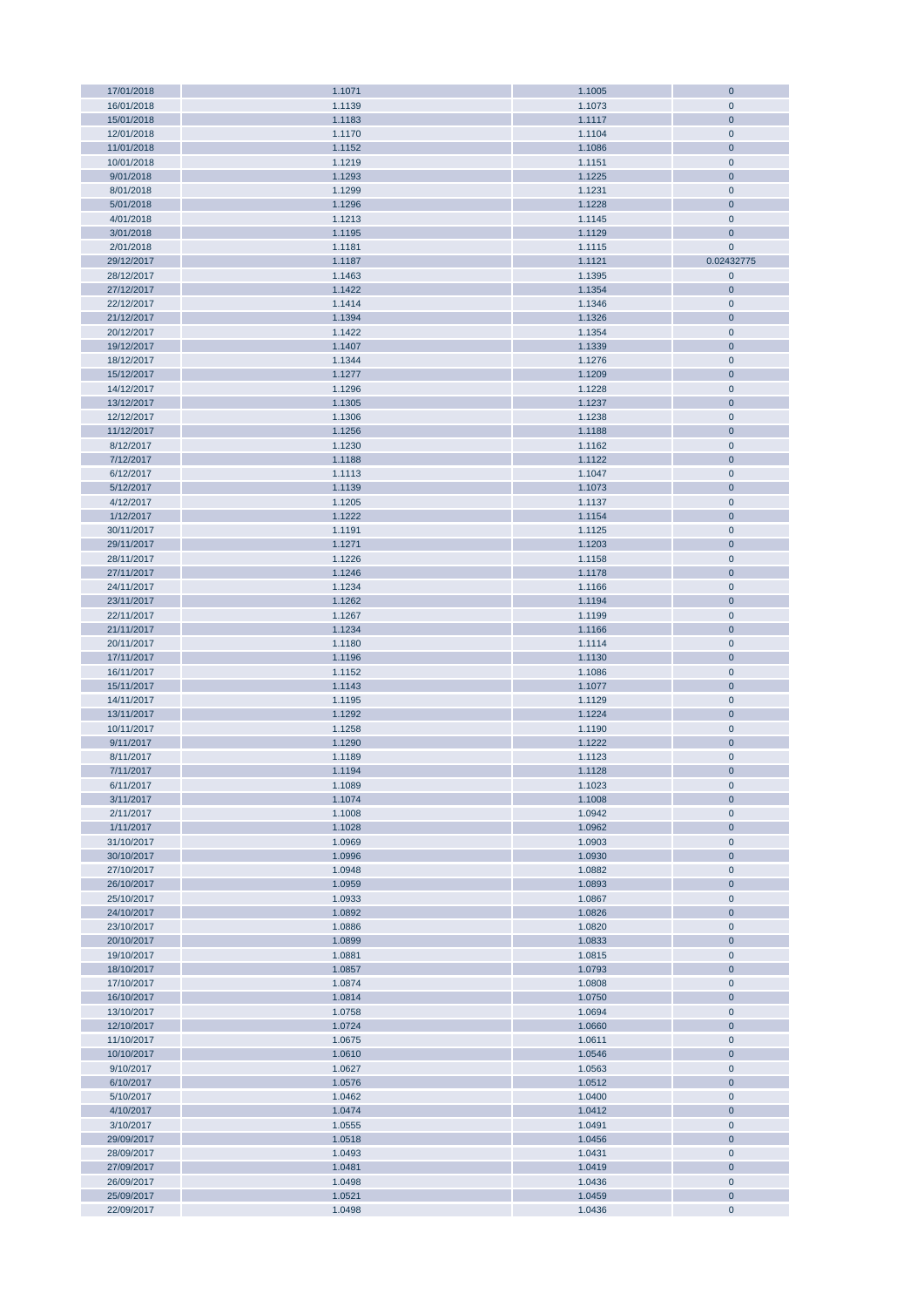| 17/01/2018 | 1.1071 | 1.1005 | $\bf 0$        |
|------------|--------|--------|----------------|
| 16/01/2018 | 1.1139 | 1.1073 | $\mathbf 0$    |
| 15/01/2018 | 1.1183 | 1.1117 | $\bf 0$        |
|            |        |        |                |
| 12/01/2018 | 1.1170 | 1.1104 | $\mathbf 0$    |
| 11/01/2018 | 1.1152 | 1.1086 | $\bf 0$        |
| 10/01/2018 | 1.1219 | 1.1151 | $\pmb{0}$      |
| 9/01/2018  | 1.1293 | 1.1225 | $\mathbf 0$    |
|            |        |        |                |
| 8/01/2018  | 1.1299 | 1.1231 | $\mathbf 0$    |
| 5/01/2018  | 1.1296 | 1.1228 | $\mathbf 0$    |
| 4/01/2018  | 1.1213 | 1.1145 | $\mathbf 0$    |
| 3/01/2018  | 1.1195 | 1.1129 | $\mathbf 0$    |
|            |        |        |                |
| 2/01/2018  | 1.1181 | 1.1115 | $\mathbf{0}$   |
| 29/12/2017 | 1.1187 | 1.1121 | 0.02432775     |
| 28/12/2017 | 1.1463 | 1.1395 | $\pmb{0}$      |
| 27/12/2017 | 1.1422 | 1.1354 | $\mathbf 0$    |
|            |        |        |                |
| 22/12/2017 | 1.1414 | 1.1346 | $\mathbf 0$    |
| 21/12/2017 | 1.1394 | 1.1326 | $\mathbf 0$    |
| 20/12/2017 | 1.1422 | 1.1354 | $\pmb{0}$      |
| 19/12/2017 | 1.1407 | 1.1339 | $\mathbf 0$    |
|            |        |        |                |
| 18/12/2017 | 1.1344 | 1.1276 | $\pmb{0}$      |
| 15/12/2017 | 1.1277 | 1.1209 | $\overline{0}$ |
| 14/12/2017 | 1.1296 | 1.1228 | $\pmb{0}$      |
| 13/12/2017 | 1.1305 | 1.1237 | $\mathbf 0$    |
| 12/12/2017 |        |        |                |
|            | 1.1306 | 1.1238 | $\pmb{0}$      |
| 11/12/2017 | 1.1256 | 1.1188 | $\bf 0$        |
| 8/12/2017  | 1.1230 | 1.1162 | $\pmb{0}$      |
| 7/12/2017  | 1.1188 | 1.1122 | $\bf 0$        |
|            |        |        |                |
| 6/12/2017  | 1.1113 | 1.1047 | $\pmb{0}$      |
| 5/12/2017  | 1.1139 | 1.1073 | $\bf 0$        |
| 4/12/2017  | 1.1205 | 1.1137 | $\pmb{0}$      |
| 1/12/2017  | 1.1222 | 1.1154 | $\mathbf 0$    |
| 30/11/2017 | 1.1191 |        | $\pmb{0}$      |
|            |        | 1.1125 |                |
| 29/11/2017 | 1.1271 | 1.1203 | $\mathbf 0$    |
| 28/11/2017 | 1.1226 | 1.1158 | $\pmb{0}$      |
| 27/11/2017 | 1.1246 | 1.1178 | $\mathbf 0$    |
| 24/11/2017 |        |        |                |
|            | 1.1234 | 1.1166 | $\pmb{0}$      |
| 23/11/2017 | 1.1262 | 1.1194 | $\mathbf 0$    |
| 22/11/2017 | 1.1267 | 1.1199 | $\pmb{0}$      |
| 21/11/2017 | 1.1234 | 1.1166 | $\mathbf 0$    |
| 20/11/2017 |        |        | $\pmb{0}$      |
|            | 1.1180 | 1.1114 |                |
| 17/11/2017 | 1.1196 | 1.1130 | $\mathbf 0$    |
| 16/11/2017 | 1.1152 | 1.1086 | $\mathbf 0$    |
| 15/11/2017 | 1.1143 | 1.1077 | $\mathbf 0$    |
|            |        |        | $\mathbf 0$    |
| 14/11/2017 | 1.1195 | 1.1129 |                |
| 13/11/2017 | 1.1292 | 1.1224 | $\mathbf 0$    |
| 10/11/2017 | 1.1258 | 1.1190 | $\pmb{0}$      |
| 9/11/2017  | 1.1290 | 1.1222 | $\pmb{0}$      |
|            |        |        |                |
| 8/11/2017  | 1.1189 | 1.1123 | $\pmb{0}$      |
| 7/11/2017  | 1.1194 | 1.1128 | $\bf{0}$       |
| 6/11/2017  | 1.1089 | 1.1023 | $\mathbf 0$    |
| 3/11/2017  | 1.1074 | 1.1008 | $\bf 0$        |
|            |        | 1.0942 | $\mathbf 0$    |
| 2/11/2017  | 1.1008 |        |                |
| 1/11/2017  | 1.1028 | 1.0962 | $\mathbf 0$    |
| 31/10/2017 | 1.0969 | 1.0903 | $\pmb{0}$      |
| 30/10/2017 | 1.0996 | 1.0930 | $\mathbf 0$    |
| 27/10/2017 | 1.0948 | 1.0882 | $\mathbf 0$    |
|            |        |        |                |
| 26/10/2017 | 1.0959 | 1.0893 | $\mathbf 0$    |
| 25/10/2017 | 1.0933 | 1.0867 | $\mathbf 0$    |
| 24/10/2017 | 1.0892 | 1.0826 | $\mathbf 0$    |
| 23/10/2017 | 1.0886 | 1.0820 | $\pmb{0}$      |
|            |        |        |                |
| 20/10/2017 | 1.0899 | 1.0833 | $\mathbf 0$    |
| 19/10/2017 | 1.0881 | 1.0815 | $\pmb{0}$      |
| 18/10/2017 | 1.0857 | 1.0793 | $\mathbf 0$    |
| 17/10/2017 | 1.0874 | 1.0808 | $\pmb{0}$      |
|            |        |        | $\mathbf 0$    |
| 16/10/2017 | 1.0814 | 1.0750 |                |
| 13/10/2017 | 1.0758 | 1.0694 | $\pmb{0}$      |
| 12/10/2017 | 1.0724 | 1.0660 | $\mathbf 0$    |
| 11/10/2017 | 1.0675 | 1.0611 | $\pmb{0}$      |
|            |        |        |                |
| 10/10/2017 | 1.0610 | 1.0546 | $\mathbf 0$    |
| 9/10/2017  | 1.0627 | 1.0563 | $\pmb{0}$      |
| 6/10/2017  | 1.0576 | 1.0512 | $\mathbf 0$    |
| 5/10/2017  | 1.0462 | 1.0400 | $\pmb{0}$      |
|            |        |        |                |
| 4/10/2017  | 1.0474 | 1.0412 | $\bf 0$        |
| 3/10/2017  | 1.0555 | 1.0491 | $\pmb{0}$      |
| 29/09/2017 | 1.0518 | 1.0456 | $\mathbf 0$    |
| 28/09/2017 | 1.0493 | 1.0431 | $\pmb{0}$      |
| 27/09/2017 | 1.0481 | 1.0419 | $\mathbf 0$    |
|            |        |        |                |
| 26/09/2017 | 1.0498 | 1.0436 | $\mathbf 0$    |
| 25/09/2017 | 1.0521 | 1.0459 | $\mathbf 0$    |
| 22/09/2017 | 1.0498 | 1.0436 | $\mathbf 0$    |
|            |        |        |                |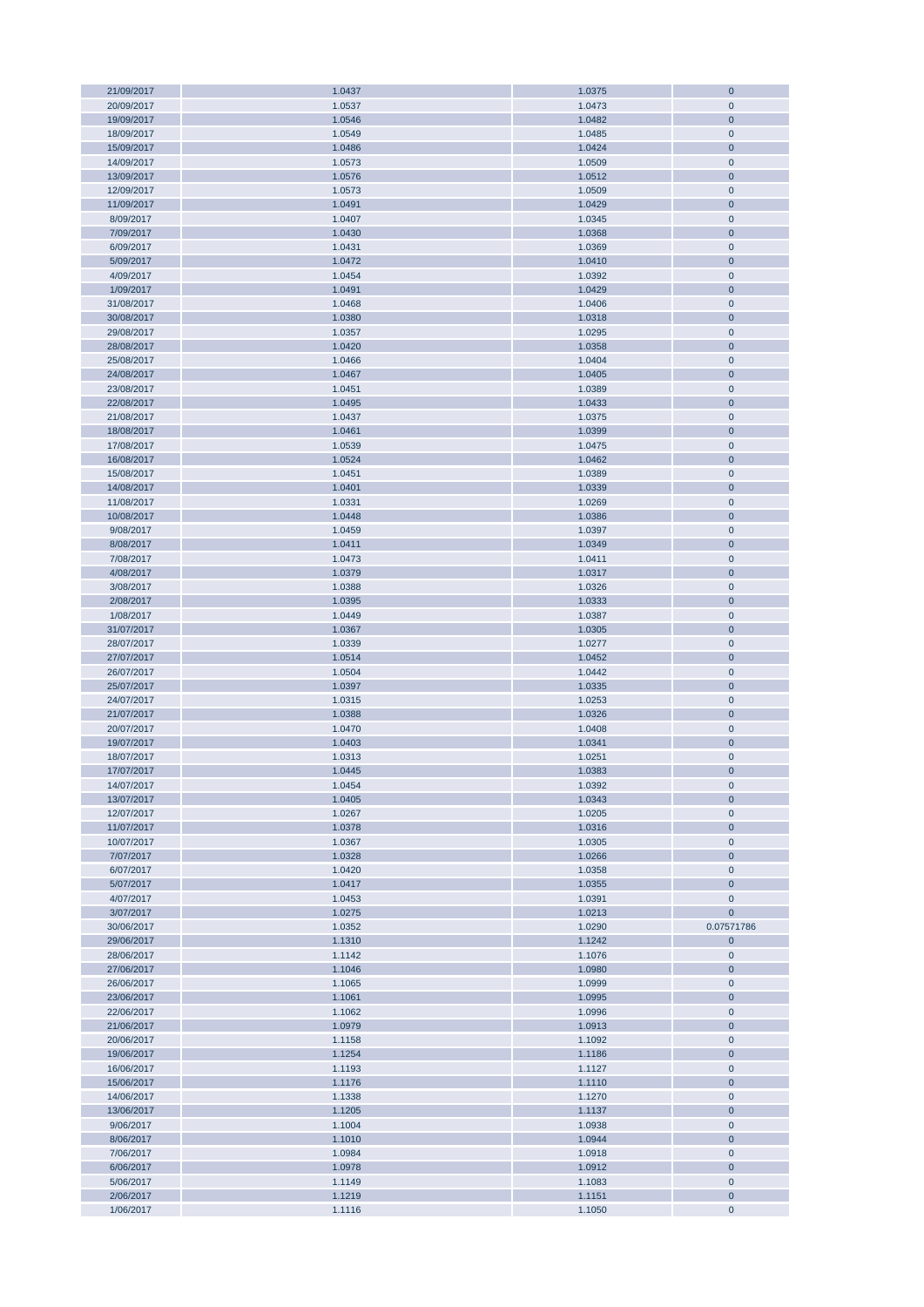| 21/09/2017             | 1.0437           | 1.0375           | $\mathbf 0$          |
|------------------------|------------------|------------------|----------------------|
| 20/09/2017             | 1.0537           | 1.0473           | $\mathbf 0$          |
| 19/09/2017             | 1.0546           | 1.0482           | $\mathbf 0$          |
| 18/09/2017             | 1.0549           | 1.0485           | $\mathbf 0$          |
|                        |                  |                  |                      |
| 15/09/2017             | 1.0486           | 1.0424           | $\mathbf 0$          |
| 14/09/2017             | 1.0573           | 1.0509           | $\mathbf 0$          |
| 13/09/2017             | 1.0576           | 1.0512           | $\mathbf 0$          |
| 12/09/2017             | 1.0573           | 1.0509           | $\mathbf 0$          |
|                        |                  |                  |                      |
| 11/09/2017             | 1.0491           | 1.0429           | $\bf 0$              |
| 8/09/2017              | 1.0407           | 1.0345           | $\mathbf 0$          |
| 7/09/2017              | 1.0430           | 1.0368           | $\mathbf 0$          |
| 6/09/2017              | 1.0431           | 1.0369           | $\mathbf 0$          |
|                        |                  |                  |                      |
| 5/09/2017              | 1.0472           | 1.0410           | $\bf 0$              |
| 4/09/2017              | 1.0454           | 1.0392           | $\pmb{0}$            |
| 1/09/2017              | 1.0491           | 1.0429           | $\mathbf 0$          |
| 31/08/2017             | 1.0468           | 1.0406           | $\mathbf 0$          |
|                        |                  |                  |                      |
| 30/08/2017             | 1.0380           | 1.0318           | $\mathbf 0$          |
| 29/08/2017             | 1.0357           | 1.0295           | $\mathbf 0$          |
| 28/08/2017             | 1.0420           | 1.0358           | $\mathbf 0$          |
| 25/08/2017             | 1.0466           | 1.0404           | $\mathbf 0$          |
|                        |                  |                  |                      |
| 24/08/2017             | 1.0467           | 1.0405           | $\mathbf 0$          |
| 23/08/2017             | 1.0451           | 1.0389           | $\mathbf 0$          |
| 22/08/2017             | 1.0495           | 1.0433           | $\mathbf 0$          |
| 21/08/2017             | 1.0437           | 1.0375           | $\mathbf 0$          |
| 18/08/2017             | 1.0461           | 1.0399           | $\mathbf 0$          |
|                        |                  |                  |                      |
| 17/08/2017             | 1.0539           | 1.0475           | $\pmb{0}$            |
| 16/08/2017             | 1.0524           | 1.0462           | $\mathbf 0$          |
| 15/08/2017             | 1.0451           | 1.0389           | $\mathbf 0$          |
| 14/08/2017             | 1.0401           | 1.0339           | $\mathbf 0$          |
|                        |                  |                  |                      |
| 11/08/2017             | 1.0331           | 1.0269           | $\mathbf 0$          |
| 10/08/2017             | 1.0448           | 1.0386           | $\overline{0}$       |
| 9/08/2017              | 1.0459           | 1.0397           | $\mathbf 0$          |
| 8/08/2017              | 1.0411           | 1.0349           | $\overline{0}$       |
|                        |                  |                  |                      |
| 7/08/2017              | 1.0473           | 1.0411           | $\pmb{0}$            |
| 4/08/2017              | 1.0379           | 1.0317           | $\mathbf 0$          |
| 3/08/2017              | 1.0388           | 1.0326           | $\pmb{0}$            |
| 2/08/2017              | 1.0395           | 1.0333           | $\mathbf 0$          |
|                        |                  |                  |                      |
| 1/08/2017              | 1.0449           | 1.0387           | $\pmb{0}$            |
| 31/07/2017             | 1.0367           | 1.0305           | $\mathbf 0$          |
| 28/07/2017             | 1.0339           | 1.0277           | $\mathbf 0$          |
| 27/07/2017             | 1.0514           | 1.0452           | $\mathbf 0$          |
|                        |                  |                  |                      |
| 26/07/2017             | 1.0504           | 1.0442           | $\mathbf 0$          |
| 25/07/2017             | 1.0397           | 1.0335           | $\mathbf 0$          |
| 24/07/2017             | 1.0315           | 1.0253           | $\mathbf 0$          |
| 21/07/2017             | 1.0388           | 1.0326           | $\mathbf 0$          |
|                        |                  |                  |                      |
| 20/07/2017             | 1.0470           | 1.0408           | $\mathbf 0$          |
| 19/07/2017             | 1.0403           | 1.0341           | $\mathbf 0$          |
| 18/07/2017             | 1.0313           | 1.0251           | $\mathbf 0$          |
| 17/07/2017             | 1.0445           | 1.0383           | $\overline{0}$       |
|                        |                  |                  |                      |
| 14/07/2017             | 1.0454           | 1.0392           | $\mathbf 0$          |
| 13/07/2017             | 1.0405           | 1.0343           | $\mathbf 0$          |
| 12/07/2017             | 1.0267           | 1.0205           | $\mathbf 0$          |
| 11/07/2017             | 1.0378           | 1.0316           | $\pmb{0}$            |
| 10/07/2017             |                  |                  |                      |
|                        | 1.0367           | 1.0305           | $\pmb{0}$            |
| 7/07/2017              | 1.0328           | 1.0266           | $\pmb{0}$            |
| 6/07/2017              | 1.0420           | 1.0358           | $\pmb{0}$            |
| 5/07/2017              | 1.0417           | 1.0355           | $\bf 0$              |
| 4/07/2017              | 1.0453           | 1.0391           | $\pmb{0}$            |
|                        |                  |                  |                      |
| 3/07/2017              | 1.0275           | 1.0213           | $\mathbf{0}$         |
| 30/06/2017             | 1.0352           | 1.0290           | 0.07571786           |
| 29/06/2017             | 1.1310           | 1.1242           | $\mathbf 0$          |
| 28/06/2017             | 1.1142           | 1.1076           | $\pmb{0}$            |
|                        |                  |                  |                      |
| 27/06/2017             | 1.1046           | 1.0980           | $\mathbf 0$          |
| 26/06/2017             | 1.1065           | 1.0999           | $\pmb{0}$            |
| 23/06/2017             | 1.1061           | 1.0995           | $\mathbf 0$          |
| 22/06/2017             | 1.1062           | 1.0996           | $\pmb{0}$            |
| 21/06/2017             | 1.0979           | 1.0913           | $\mathbf 0$          |
|                        |                  |                  |                      |
| 20/06/2017             | 1.1158           | 1.1092           | $\pmb{0}$            |
| 19/06/2017             | 1.1254           | 1.1186           | $\mathbf 0$          |
| 16/06/2017             | 1.1193           | 1.1127           | $\pmb{0}$            |
|                        |                  |                  | $\mathbf 0$          |
| 15/06/2017             | 1.1176           | 1.1110           |                      |
| 14/06/2017             | 1.1338           | 1.1270           | $\pmb{0}$            |
| 13/06/2017             | 1.1205           | 1.1137           | $\mathbf 0$          |
| 9/06/2017              | 1.1004           | 1.0938           | $\pmb{0}$            |
| 8/06/2017              | 1.1010           | 1.0944           | $\bf 0$              |
|                        |                  |                  |                      |
| 7/06/2017              | 1.0984           | 1.0918           | $\pmb{0}$            |
| 6/06/2017              | 1.0978           | 1.0912           | $\bf 0$              |
|                        |                  |                  |                      |
| 5/06/2017              | 1.1149           | 1.1083           | $\pmb{0}$            |
|                        |                  |                  |                      |
| 2/06/2017<br>1/06/2017 | 1.1219<br>1.1116 | 1.1151<br>1.1050 | $\bf 0$<br>$\pmb{0}$ |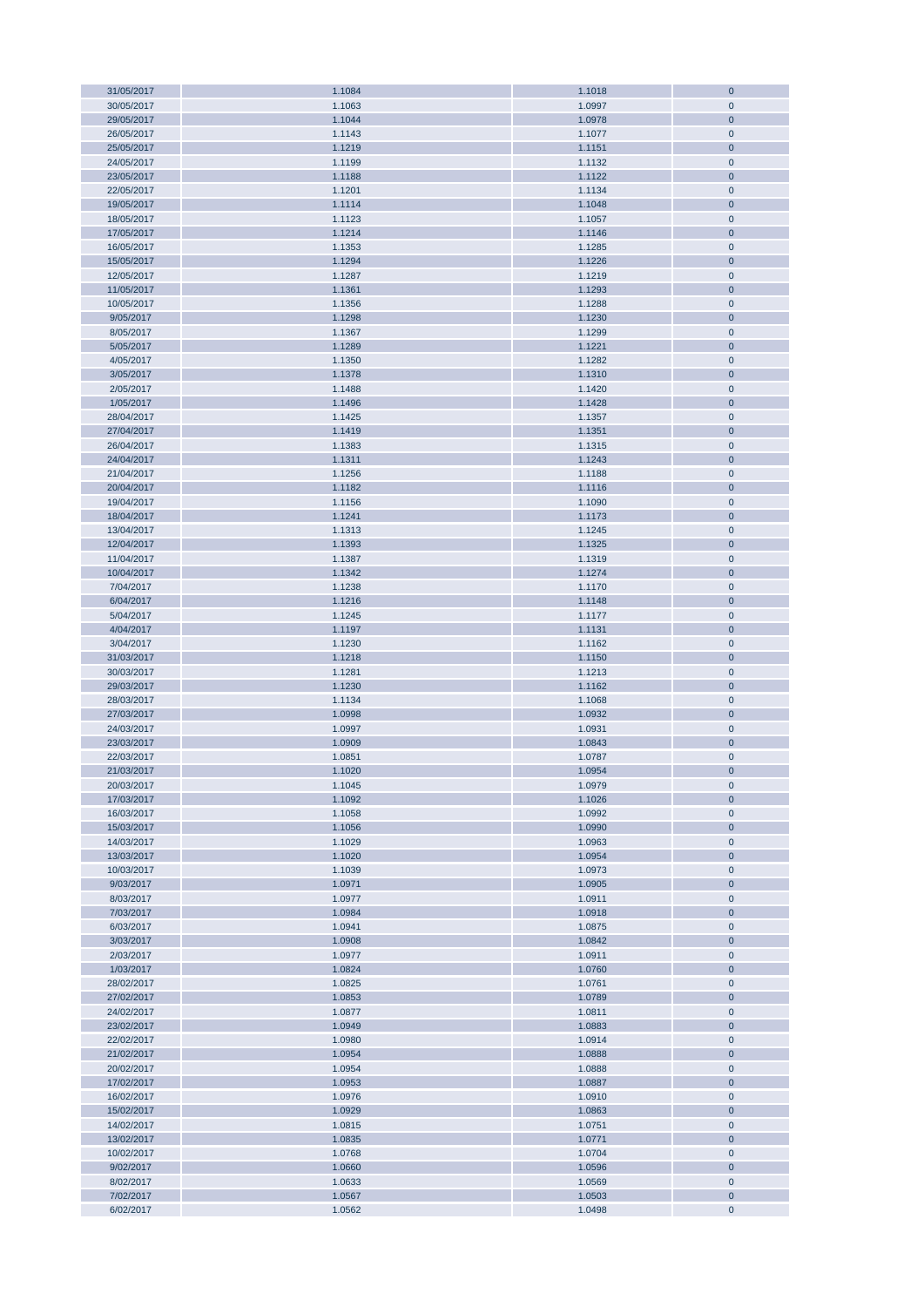| 31/05/2017 | 1.1084 | 1.1018 | $\mathbf 0$    |
|------------|--------|--------|----------------|
| 30/05/2017 | 1.1063 | 1.0997 | $\mathbf 0$    |
| 29/05/2017 | 1.1044 | 1.0978 | $\mathbf{0}$   |
|            |        |        |                |
| 26/05/2017 | 1.1143 | 1.1077 | $\pmb{0}$      |
| 25/05/2017 | 1.1219 | 1.1151 | $\bf 0$        |
| 24/05/2017 | 1.1199 | 1.1132 | $\pmb{0}$      |
| 23/05/2017 | 1.1188 | 1.1122 | $\bf 0$        |
|            |        |        |                |
| 22/05/2017 | 1.1201 | 1.1134 | $\pmb{0}$      |
| 19/05/2017 | 1.1114 | 1.1048 | $\bf 0$        |
| 18/05/2017 | 1.1123 | 1.1057 | $\pmb{0}$      |
| 17/05/2017 |        |        | $\pmb{0}$      |
|            | 1.1214 | 1.1146 |                |
| 16/05/2017 | 1.1353 | 1.1285 | $\pmb{0}$      |
| 15/05/2017 | 1.1294 | 1.1226 | $\pmb{0}$      |
| 12/05/2017 | 1.1287 | 1.1219 | $\pmb{0}$      |
|            |        |        |                |
| 11/05/2017 | 1.1361 | 1.1293 | $\pmb{0}$      |
| 10/05/2017 | 1.1356 | 1.1288 | $\pmb{0}$      |
| 9/05/2017  | 1.1298 | 1.1230 | $\pmb{0}$      |
|            |        |        |                |
| 8/05/2017  | 1.1367 | 1.1299 | $\pmb{0}$      |
| 5/05/2017  | 1.1289 | 1.1221 | $\pmb{0}$      |
| 4/05/2017  | 1.1350 | 1.1282 | $\pmb{0}$      |
| 3/05/2017  | 1.1378 | 1.1310 | $\bf 0$        |
|            |        |        |                |
| 2/05/2017  | 1.1488 | 1.1420 | $\pmb{0}$      |
| 1/05/2017  | 1.1496 | 1.1428 | $\mathbf{0}$   |
| 28/04/2017 | 1.1425 | 1.1357 | $\pmb{0}$      |
|            |        |        |                |
| 27/04/2017 | 1.1419 | 1.1351 | $\bf 0$        |
| 26/04/2017 | 1.1383 | 1.1315 | $\pmb{0}$      |
| 24/04/2017 | 1.1311 | 1.1243 | $\bf 0$        |
| 21/04/2017 | 1.1256 | 1.1188 | $\pmb{0}$      |
|            |        |        |                |
| 20/04/2017 | 1.1182 | 1.1116 | $\bf 0$        |
| 19/04/2017 | 1.1156 | 1.1090 | $\pmb{0}$      |
| 18/04/2017 | 1.1241 | 1.1173 | $\bf 0$        |
| 13/04/2017 | 1.1313 | 1.1245 | $\pmb{0}$      |
|            |        |        |                |
| 12/04/2017 | 1.1393 | 1.1325 | $\bf 0$        |
| 11/04/2017 | 1.1387 | 1.1319 | $\pmb{0}$      |
| 10/04/2017 | 1.1342 | 1.1274 | $\bf 0$        |
|            |        |        |                |
| 7/04/2017  | 1.1238 | 1.1170 | $\pmb{0}$      |
| 6/04/2017  | 1.1216 | 1.1148 | $\pmb{0}$      |
| 5/04/2017  | 1.1245 | 1.1177 | $\pmb{0}$      |
| 4/04/2017  | 1.1197 | 1.1131 | $\pmb{0}$      |
|            |        |        |                |
| 3/04/2017  | 1.1230 | 1.1162 | $\pmb{0}$      |
| 31/03/2017 | 1.1218 | 1.1150 | $\pmb{0}$      |
| 30/03/2017 | 1.1281 | 1.1213 | $\pmb{0}$      |
|            |        |        |                |
| 29/03/2017 | 1.1230 | 1.1162 | $\pmb{0}$      |
| 28/03/2017 | 1.1134 | 1.1068 | $\pmb{0}$      |
| 27/03/2017 | 1.0998 | 1.0932 | $\bf{0}$       |
| 24/03/2017 | 1.0997 | 1.0931 | $\pmb{0}$      |
|            |        |        |                |
| 23/03/2017 | 1.0909 | 1.0843 | $\bf{0}$       |
| 22/03/2017 | 1.0851 | 1.0787 | $\mathbf 0$    |
| 21/03/2017 | 1.1020 | 1.0954 | $\overline{0}$ |
| 20/03/2017 | 1.1045 | 1.0979 | $\mathbf 0$    |
|            |        |        |                |
| 17/03/2017 | 1.1092 | 1.1026 | $\mathbf 0$    |
| 16/03/2017 | 1.1058 | 1.0992 | $\mathbf 0$    |
| 15/03/2017 | 1.1056 | 1.0990 | $\pmb{0}$      |
|            |        |        |                |
| 14/03/2017 | 1.1029 | 1.0963 | $\pmb{0}$      |
| 13/03/2017 | 1.1020 | 1.0954 | $\bf 0$        |
| 10/03/2017 | 1.1039 | 1.0973 | $\pmb{0}$      |
| 9/03/2017  | 1.0971 | 1.0905 | $\pmb{0}$      |
|            |        |        |                |
| 8/03/2017  | 1.0977 | 1.0911 | $\pmb{0}$      |
| 7/03/2017  | 1.0984 | 1.0918 | $\pmb{0}$      |
| 6/03/2017  | 1.0941 | 1.0875 | $\pmb{0}$      |
| 3/03/2017  | 1.0908 | 1.0842 | $\pmb{0}$      |
|            |        |        |                |
| 2/03/2017  | 1.0977 | 1.0911 | $\pmb{0}$      |
| 1/03/2017  | 1.0824 | 1.0760 | $\bf{0}$       |
| 28/02/2017 | 1.0825 | 1.0761 | $\pmb{0}$      |
|            |        |        |                |
| 27/02/2017 | 1.0853 | 1.0789 | $\pmb{0}$      |
| 24/02/2017 | 1.0877 | 1.0811 | $\pmb{0}$      |
| 23/02/2017 | 1.0949 | 1.0883 | $\bf 0$        |
| 22/02/2017 | 1.0980 | 1.0914 | $\pmb{0}$      |
|            |        |        |                |
| 21/02/2017 | 1.0954 | 1.0888 | $\bf 0$        |
| 20/02/2017 | 1.0954 | 1.0888 | $\pmb{0}$      |
| 17/02/2017 | 1.0953 | 1.0887 | $\mathbf{0}$   |
| 16/02/2017 | 1.0976 | 1.0910 | $\pmb{0}$      |
|            |        |        |                |
| 15/02/2017 | 1.0929 | 1.0863 | $\mathbf{0}$   |
| 14/02/2017 | 1.0815 | 1.0751 | $\pmb{0}$      |
| 13/02/2017 | 1.0835 | 1.0771 | $\overline{0}$ |
| 10/02/2017 | 1.0768 | 1.0704 | $\pmb{0}$      |
|            |        |        |                |
| 9/02/2017  | 1.0660 | 1.0596 | $\bf 0$        |
| 8/02/2017  | 1.0633 | 1.0569 | $\pmb{0}$      |
| 7/02/2017  | 1.0567 | 1.0503 | $\bf 0$        |
| 6/02/2017  | 1.0562 |        | $\pmb{0}$      |
|            |        | 1.0498 |                |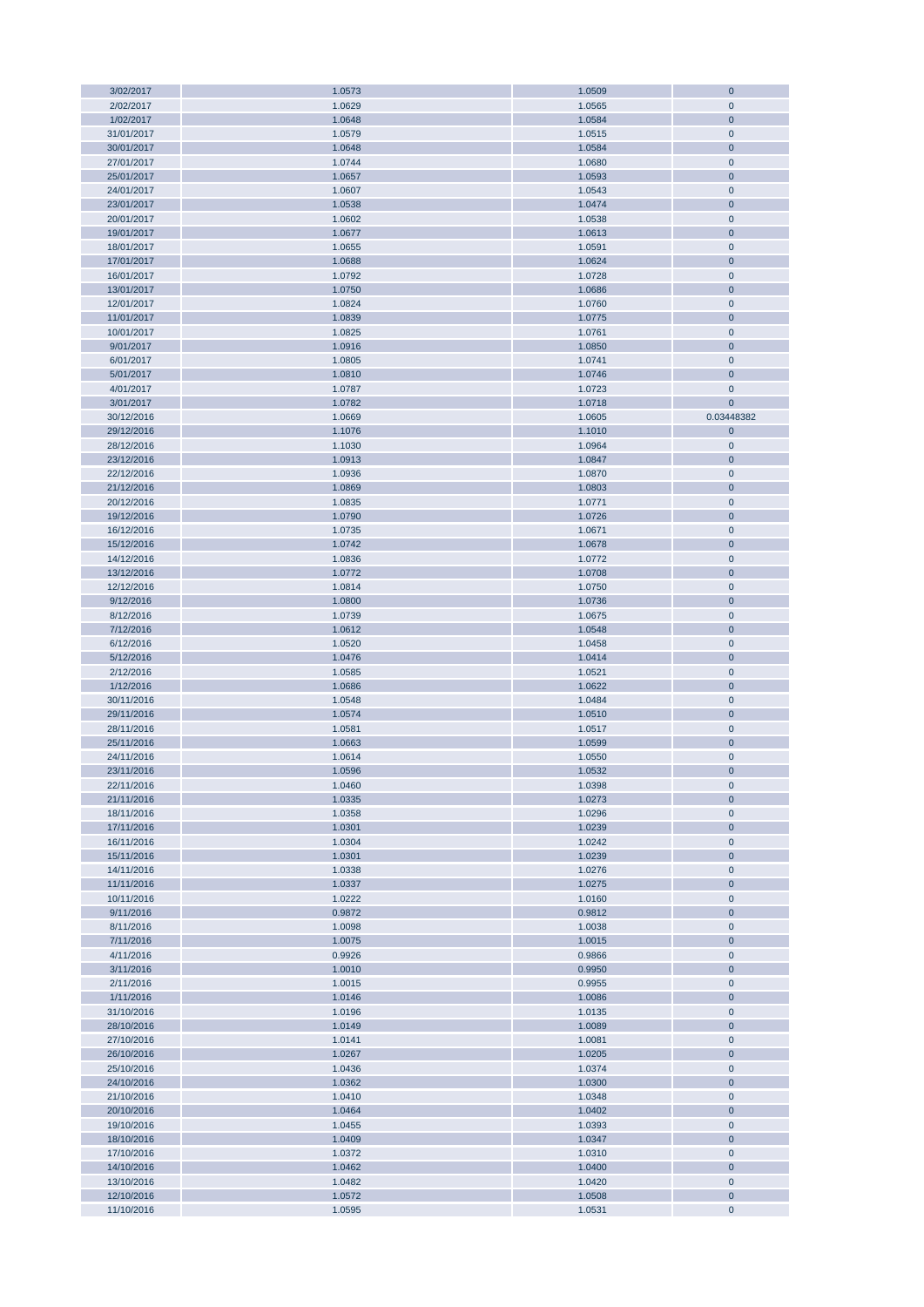| 3/02/2017  | 1.0573 | 1.0509 | $\mathbf 0$    |
|------------|--------|--------|----------------|
| 2/02/2017  | 1.0629 | 1.0565 | $\mathbf 0$    |
| 1/02/2017  | 1.0648 | 1.0584 | $\mathbf 0$    |
|            |        |        |                |
| 31/01/2017 | 1.0579 | 1.0515 | $\mathbf 0$    |
| 30/01/2017 | 1.0648 | 1.0584 | $\mathbf 0$    |
| 27/01/2017 | 1.0744 | 1.0680 | $\pmb{0}$      |
| 25/01/2017 | 1.0657 | 1.0593 | $\mathbf 0$    |
| 24/01/2017 | 1.0607 | 1.0543 | $\mathbf 0$    |
|            |        |        |                |
| 23/01/2017 | 1.0538 | 1.0474 | $\bf 0$        |
| 20/01/2017 | 1.0602 | 1.0538 | $\pmb{0}$      |
| 19/01/2017 | 1.0677 | 1.0613 | $\mathbf 0$    |
| 18/01/2017 | 1.0655 | 1.0591 | $\mathbf 0$    |
| 17/01/2017 | 1.0688 | 1.0624 | $\mathbf 0$    |
|            |        |        |                |
| 16/01/2017 | 1.0792 | 1.0728 | $\mathbf 0$    |
| 13/01/2017 | 1.0750 | 1.0686 | $\mathbf 0$    |
| 12/01/2017 | 1.0824 | 1.0760 | $\mathbf 0$    |
| 11/01/2017 | 1.0839 | 1.0775 | $\mathbf 0$    |
| 10/01/2017 | 1.0825 | 1.0761 | $\mathbf 0$    |
|            |        |        |                |
| 9/01/2017  | 1.0916 | 1.0850 | $\mathbf 0$    |
| 6/01/2017  | 1.0805 | 1.0741 | $\mathbf 0$    |
| 5/01/2017  | 1.0810 | 1.0746 | $\mathbf 0$    |
| 4/01/2017  | 1.0787 | 1.0723 | $\mathbf 0$    |
| 3/01/2017  | 1.0782 | 1.0718 | $\mathbf{0}$   |
|            |        |        |                |
| 30/12/2016 | 1.0669 | 1.0605 | 0.03448382     |
| 29/12/2016 | 1.1076 | 1.1010 | $\mathbf 0$    |
| 28/12/2016 | 1.1030 | 1.0964 | $\pmb{0}$      |
| 23/12/2016 | 1.0913 | 1.0847 | $\overline{0}$ |
| 22/12/2016 | 1.0936 | 1.0870 | $\mathbf 0$    |
|            |        |        |                |
| 21/12/2016 | 1.0869 | 1.0803 | $\mathbf 0$    |
| 20/12/2016 | 1.0835 | 1.0771 | $\pmb{0}$      |
| 19/12/2016 | 1.0790 | 1.0726 | $\mathbf 0$    |
| 16/12/2016 | 1.0735 | 1.0671 | $\pmb{0}$      |
|            |        |        |                |
| 15/12/2016 | 1.0742 | 1.0678 | $\bf 0$        |
| 14/12/2016 | 1.0836 | 1.0772 | $\pmb{0}$      |
| 13/12/2016 | 1.0772 | 1.0708 | $\bf 0$        |
| 12/12/2016 | 1.0814 | 1.0750 | $\mathbf 0$    |
| 9/12/2016  | 1.0800 | 1.0736 | $\mathbf 0$    |
|            |        |        |                |
| 8/12/2016  | 1.0739 | 1.0675 | $\pmb{0}$      |
| 7/12/2016  | 1.0612 | 1.0548 | $\mathbf 0$    |
| 6/12/2016  | 1.0520 | 1.0458 | $\mathbf 0$    |
| 5/12/2016  | 1.0476 | 1.0414 | $\mathbf 0$    |
| 2/12/2016  | 1.0585 | 1.0521 | $\pmb{0}$      |
|            |        |        |                |
| 1/12/2016  | 1.0686 | 1.0622 | $\mathbf 0$    |
| 30/11/2016 | 1.0548 | 1.0484 | $\pmb{0}$      |
| 29/11/2016 | 1.0574 | 1.0510 | $\mathbf 0$    |
| 28/11/2016 | 1.0581 | 1.0517 | $\pmb{0}$      |
| 25/11/2016 | 1.0663 | 1.0599 | $\mathbf 0$    |
|            |        |        |                |
| 24/11/2016 | 1.0614 | 1.0550 | $\mathbf 0$    |
| 23/11/2016 | 1.0596 | 1.0532 | $\overline{0}$ |
| 22/11/2016 | 1.0460 | 1.0398 | $\mathbf 0$    |
| 21/11/2016 | 1.0335 | 1.0273 | $\mathbf 0$    |
| 18/11/2016 | 1.0358 | 1.0296 | $\mathbf 0$    |
|            |        |        |                |
| 17/11/2016 | 1.0301 | 1.0239 | $\mathbf 0$    |
| 16/11/2016 | 1.0304 | 1.0242 | $\pmb{0}$      |
| 15/11/2016 | 1.0301 | 1.0239 | $\bf 0$        |
| 14/11/2016 | 1.0338 | 1.0276 | $\mathbf 0$    |
| 11/11/2016 | 1.0337 | 1.0275 | $\bf 0$        |
|            |        |        |                |
| 10/11/2016 | 1.0222 | 1.0160 | $\pmb{0}$      |
| 9/11/2016  | 0.9872 | 0.9812 | $\bf 0$        |
| 8/11/2016  | 1.0098 | 1.0038 | $\mathbf 0$    |
| 7/11/2016  | 1.0075 | 1.0015 | $\mathbf 0$    |
| 4/11/2016  | 0.9926 | 0.9866 | $\pmb{0}$      |
| 3/11/2016  | 1.0010 | 0.9950 | $\mathbf 0$    |
|            |        |        |                |
| 2/11/2016  | 1.0015 | 0.9955 | $\mathbf 0$    |
| 1/11/2016  | 1.0146 | 1.0086 | $\mathbf 0$    |
| 31/10/2016 | 1.0196 | 1.0135 | $\pmb{0}$      |
| 28/10/2016 | 1.0149 | 1.0089 | $\mathbf 0$    |
| 27/10/2016 | 1.0141 | 1.0081 | $\pmb{0}$      |
|            |        |        |                |
| 26/10/2016 | 1.0267 | 1.0205 | $\mathbf 0$    |
| 25/10/2016 | 1.0436 | 1.0374 | $\pmb{0}$      |
| 24/10/2016 | 1.0362 | 1.0300 | $\mathbf 0$    |
| 21/10/2016 | 1.0410 | 1.0348 | $\pmb{0}$      |
| 20/10/2016 | 1.0464 | 1.0402 | $\mathbf 0$    |
|            |        |        |                |
| 19/10/2016 | 1.0455 | 1.0393 | $\pmb{0}$      |
| 18/10/2016 | 1.0409 | 1.0347 | $\mathbf 0$    |
| 17/10/2016 | 1.0372 | 1.0310 | $\pmb{0}$      |
| 14/10/2016 | 1.0462 | 1.0400 | $\overline{0}$ |
| 13/10/2016 | 1.0482 | 1.0420 | $\pmb{0}$      |
|            |        |        |                |
| 12/10/2016 | 1.0572 | 1.0508 | $\mathbf 0$    |
| 11/10/2016 | 1.0595 | 1.0531 | $\pmb{0}$      |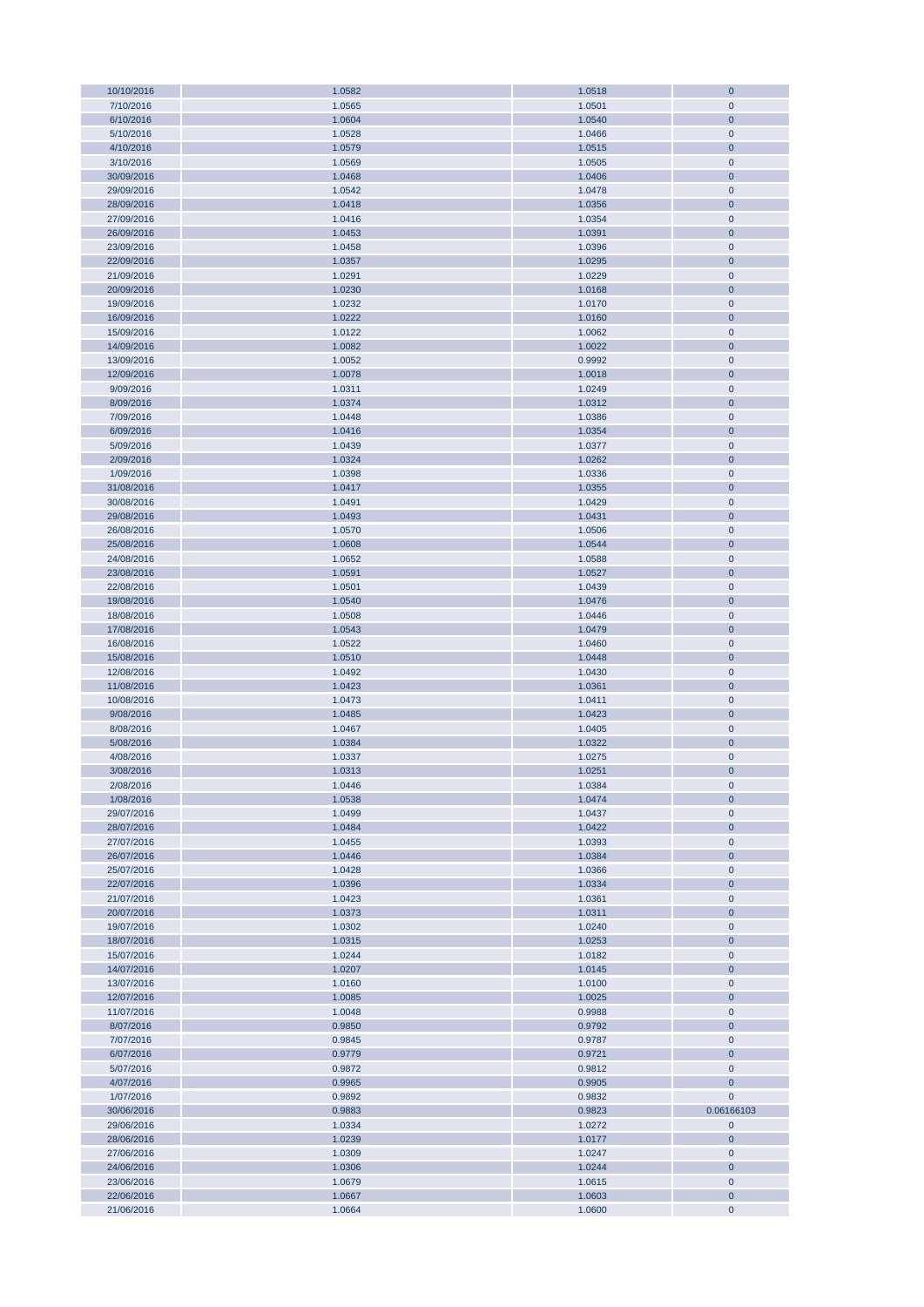| 10/10/2016               | 1.0582           | 1.0518           | $\mathbf 0$              |
|--------------------------|------------------|------------------|--------------------------|
| 7/10/2016                | 1.0565           | 1.0501           | $\mathbf 0$              |
| 6/10/2016                | 1.0604           | 1.0540           | $\mathbf 0$              |
| 5/10/2016                | 1.0528           | 1.0466           | $\mathbf 0$              |
| 4/10/2016                | 1.0579           | 1.0515           | $\mathbf 0$              |
| 3/10/2016                |                  |                  |                          |
|                          | 1.0569           | 1.0505           | $\pmb{0}$                |
| 30/09/2016               | 1.0468           | 1.0406           | $\mathbf 0$              |
| 29/09/2016               | 1.0542           | 1.0478           | $\mathbf 0$              |
| 28/09/2016               | 1.0418           | 1.0356           | $\bf 0$                  |
| 27/09/2016               | 1.0416           | 1.0354           | $\pmb{0}$                |
| 26/09/2016               | 1.0453           | 1.0391           | $\bf 0$                  |
| 23/09/2016               | 1.0458           | 1.0396           | $\mathbf 0$              |
| 22/09/2016               | 1.0357           | 1.0295           | $\mathbf 0$              |
| 21/09/2016               | 1.0291           | 1.0229           | $\mathbf 0$              |
|                          |                  |                  |                          |
| 20/09/2016               | 1.0230           | 1.0168           | $\mathbf 0$              |
| 19/09/2016               | 1.0232           | 1.0170           | $\mathbf 0$              |
| 16/09/2016               | 1.0222           | 1.0160           | $\mathbf 0$              |
| 15/09/2016               | 1.0122           | 1.0062           | $\pmb{0}$                |
| 14/09/2016               | 1.0082           | 1.0022           | $\mathbf 0$              |
| 13/09/2016               | 1.0052           | 0.9992           | $\mathbf 0$              |
| 12/09/2016               | 1.0078           | 1.0018           | $\mathbf 0$              |
| 9/09/2016                | 1.0311           | 1.0249           | $\pmb{0}$                |
| 8/09/2016                | 1.0374           | 1.0312           | $\mathbf 0$              |
| 7/09/2016                | 1.0448           | 1.0386           | $\mathbf 0$              |
|                          |                  |                  |                          |
| 6/09/2016                | 1.0416           | 1.0354           | $\mathbf 0$              |
| 5/09/2016                | 1.0439           | 1.0377           | $\pmb{0}$                |
| 2/09/2016                | 1.0324           | 1.0262           | $\overline{0}$           |
| 1/09/2016                | 1.0398           | 1.0336           | $\pmb{0}$                |
| 31/08/2016               | 1.0417           | 1.0355           | $\mathbf 0$              |
| 30/08/2016               | 1.0491           | 1.0429           | $\pmb{0}$                |
| 29/08/2016               | 1.0493           | 1.0431           | $\bf 0$                  |
| 26/08/2016               | 1.0570           | 1.0506           | $\pmb{0}$                |
| 25/08/2016               | 1.0608           | 1.0544           | $\bf 0$                  |
| 24/08/2016               | 1.0652           | 1.0588           | $\pmb{0}$                |
|                          |                  |                  |                          |
| 23/08/2016               | 1.0591           | 1.0527           | $\bf 0$                  |
| 22/08/2016               | 1.0501           | 1.0439           | $\mathbf 0$              |
| 19/08/2016               | 1.0540           | 1.0476           | $\mathbf 0$              |
| 18/08/2016               | 1.0508           | 1.0446           | $\pmb{0}$                |
| 17/08/2016               | 1.0543           | 1.0479           | $\mathbf 0$              |
| 16/08/2016               | 1.0522           | 1.0460           | $\mathbf 0$              |
| 15/08/2016               | 1.0510           | 1.0448           | $\mathbf 0$              |
| 12/08/2016               | 1.0492           | 1.0430           | $\pmb{0}$                |
| 11/08/2016               | 1.0423           | 1.0361           | $\mathbf 0$              |
| 10/08/2016               | 1.0473           | 1.0411           | $\pmb{0}$                |
|                          |                  |                  |                          |
| 9/08/2016                | 1.0485           | 1.0423           | $\mathbf 0$              |
| 8/08/2016                | 1.0467           | 1.0405           | $\pmb{0}$                |
| 5/08/2016                | 1.0384           | 1.0322           | $\mathbf 0$              |
| 4/08/2016                | 1.0337           | 1.0275           | $\mathbf 0$              |
| 3/08/2016                | 1.0313           | 1.0251           | $\bf{0}$                 |
| 2/08/2016                | 1.0446           | 1.0384           | $\mathbf 0$              |
| 1/08/2016                | 1.0538           | 1.0474           | $\mathbf 0$              |
| 29/07/2016               | 1.0499           | 1.0437           | $\mathbf 0$              |
| 28/07/2016               | 1.0484           | 1.0422           | $\mathbf 0$              |
| 27/07/2016               | 1.0455           | 1.0393           | $\pmb{0}$                |
|                          |                  |                  |                          |
| 26/07/2016               | 1.0446           | 1.0384           | $\mathbf 0$              |
| 25/07/2016               | 1.0428           | 1.0366           | $\mathbf 0$              |
| 22/07/2016               | 1.0396           | 1.0334           | $\mathbf 0$              |
| 21/07/2016               | 1.0423           | 1.0361           | $\mathbf 0$              |
| 20/07/2016               | 1.0373           |                  |                          |
|                          |                  | 1.0311           | $\bf 0$                  |
| 19/07/2016               | 1.0302           | 1.0240           | $\mathbf 0$              |
| 18/07/2016               | 1.0315           | 1.0253           | $\mathbf 0$              |
| 15/07/2016               | 1.0244           | 1.0182           | $\mathbf 0$              |
| 14/07/2016               | 1.0207           | 1.0145           | $\mathbf 0$              |
| 13/07/2016               |                  |                  | $\mathbf 0$              |
|                          | 1.0160           | 1.0100           |                          |
| 12/07/2016               | 1.0085           | 1.0025           | $\mathbf 0$              |
| 11/07/2016               | 1.0048           | 0.9988           | $\mathbf 0$              |
| 8/07/2016                | 0.9850           | 0.9792           | $\mathbf 0$              |
| 7/07/2016                | 0.9845           | 0.9787           | $\mathbf 0$              |
| 6/07/2016                | 0.9779           | 0.9721           | $\mathbf 0$              |
| 5/07/2016                | 0.9872           | 0.9812           | $\pmb{0}$                |
| 4/07/2016                | 0.9965           | 0.9905           | $\mathbf 0$              |
| 1/07/2016                | 0.9892           | 0.9832           | $\mathbf 0$              |
| 30/06/2016               | 0.9883           | 0.9823           | 0.06166103               |
| 29/06/2016               | 1.0334           | 1.0272           | $\pmb{0}$                |
|                          |                  |                  |                          |
| 28/06/2016               | 1.0239           | 1.0177           | $\mathbf 0$              |
| 27/06/2016               | 1.0309           | 1.0247           | $\mathbf 0$              |
| 24/06/2016               | 1.0306           | 1.0244           | $\mathbf 0$              |
| 23/06/2016               | 1.0679           | 1.0615           | $\pmb{0}$                |
| 22/06/2016<br>21/06/2016 | 1.0667<br>1.0664 | 1.0603<br>1.0600 | $\mathbf 0$<br>$\pmb{0}$ |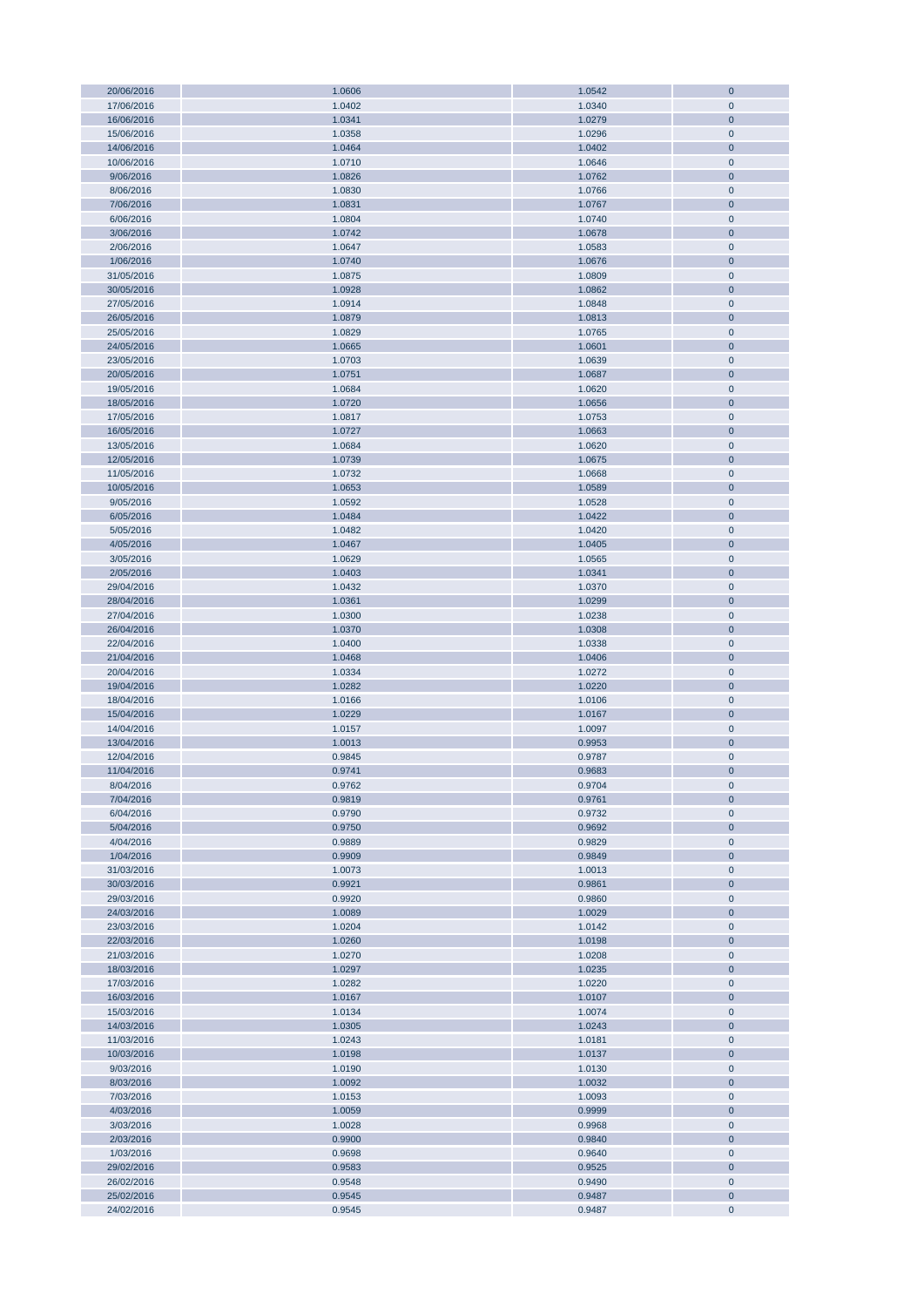| 20/06/2016               |                  | 1.0542           | $\mathbf{0}$         |
|--------------------------|------------------|------------------|----------------------|
|                          | 1.0606           |                  |                      |
| 17/06/2016               | 1.0402           | 1.0340           | $\mathbf{0}$         |
| 16/06/2016               | 1.0341           | 1.0279           | $\mathbf{0}$         |
|                          | 1.0358           | 1.0296           |                      |
| 15/06/2016               |                  |                  | $\pmb{0}$            |
| 14/06/2016               | 1.0464           | 1.0402           | $\mathbf 0$          |
| 10/06/2016               | 1.0710           | 1.0646           | $\mathbf{0}$         |
| 9/06/2016                | 1.0826           | 1.0762           | $\mathbf{0}$         |
|                          |                  |                  |                      |
| 8/06/2016                | 1.0830           | 1.0766           | $\mathbf{0}$         |
| 7/06/2016                | 1.0831           | 1.0767           | $\mathbf 0$          |
| 6/06/2016                | 1.0804           | 1.0740           | $\pmb{0}$            |
|                          |                  |                  |                      |
| 3/06/2016                | 1.0742           | 1.0678           | $\mathbf 0$          |
| 2/06/2016                | 1.0647           | 1.0583           | $\pmb{0}$            |
| 1/06/2016                | 1.0740           | 1.0676           | $\mathbf 0$          |
|                          |                  |                  |                      |
| 31/05/2016               | 1.0875           | 1.0809           | $\pmb{0}$            |
| 30/05/2016               | 1.0928           | 1.0862           | $\pmb{0}$            |
| 27/05/2016               |                  |                  |                      |
|                          | 1.0914           | 1.0848           | $\pmb{0}$            |
| 26/05/2016               | 1.0879           | 1.0813           | $\pmb{0}$            |
| 25/05/2016               | 1.0829           | 1.0765           | $\pmb{0}$            |
| 24/05/2016               | 1.0665           | 1.0601           | $\mathbf{0}$         |
|                          |                  |                  |                      |
| 23/05/2016               | 1.0703           | 1.0639           | $\mathbf{0}$         |
| 20/05/2016               | 1.0751           | 1.0687           | $\pmb{0}$            |
| 19/05/2016               | 1.0684           | 1.0620           | $\pmb{0}$            |
|                          |                  |                  |                      |
| 18/05/2016               | 1.0720           | 1.0656           | $\pmb{0}$            |
| 17/05/2016               | 1.0817           | 1.0753           | $\pmb{0}$            |
| 16/05/2016               | 1.0727           | 1.0663           | $\mathbf{0}$         |
|                          |                  |                  |                      |
| 13/05/2016               | 1.0684           | 1.0620           | $\pmb{0}$            |
| 12/05/2016               | 1.0739           | 1.0675           | $\bf{0}$             |
| 11/05/2016               | 1.0732           | 1.0668           | $\pmb{0}$            |
|                          |                  |                  |                      |
| 10/05/2016               | 1.0653           | 1.0589           | $\bf{0}$             |
| 9/05/2016                | 1.0592           | 1.0528           | $\pmb{0}$            |
| 6/05/2016                | 1.0484           | 1.0422           | $\bf{0}$             |
|                          |                  |                  |                      |
| 5/05/2016                | 1.0482           | 1.0420           | $\pmb{0}$            |
| 4/05/2016                | 1.0467           | 1.0405           | $\bf{0}$             |
| 3/05/2016                | 1.0629           | 1.0565           | $\pmb{0}$            |
|                          |                  |                  |                      |
| 2/05/2016                | 1.0403           | 1.0341           | $\bf{0}$             |
| 29/04/2016               | 1.0432           | 1.0370           | $\pmb{0}$            |
| 28/04/2016               | 1.0361           | 1.0299           | $\bf{0}$             |
|                          |                  |                  |                      |
| 27/04/2016               | 1.0300           | 1.0238           | $\pmb{0}$            |
| 26/04/2016               | 1.0370           | 1.0308           | $\pmb{0}$            |
| 22/04/2016               | 1.0400           | 1.0338           | $\pmb{0}$            |
|                          |                  |                  |                      |
| 21/04/2016               | 1.0468           | 1.0406           | $\pmb{0}$            |
| 20/04/2016               | 1.0334           | 1.0272           | $\pmb{0}$            |
| 19/04/2016               | 1.0282           | 1.0220           | $\mathbf{0}$         |
|                          |                  |                  |                      |
| 18/04/2016               | 1.0166           | 1.0106           | $\pmb{0}$            |
| 15/04/2016               | 1.0229           | 1.0167           | $\mathbf{0}$         |
|                          |                  |                  |                      |
| 14/04/2016               | 1.0157           | 1.0097           | $\pmb{0}$            |
| 13/04/2016               | 1.0013           | 0.9953           | $\mathbf 0$          |
| 12/04/2016               | 0.9845           | 0.9787           | $\pmb{0}$            |
|                          |                  |                  | $\mathbf 0$          |
| 11/04/2016               | 0.9741           | 0.9683           |                      |
| 8/04/2016                | 0.9762           | 0.9704           | $\mathbf{0}$         |
| 7/04/2016                | 0.9819           | 0.9761           | $\bf 0$              |
|                          |                  |                  |                      |
| 6/04/2016                | 0.9790           | 0.9732           | $\pmb{0}$            |
| 5/04/2016                | 0.9750           | 0.9692           | $\pmb{0}$            |
| 4/04/2016                | 0.9889           | 0.9829           | $\pmb{0}$            |
| 1/04/2016                | 0.9909           | 0.9849           | $\bf 0$              |
|                          |                  |                  |                      |
| 31/03/2016               | 1.0073           | 1.0013           | $\pmb{0}$            |
| 30/03/2016               | 0.9921           | 0.9861           | $\pmb{0}$            |
| 29/03/2016               | 0.9920           | 0.9860           | $\pmb{0}$            |
|                          | 1.0089           | 1.0029           |                      |
| 24/03/2016               |                  |                  | $\pmb{0}$            |
| 23/03/2016               | 1.0204           | 1.0142           | $\pmb{0}$            |
| 22/03/2016               | 1.0260           |                  |                      |
|                          |                  | 1.0198           | $\pmb{0}$            |
|                          |                  |                  |                      |
| 21/03/2016               | 1.0270           | 1.0208           | $\pmb{0}$            |
| 18/03/2016               | 1.0297           | 1.0235           | $\pmb{0}$            |
| 17/03/2016               | 1.0282           | 1.0220           | $\pmb{0}$            |
|                          |                  |                  |                      |
| 16/03/2016               | 1.0167           | 1.0107           | $\pmb{0}$            |
| 15/03/2016               | 1.0134           | 1.0074           | $\pmb{0}$            |
| 14/03/2016               | 1.0305           | 1.0243           | $\bf{0}$             |
| 11/03/2016               | 1.0243           | 1.0181           | $\pmb{0}$            |
|                          |                  |                  |                      |
| 10/03/2016               | 1.0198           | 1.0137           | $\pmb{0}$            |
| 9/03/2016                | 1.0190           | 1.0130           | $\pmb{0}$            |
| 8/03/2016                | 1.0092           | 1.0032           | $\pmb{0}$            |
|                          |                  |                  |                      |
| 7/03/2016                | 1.0153           | 1.0093           | $\pmb{0}$            |
| 4/03/2016                | 1.0059           | 0.9999           | $\mathbf 0$          |
| 3/03/2016                | 1.0028           | 0.9968           | $\pmb{0}$            |
|                          |                  |                  |                      |
| 2/03/2016                | 0.9900           | 0.9840           | $\mathbf 0$          |
| 1/03/2016                | 0.9698           | 0.9640           | $\pmb{0}$            |
| 29/02/2016               | 0.9583           | 0.9525           | $\mathbf 0$          |
| 26/02/2016               |                  |                  |                      |
|                          | 0.9548           | 0.9490           | $\pmb{0}$            |
| 25/02/2016<br>24/02/2016 | 0.9545<br>0.9545 | 0.9487<br>0.9487 | $\bf 0$<br>$\pmb{0}$ |